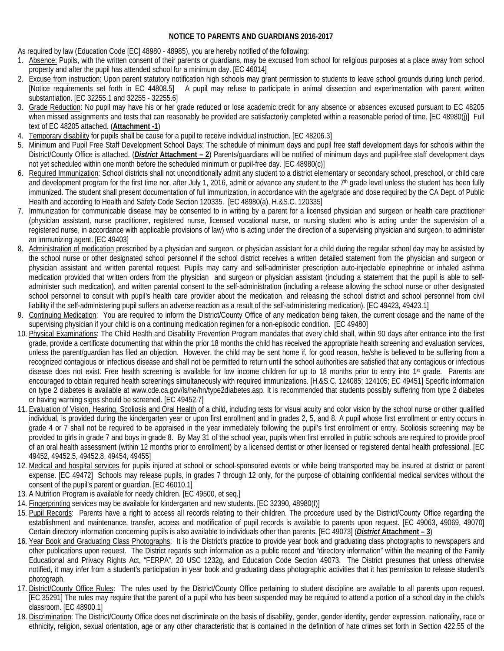#### **NOTICE TO PARENTS AND GUARDIANS 2016-2017**

As required by law (Education Code [EC] 48980 - 48985), you are hereby notified of the following:

- 1. Absence: Pupils, with the written consent of their parents or guardians, may be excused from school for religious purposes at a place away from school property and after the pupil has attended school for a minimum day. [EC 46014]
- 2. Excuse from instruction: Upon parent statutory notification high schools may grant permission to students to leave school grounds during lunch period. [Notice requirements set forth in EC 44808.5] A pupil may refuse to participate in animal dissection and experimentation with parent written substantiation. [EC 32255.1 and 32255 - 32255.6]
- 3. Grade Reduction: No pupil may have his or her grade reduced or lose academic credit for any absence or absences excused pursuant to EC 48205 when missed assignments and tests that can reasonably be provided are satisfactorily completed within a reasonable period of time. [EC 48980(j)] Full text of EC 48205 attached. (**Attachment -1**)
- 4. Temporary disability for pupils shall be cause for a pupil to receive individual instruction. [EC 48206.3]
- 5. Minimum and Pupil Free Staff Development School Days: The schedule of minimum days and pupil free staff development days for schools within the District/County Office is attached. (*District* **Attachment – 2**) Parents/guardians will be notified of minimum days and pupil-free staff development days not yet scheduled within one month before the scheduled minimum or pupil-free day. [EC 48980(c)]
- 6. Required Immunization: School districts shall not unconditionally admit any student to a district elementary or secondary school, preschool, or child care and development program for the first time nor, after July 1, 2016, admit or advance any student to the  $7<sup>th</sup>$  grade level unless the student has been fully immunized. The student shall present documentation of full immunization, in accordance with the age/grade and dose required by the CA Dept. of Public Health and according to Health and Safety Code Section 120335. [EC 48980(a), H.&S.C. 120335]
- 7. Immunization for communicable disease may be consented to in writing by a parent for a licensed physician and surgeon or health care practitioner (physician assistant, nurse practitioner, registered nurse, licensed vocational nurse, or nursing student who is acting under the supervision of a registered nurse, in accordance with applicable provisions of law) who is acting under the direction of a supervising physician and surgeon, to administer an immunizing agent. [EC 49403]
- 8. Administration of medication prescribed by a physician and surgeon, or physician assistant for a child during the regular school day may be assisted by the school nurse or other designated school personnel if the school district receives a written detailed statement from the physician and surgeon or physician assistant and written parental request. Pupils may carry and self-administer prescription auto-injectable epinephrine or inhaled asthma medication provided that written orders from the physician and surgeon or physician assistant (including a statement that the pupil is able to selfadminister such medication), and written parental consent to the self-administration (including a release allowing the school nurse or other designated school personnel to consult with pupil's health care provider about the medication, and releasing the school district and school personnel from civil liability if the self-administering pupil suffers an adverse reaction as a result of the self-administering medication). [EC 49423, 49423.1]
- 9. Continuing Medication: You are required to inform the District/County Office of any medication being taken, the current dosage and the name of the supervising physician if your child is on a continuing medication regimen for a non-episodic condition. [EC 49480]
- 10. Physical Examinations: The Child Health and Disability Prevention Program mandates that every child shall, within 90 days after entrance into the first grade, provide a certificate documenting that within the prior 18 months the child has received the appropriate health screening and evaluation services, unless the parent/guardian has filed an objection. However, the child may be sent home if, for good reason, he/she is believed to be suffering from a recognized contagious or infectious disease and shall not be permitted to return until the school authorities are satisfied that any contagious or infectious disease does not exist. Free health screening is available for low income children for up to 18 months prior to entry into 1<sup>st</sup> grade. Parents are encouraged to obtain required health screenings simultaneously with required immunizations. [H.&S.C. 124085; 124105; EC 49451] Specific information on type 2 diabetes is available at www.cde.ca.gov/ls/he/hn/type2diabetes.asp. It is recommended that students possibly suffering from type 2 diabetes or having warning signs should be screened. [EC 49452.7]
- 11. Evaluation of Vision, Hearing, Scoliosis and Oral Health of a child, including tests for visual acuity and color vision by the school nurse or other qualified individual, is provided during the kindergarten year or upon first enrollment and in grades 2, 5, and 8. A pupil whose first enrollment or entry occurs in grade 4 or 7 shall not be required to be appraised in the year immediately following the pupil's first enrollment or entry. Scoliosis screening may be provided to girls in grade 7 and boys in grade 8. By May 31 of the school year, pupils when first enrolled in public schools are required to provide proof of an oral health assessment (within 12 months prior to enrollment) by a licensed dentist or other licensed or registered dental health professional. [EC 49452, 49452.5, 49452.8, 49454, 49455]
- 12. Medical and hospital services for pupils injured at school or school-sponsored events or while being transported may be insured at district or parent expense. [EC 49472] Schools may release pupils, in grades 7 through 12 only, for the purpose of obtaining confidential medical services without the consent of the pupil's parent or guardian. [EC 46010.1]
- 13. A Nutrition Program is available for needy children. [EC 49500, et seq.]
- 14. Fingerprinting services may be available for kindergarten and new students. [EC 32390, 48980(f)]
- 15. Pupil Records: Parents have a right to access all records relating to their children. The procedure used by the District/County Office regarding the establishment and maintenance, transfer, access and modification of pupil records is available to parents upon request. [EC 49063, 49069, 49070] Certain directory information concerning pupils is also available to individuals other than parents. [EC 49073] (*District* **Attachment – 3**)
- 16. Year Book and Graduating Class Photographs: It is the District's practice to provide year book and graduating class photographs to newspapers and other publications upon request. The District regards such information as a public record and "directory information" within the meaning of the Family Educational and Privacy Rights Act, "FERPA", 20 USC 1232g, and Education Code Section 49073. The District presumes that unless otherwise notified, it may infer from a student's participation in year book and graduating class photographic activities that it has permission to release student's photograph.
- 17. District/County Office Rules: The rules used by the District/County Office pertaining to student discipline are available to all parents upon request. [EC 35291] The rules may require that the parent of a pupil who has been suspended may be required to attend a portion of a school day in the child's classroom. [EC 48900.1]
- 18. Discrimination: The District/County Office does not discriminate on the basis of disability, gender, gender identity, gender expression, nationality, race or ethnicity, religion, sexual orientation, age or any other characteristic that is contained in the definition of hate crimes set forth in Section 422.55 of the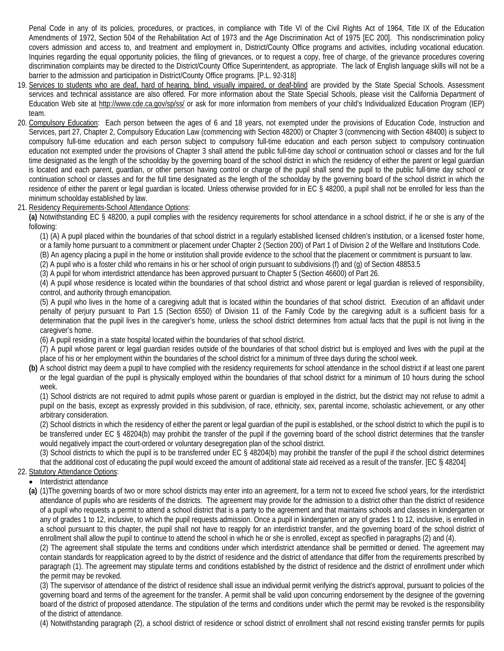Penal Code in any of its policies, procedures, or practices, in compliance with Title VI of the Civil Rights Act of 1964, Title IX of the Education Amendments of 1972, Section 504 of the Rehabilitation Act of 1973 and the Age Discrimination Act of 1975 [EC 200]. This nondiscrimination policy covers admission and access to, and treatment and employment in, District/County Office programs and activities, including vocational education. Inquiries regarding the equal opportunity policies, the filing of grievances, or to request a copy, free of charge, of the grievance procedures covering discrimination complaints may be directed to the District/County Office Superintendent, as appropriate. The lack of English language skills will not be a barrier to the admission and participation in District/County Office programs. [P.L. 92-318]

- 19. Services to students who are deaf, hard of hearing, blind, visually impaired, or deaf-blind are provided by the State Special Schools. Assessment services and technical assistance are also offered. For more information about the State Special Schools, please visit the California Department of Education Web site at<http://www.cde.ca.gov/sp/ss/> or ask for more information from members of your child's Individualized Education Program (IEP) team.
- 20. Compulsory Education: Each person between the ages of 6 and 18 years, not exempted under the provisions of Education Code, Instruction and Services, part 27, Chapter 2, Compulsory Education Law (commencing with Section 48200) or Chapter 3 (commencing with Section 48400) is subject to compulsory full-time education and each person subject to compulsory full-time education and each person subject to compulsory continuation education not exempted under the provisions of Chapter 3 shall attend the public full-time day school or continuation school or classes and for the full time designated as the length of the schoolday by the governing board of the school district in which the residency of either the parent or legal guardian is located and each parent, guardian, or other person having control or charge of the pupil shall send the pupil to the public full-time day school or continuation school or classes and for the full time designated as the length of the schoolday by the governing board of the school district in which the residence of either the parent or legal guardian is located. Unless otherwise provided for in EC § 48200, a pupil shall not be enrolled for less than the minimum schoolday established by law.

#### 21. Residency Requirements-School Attendance Options:

**(a)** Notwithstanding EC § 48200, a pupil complies with the residency requirements for school attendance in a school district, if he or she is any of the following:

(1) (A) A pupil placed within the boundaries of that school district in a regularly established licensed children's institution, or a licensed foster home, or a family home pursuant to a commitment or placement under Chapter 2 (Section 200) of Part 1 of Division 2 of the Welfare and Institutions Code.

(B) An agency placing a pupil in the home or institution shall provide evidence to the school that the placement or commitment is pursuant to law.

(2) A pupil who is a foster child who remains in his or her school of origin pursuant to subdivisions (f) and (g) of Section 48853.5

(3) A pupil for whom interdistrict attendance has been approved pursuant to Chapter 5 (Section 46600) of Part 26.

(4) A pupil whose residence is located within the boundaries of that school district and whose parent or legal guardian is relieved of responsibility, control, and authority through emancipation.

(5) A pupil who lives in the home of a caregiving adult that is located within the boundaries of that school district. Execution of an affidavit under penalty of perjury pursuant to Part 1.5 (Section 6550) of Division 11 of the Family Code by the caregiving adult is a sufficient basis for a determination that the pupil lives in the caregiver's home, unless the school district determines from actual facts that the pupil is not living in the caregiver's home.

(6) A pupil residing in a state hospital located within the boundaries of that school district.

(7) A pupil whose parent or legal guardian resides outside of the boundaries of that school district but is employed and lives with the pupil at the place of his or her employment within the boundaries of the school district for a minimum of three days during the school week.

**(b)** A school district may deem a pupil to have complied with the residency requirements for school attendance in the school district if at least one parent or the legal guardian of the pupil is physically employed within the boundaries of that school district for a minimum of 10 hours during the school week.

(1) School districts are not required to admit pupils whose parent or guardian is employed in the district, but the district may not refuse to admit a pupil on the basis, except as expressly provided in this subdivision, of race, ethnicity, sex, parental income, scholastic achievement, or any other arbitrary consideration.

(2) School districts in which the residency of either the parent or legal guardian of the pupil is established, or the school district to which the pupil is to be transferred under EC § 48204(b) may prohibit the transfer of the pupil if the governing board of the school district determines that the transfer would negatively impact the court-ordered or voluntary desegregation plan of the school district.

(3) School districts to which the pupil is to be transferred under EC § 48204(b) may prohibit the transfer of the pupil if the school district determines that the additional cost of educating the pupil would exceed the amount of additional state aid received as a result of the transfer. [EC § 48204]

#### 22. Statutory Attendance Options:

• Interdistrict attendance

**(a)** (1)The governing boards of two or more school districts may enter into an agreement, for a term not to exceed five school years, for the interdistrict attendance of pupils who are residents of the districts. The agreement may provide for the admission to a district other than the district of residence of a pupil who requests a permit to attend a school district that is a party to the agreement and that maintains schools and classes in kindergarten or any of grades 1 to 12, inclusive, to which the pupil requests admission. Once a pupil in kindergarten or any of grades 1 to 12, inclusive, is enrolled in a school pursuant to this chapter, the pupil shall not have to reapply for an interdistrict transfer, and the governing board of the school district of enrollment shall allow the pupil to continue to attend the school in which he or she is enrolled, except as specified in paragraphs (2) and (4).

(2) The agreement shall stipulate the terms and conditions under which interdistrict attendance shall be permitted or denied. The agreement may contain standards for reapplication agreed to by the district of residence and the district of attendance that differ from the requirements prescribed by paragraph (1). The agreement may stipulate terms and conditions established by the district of residence and the district of enrollment under which the permit may be revoked.

(3) The supervisor of attendance of the district of residence shall issue an individual permit verifying the district's approval, pursuant to policies of the governing board and terms of the agreement for the transfer. A permit shall be valid upon concurring endorsement by the designee of the governing board of the district of proposed attendance. The stipulation of the terms and conditions under which the permit may be revoked is the responsibility of the district of attendance.

(4) Notwithstanding paragraph (2), a school district of residence or school district of enrollment shall not rescind existing transfer permits for pupils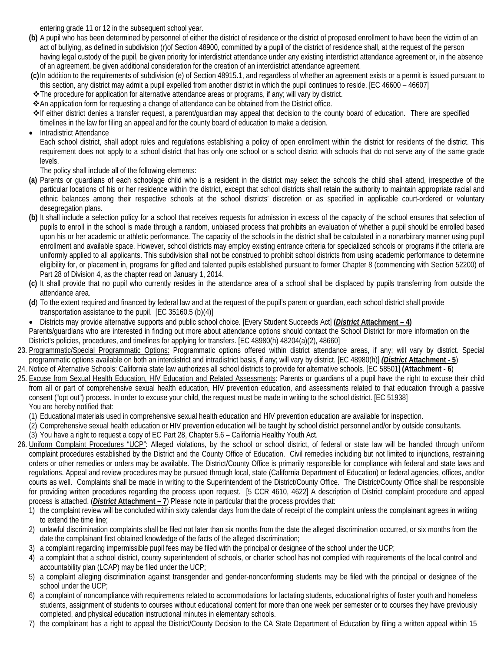entering grade 11 or 12 in the subsequent school year.

- **(b)** A pupil who has been determined by personnel of either the district of residence or the district of proposed enrollment to have been the victim of an act of bullying, as defined in subdivision (r)of Section 48900, committed by a pupil of the district of residence shall, at the request of the person having legal custody of the pupil, be given priority for interdistrict attendance under any existing interdistrict attendance agreement or, in the absence of an agreement, be given additional consideration for the creation of an interdistrict attendance agreement.
- **(c)**In addition to the requirements of subdivision (e) of Section 48915.1, and regardless of whether an agreement exists or a permit is issued pursuant to this section, any district may admit a pupil expelled from another district in which the pupil continues to reside. [EC 46600 – 46607]
- The procedure for application for alternative attendance areas or programs, if any; will vary by district.
- An application form for requesting a change of attendance can be obtained from the District office.
- If either district denies a transfer request, a parent/guardian may appeal that decision to the county board of education. There are specified timelines in the law for filing an appeal and for the county board of education to make a decision.
- Intradistrict Attendance

Each school district, shall adopt rules and regulations establishing a policy of open enrollment within the district for residents of the district. This requirement does not apply to a school district that has only one school or a school district with schools that do not serve any of the same grade levels.

The policy shall include all of the following elements:

- **(a)** Parents or guardians of each schoolage child who is a resident in the district may select the schools the child shall attend, irrespective of the particular locations of his or her residence within the district, except that school districts shall retain the authority to maintain appropriate racial and ethnic balances among their respective schools at the school districts' discretion or as specified in applicable court-ordered or voluntary desegregation plans.
- **(b)** It shall include a selection policy for a school that receives requests for admission in excess of the capacity of the school ensures that selection of pupils to enroll in the school is made through a random, unbiased process that prohibits an evaluation of whether a pupil should be enrolled based upon his or her academic or athletic performance. The capacity of the schools in the district shall be calculated in a nonarbitrary manner using pupil enrollment and available space. However, school districts may employ existing entrance criteria for specialized schools or programs if the criteria are uniformly applied to all applicants. This subdivision shall not be construed to prohibit school districts from using academic performance to determine eligibility for, or placement in, programs for gifted and talented pupils established pursuant to former Chapter 8 (commencing with Section 52200) of Part 28 of Division 4, as the chapter read on January 1, 2014.
- **(c)** It shall provide that no pupil who currently resides in the attendance area of a school shall be displaced by pupils transferring from outside the attendance area.
- **(d**) To the extent required and financed by federal law and at the request of the pupil's parent or guardian, each school district shall provide transportation assistance to the pupil. [EC 35160.5 (b)(4)]
- Districts may provide alternative supports and public school choice. [Every Student Succeeds Act] **(***District* **Attachment – 4)**  Parents/guardians who are interested in finding out more about attendance options should contact the School District for more information on the District's policies, procedures, and timelines for applying for transfers. [EC 48980(h) 48204(a)(2), 48660]
- 23. Programmatic/Special Programmatic Options: Programmatic options offered within district attendance areas, if any; will vary by district. Special programmatic options available on both an interdistrict and intradistrict basis, if any; will vary by district. [EC 48980(h)] *(District* **Attachment - 5**)
- 24. Notice of Alternative Schools: California state law authorizes all school districts to provide for alternative schools. [EC 58501] **(Attachment - 6**)
- 25. Excuse from Sexual Health Education, HIV Education and Related Assessments: Parents or guardians of a pupil have the right to excuse their child from all or part of comprehensive sexual health education, HIV prevention education, and assessments related to that education through a passive consent ("opt out") process. In order to excuse your child, the request must be made in writing to the school district. [EC 51938] You are hereby notified that:
	- (1) Educational materials used in comprehensive sexual health education and HIV prevention education are available for inspection.
	- (2) Comprehensive sexual health education or HIV prevention education will be taught by school district personnel and/or by outside consultants.
	- (3) You have a right to request a copy of EC Part 28, Chapter 5.6 California Healthy Youth Act.
- 26. Uniform Complaint Procedures "UCP": Alleged violations, by the school or school district, of federal or state law will be handled through uniform complaint procedures established by the District and the County Office of Education. Civil remedies including but not limited to injunctions, restraining orders or other remedies or orders may be available. The District/County Office is primarily responsible for compliance with federal and state laws and regulations. Appeal and review procedures may be pursued through local, state (California Department of Education) or federal agencies, offices, and/or courts as well. Complaints shall be made in writing to the Superintendent of the District/County Office. The District/County Office shall be responsible for providing written procedures regarding the process upon request. [5 CCR 4610, 4622] A description of District complaint procedure and appeal process is attached. (*District* **Attachment – 7**) Please note in particular that the process provides that:
	- 1) the complaint review will be concluded within sixty calendar days from the date of receipt of the complaint unless the complainant agrees in writing to extend the time line;
	- 2) unlawful discrimination complaints shall be filed not later than six months from the date the alleged discrimination occurred, or six months from the date the complainant first obtained knowledge of the facts of the alleged discrimination;
	- 3) a complaint regarding impermissible pupil fees may be filed with the principal or designee of the school under the UCP;
	- 4) a complaint that a school district, county superintendent of schools, or charter school has not complied with requirements of the local control and accountability plan (LCAP) may be filed under the UCP;
	- 5) a complaint alleging discrimination against transgender and gender-nonconforming students may be filed with the principal or designee of the school under the UCP;
	- 6) a complaint of noncompliance with requirements related to accommodations for lactating students, educational rights of foster youth and homeless students, assignment of students to courses without educational content for more than one week per semester or to courses they have previously completed, and physical education instructional minutes in elementary schools.
	- 7) the complainant has a right to appeal the District/County Decision to the CA State Department of Education by filing a written appeal within 15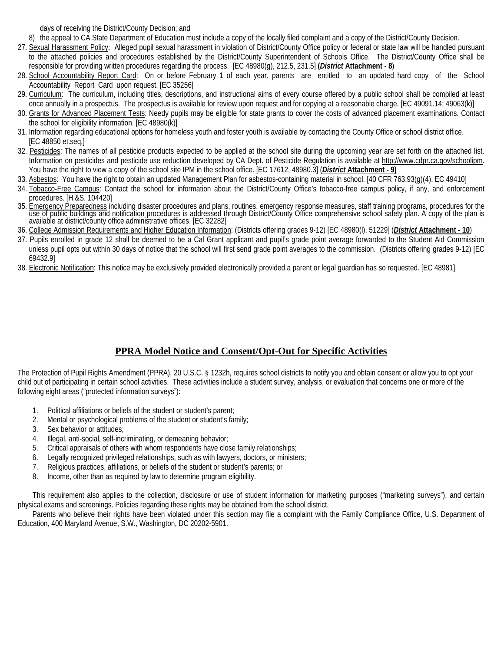days of receiving the District/County Decision; and

8) the appeal to CA State Department of Education must include a copy of the locally filed complaint and a copy of the District/County Decision.

- 27. Sexual Harassment Policy: Alleged pupil sexual harassment in violation of District/County Office policy or federal or state law will be handled pursuant to the attached policies and procedures established by the District/County Superintendent of Schools Office. The District/County Office shall be responsible for providing written procedures regarding the process. [EC 48980(g), 212.5, 231.5] **(***District* **Attachment - 8**)
- 28. School Accountability Report Card: On or before February 1 of each year, parents are entitled to an updated hard copy of the School Accountability Report Card upon request. [EC 35256]
- 29. Curriculum: The curriculum, including titles, descriptions, and instructional aims of every course offered by a public school shall be compiled at least once annually in a prospectus. The prospectus is available for review upon request and for copying at a reasonable charge. [EC 49091.14; 49063(k)]
- 30. Grants for Advanced Placement Tests: Needy pupils may be eligible for state grants to cover the costs of advanced placement examinations. Contact the school for eligibility information. [EC 48980(k)]
- 31. Information regarding educational options for homeless youth and foster youth is available by contacting the County Office or school district office. [EC 48850 et.seq.]
- 32. Pesticides: The names of all pesticide products expected to be applied at the school site during the upcoming year are set forth on the attached list. Information on pesticides and pesticide use reduction developed by CA Dept. of Pesticide Regulation is available at [http://www.cdpr.ca.gov/schoolipm.](http://www.cdpr.ca.gov/schoolipm)  You have the right to view a copy of the school site IPM in the school office. [EC 17612, 48980.3] (*District* **Attachment - 9)**
- 33. Asbestos: You have the right to obtain an updated Management Plan for asbestos-containing material in school. [40 CFR 763.93(g)(4), EC 49410]
- 34. Tobacco-Free Campus: Contact the school for information about the District/County Office's tobacco-free campus policy, if any, and enforcement
- procedures. [H.&S. 104420]<br>35. Emergency Preparedness including disaster procedures and plans, routines, emergency response measures, staff training programs, procedures for the use of public buildings and notification procedures is addressed through District/County Office comprehensive school safety plan. A copy of the plan is available at district/County office administrative offices. [EC 32282]
- 36. College Admission Requirements and Higher Education Information: (Districts offering grades 9-12) [EC 48980(l), 51229] (*District* **Attachment - 10**)
- 37. Pupils enrolled in grade 12 shall be deemed to be a Cal Grant applicant and pupil's grade point average forwarded to the Student Aid Commission unless pupil opts out within 30 days of notice that the school will first send grade point averages to the commission. (Districts offering grades 9-12) [EC 69432.9]
- 38. Electronic Notification: This notice may be exclusively provided electronically provided a parent or legal guardian has so requested. [EC 48981]

#### **PPRA Model Notice and Consent/Opt-Out for Specific Activities**

The Protection of Pupil Rights Amendment (PPRA), 20 U.S.C. § 1232h, requires school districts to notify you and obtain consent or allow you to opt your child out of participating in certain school activities. These activities include a student survey, analysis, or evaluation that concerns one or more of the following eight areas ("protected information surveys"):

- 1. Political affiliations or beliefs of the student or student's parent;
- 2. Mental or psychological problems of the student or student's family;
- 3. Sex behavior or attitudes;
- 4. Illegal, anti-social, self-incriminating, or demeaning behavior;
- 5. Critical appraisals of others with whom respondents have close family relationships;
- 6. Legally recognized privileged relationships, such as with lawyers, doctors, or ministers;
- 7. Religious practices, affiliations, or beliefs of the student or student's parents; or
- 8. Income, other than as required by law to determine program eligibility.

This requirement also applies to the collection, disclosure or use of student information for marketing purposes ("marketing surveys"), and certain physical exams and screenings. Policies regarding these rights may be obtained from the school district.

Parents who believe their rights have been violated under this section may file a complaint with the Family Compliance Office, U.S. Department of Education, 400 Maryland Avenue, S.W., Washington, DC 20202-5901.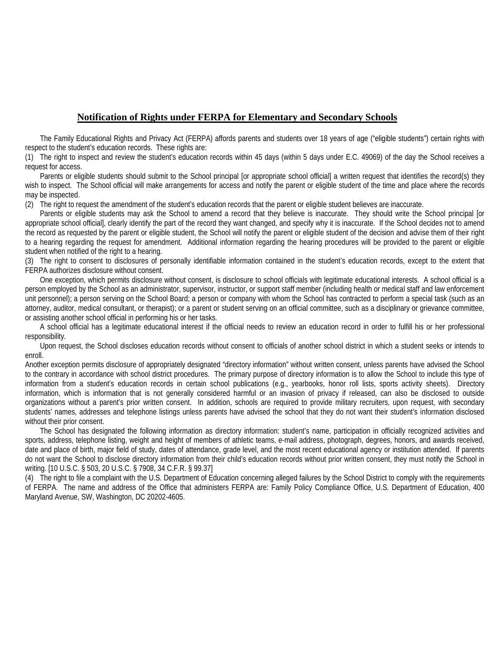#### **Notification of Rights under FERPA for Elementary and Secondary Schools**

The Family Educational Rights and Privacy Act (FERPA) affords parents and students over 18 years of age ("eligible students") certain rights with respect to the student's education records. These rights are:

(1) The right to inspect and review the student's education records within 45 days (within 5 days under E.C. 49069) of the day the School receives a request for access.

Parents or eligible students should submit to the School principal [or appropriate school official] a written request that identifies the record(s) they wish to inspect. The School official will make arrangements for access and notify the parent or eligible student of the time and place where the records may be inspected.

(2) The right to request the amendment of the student's education records that the parent or eligible student believes are inaccurate.

Parents or eligible students may ask the School to amend a record that they believe is inaccurate. They should write the School principal [or appropriate school official], clearly identify the part of the record they want changed, and specify why it is inaccurate. If the School decides not to amend the record as requested by the parent or eligible student, the School will notify the parent or eligible student of the decision and advise them of their right to a hearing regarding the request for amendment. Additional information regarding the hearing procedures will be provided to the parent or eligible student when notified of the right to a hearing.

(3) The right to consent to disclosures of personally identifiable information contained in the student's education records, except to the extent that FERPA authorizes disclosure without consent.

One exception, which permits disclosure without consent, is disclosure to school officials with legitimate educational interests. A school official is a person employed by the School as an administrator, supervisor, instructor, or support staff member (including health or medical staff and law enforcement unit personnel); a person serving on the School Board; a person or company with whom the School has contracted to perform a special task (such as an attorney, auditor, medical consultant, or therapist); or a parent or student serving on an official committee, such as a disciplinary or grievance committee, or assisting another school official in performing his or her tasks.

A school official has a legitimate educational interest if the official needs to review an education record in order to fulfill his or her professional responsibility.

Upon request, the School discloses education records without consent to officials of another school district in which a student seeks or intends to enroll.

Another exception permits disclosure of appropriately designated "directory information" without written consent, unless parents have advised the School to the contrary in accordance with school district procedures. The primary purpose of directory information is to allow the School to include this type of information from a student's education records in certain school publications (e.g., yearbooks, honor roll lists, sports activity sheets). Directory information, which is information that is not generally considered harmful or an invasion of privacy if released, can also be disclosed to outside organizations without a parent's prior written consent. In addition, schools are required to provide military recruiters, upon request, with secondary students' names, addresses and telephone listings unless parents have advised the school that they do not want their student's information disclosed without their prior consent.

The School has designated the following information as directory information: student's name, participation in officially recognized activities and sports, address, telephone listing, weight and height of members of athletic teams, e-mail address, photograph, degrees, honors, and awards received, date and place of birth, major field of study, dates of attendance, grade level, and the most recent educational agency or institution attended. If parents do not want the School to disclose directory information from their child's education records without prior written consent, they must notify the School in writing. [10 U.S.C. § 503, 20 U.S.C. § 7908, 34 C.F.R. § 99.37]

(4) The right to file a complaint with the U.S. Department of Education concerning alleged failures by the School District to comply with the requirements of FERPA. The name and address of the Office that administers FERPA are: Family Policy Compliance Office, U.S. Department of Education, 400 Maryland Avenue, SW, Washington, DC 20202-4605.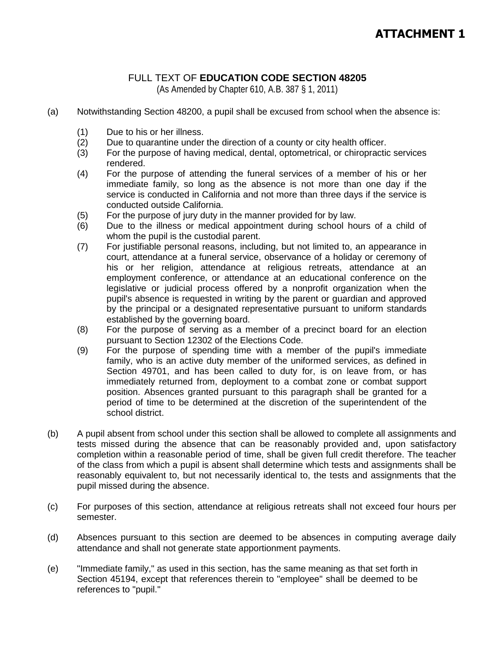#### FULL TEXT OF **EDUCATION CODE SECTION 48205**

(As Amended by Chapter 610, A.B. 387 § 1, 2011)

- (a) Notwithstanding Section 48200, a pupil shall be excused from school when the absence is:
	- (1) Due to his or her illness.<br>(2) Due to quarantine under
	- (2) Due to quarantine under the direction of a county or city health officer.<br>(3) For the purpose of having medical, dental, optometrical, or chiropractic
	- For the purpose of having medical, dental, optometrical, or chiropractic services rendered.
	- (4) For the purpose of attending the funeral services of a member of his or her immediate family, so long as the absence is not more than one day if the service is conducted in California and not more than three days if the service is conducted outside California.
	- (5) For the purpose of jury duty in the manner provided for by law.<br>(6) Due to the illness or medical appointment during school hou
	- Due to the illness or medical appointment during school hours of a child of whom the pupil is the custodial parent.
	- (7) For justifiable personal reasons, including, but not limited to, an appearance in court, attendance at a funeral service, observance of a holiday or ceremony of his or her religion, attendance at religious retreats, attendance at an employment conference, or attendance at an educational conference on the legislative or judicial process offered by a nonprofit organization when the pupil's absence is requested in writing by the parent or guardian and approved by the principal or a designated representative pursuant to uniform standards established by the governing board.
	- (8) For the purpose of serving as a member of a precinct board for an election pursuant to Section 12302 of the Elections Code.
	- (9) For the purpose of spending time with a member of the pupil's immediate family, who is an active duty member of the uniformed services, as defined in Section 49701, and has been called to duty for, is on leave from, or has immediately returned from, deployment to a combat zone or combat support position. Absences granted pursuant to this paragraph shall be granted for a period of time to be determined at the discretion of the superintendent of the school district.
- (b) A pupil absent from school under this section shall be allowed to complete all assignments and tests missed during the absence that can be reasonably provided and, upon satisfactory completion within a reasonable period of time, shall be given full credit therefore. The teacher of the class from which a pupil is absent shall determine which tests and assignments shall be reasonably equivalent to, but not necessarily identical to, the tests and assignments that the pupil missed during the absence.
- (c) For purposes of this section, attendance at religious retreats shall not exceed four hours per semester.
- (d) Absences pursuant to this section are deemed to be absences in computing average daily attendance and shall not generate state apportionment payments.
- (e) "Immediate family," as used in this section, has the same meaning as that set forth in Section 45194, except that references therein to "employee" shall be deemed to be references to "pupil."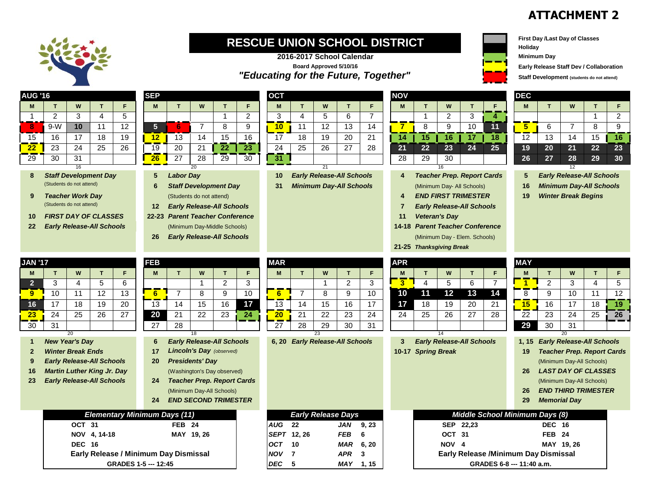



# **RESCUE UNION SCHOOL DISTRICT**

#### *"Educating for the Future, Together"* **2016-2017 School Calendar Board Approved 5/10/16**

 **Holiday**

 **Minimum Day**

 **Early Release Staff Dev / Collaboration**

 **Staff Development (students do not attend)**

| <b>AUG '16</b>                                               |       |                |    |         | <b>SEP</b> |                               |                      |    |           | <b>OCT</b> |    |                |    |    | <b>NOV</b> |    |     |    |    | <b>DEC</b> |
|--------------------------------------------------------------|-------|----------------|----|---------|------------|-------------------------------|----------------------|----|-----------|------------|----|----------------|----|----|------------|----|-----|----|----|------------|
| M                                                            |       | W              |    |         | <b>MI</b>  |                               | W                    |    |           | M          |    | W              |    | Е  | M          |    | W   |    | Е  | M          |
|                                                              | ◠     | ⌒              |    | .5      |            |                               |                      |    |           | ົ          | 4  |                | 6  |    |            |    |     | ົ  |    |            |
| <u> The Company of Service State Service Sta</u><br>$\bf{8}$ | $9-W$ | 10             | 44 | 12<br>▵ | 5          | <b><i><u>Property</u></i></b> |                      | я  | 9         | 10         | -4 | 12<br><u>_</u> | 13 | 14 |            | ິ  |     | 10 | 11 |            |
| $ -$<br>15                                                   | 16    | $\overline{7}$ | 18 | 19      | 12         | 13                            | 14                   | 15 | 16        | 17         | 18 | 19             | 20 | 21 | 14         | 15 | . . |    | 18 | 12         |
| $\overline{22}$                                              | 23    | 24             | 25 | 26      | 19         | 20                            | $\Omega$<br><u>_</u> | 22 | ົ<br>25   | 24         | 25 | 26             | 27 | 28 | 21         | 22 | 23  | 24 | 25 | 19         |
| <u>— 1</u><br>29                                             | 30    | 31             |    |         | 26         | 27                            | 28                   | 29 | ___<br>30 | 31         |    |                |    |    | 28         | 29 | 30  |    |    | 26         |
|                                                              |       | 16             |    |         |            |                               | $20^{\circ}$         |    |           |            |    | 21             |    |    |            |    | 16  |    |    |            |

- 
- 
- **10** *FIRST DAY OF CLASSES* **22-23** *Parent Teacher Conference* **11** *Veteran's Day*
- 

|                |    |                   |    |    |              |     |                                  |    |                                   |                 |    |    |                                  |     |            |    | $-1 - 2 - 111$              |             |    |            |    |        |                                |                         |
|----------------|----|-------------------|----|----|--------------|-----|----------------------------------|----|-----------------------------------|-----------------|----|----|----------------------------------|-----|------------|----|-----------------------------|-------------|----|------------|----|--------|--------------------------------|-------------------------|
| <b>JAN '17</b> |    |                   |    |    | <b>FEB</b>   |     |                                  |    |                                   | <b>MAR</b>      |    |    |                                  |     | <b>APR</b> |    |                             |             |    | <b>MAY</b> |    |        |                                |                         |
| M              |    | W                 |    |    | <b>BA</b>    |     | W                                |    |                                   | M               |    | W  |                                  |     | w          |    | W                           |             |    |            |    | W      |                                |                         |
| $\sim$         |    | ↵                 |    | 6  |              |     |                                  |    | ◠<br>.ა                           |                 |    |    |                                  | - 0 |            |    |                             | $\sim$<br>6 |    |            |    | ີ<br>w |                                | -5                      |
| $\overline{9}$ | 10 | 11                | 12 | 13 |              |     |                                  |    | 10                                | 6               |    | o  |                                  | 10  | 10         | 11 | 12                          | 13          | 14 |            | 9  | 10     |                                | 12                      |
| 16             | 17 | 18                | 19 | 20 | ______<br>13 | ا 4 | 15                               | 16 | 47                                | 13              | 14 | 15 | 16                               | 17  |            | 18 | 19                          | 20          | 21 | 15         | 16 | 17     | 18                             | 19                      |
| 23             | 24 | 25                | 26 | 27 | 20           | 21  | 22                               | 23 | 24                                | $\overline{20}$ | 21 | 22 | 23                               | 24  | 24         | 25 | 26                          | 27          | 28 | 22         | 23 | 24     | 25                             | - 11<br>$\overline{26}$ |
| 30             | 31 |                   |    |    | 27           | 28  |                                  |    | <b>Contract Contract Contract</b> | 27              | 28 | 29 | 30                               | 31  |            |    |                             |             |    | 29         | 30 | 31     |                                | --                      |
|                |    | 20                |    |    |              |     |                                  |    |                                   |                 |    |    |                                  |     |            |    |                             |             |    |            |    | 20     |                                |                         |
| $\overline{a}$ |    | Alant Vagula Darr |    |    | $\sim$       |     | <b>Fach: Delegas All Cabanie</b> |    |                                   |                 |    |    | C. O. Fault: Delegas All Cabaala |     | $\sim$     |    | Fach: Delegas, All Cabaala. |             |    |            |    |        | 4 AF Fach: Delegan All Cabanie |                         |

- 
- 
- 
- 
- **23 Early Release-All Schools** 24 Teacher Prep. Report Cards

| SEP |    |    |    |    |
|-----|----|----|----|----|
| M   |    | W  |    | F  |
|     |    |    |    | 2  |
| 5   |    |    | 8  | 9  |
| 12  | 13 | 14 | 15 | 16 |
| 19  | 20 | 21 | 22 | 23 |
| 26  | 27 | 28 | 29 | 30 |
|     |    |    |    |    |

(Students do not attend) **12** *Early Release-All Schools* **7** *Early Release-All Schools*

- -

|                |                 | <b>MAR</b>      |    |    |
|----------------|-----------------|-----------------|----|----|
| т              | F               | M               | т  |    |
| $\overline{c}$ | 3               |                 |    |    |
| 9              | 10              | 6               | 7  |    |
| 16             | 17              | $\overline{13}$ | 14 |    |
| 23             | $\overline{24}$ | $\overline{20}$ | 21 | ź  |
|                |                 | $\overline{27}$ | 28 | ź  |
|                |                 |                 |    | 23 |

- **1** *New Year's Day* **6** *Early Release-All Schools* **6, 20** *Early Release-All Schools* **3** *Early Release-All Schools* **1, 15** *Early Release-All Schools*
- **9** *Early Release-All Schools* **20** *Presidents' Day*
- **16** *Martin Luther King Jr. Day* (Washington's Day observed)
	- **(Minimum Day-All Schools)**
	- **24** *END SECOND TRIMESTER* **29** *Memorial Day*

| <b>Elementary Minimum Days (11)</b>   |               |            |            | <b>Early Release Days</b> |      | Middle School Minimum Days (8)            |
|---------------------------------------|---------------|------------|------------|---------------------------|------|-------------------------------------------|
| OCT 31                                | <b>FEB 24</b> | <b>AUG</b> | -22        | JAN                       | 9.23 | DEC 16<br>SEP 22,23                       |
| NOV 4, 14-18                          | MAY 19, 26    |            | SEPT 12.26 | FEB                       |      | FEB <sub>24</sub><br>OCT 31               |
| <b>DEC 16</b>                         |               | <b>OCT</b> | 10         | <i>MAR</i> 6, 20          |      | <b>MAY 19</b><br>NOV <sub>4</sub>         |
| Early Release / Minimum Day Dismissal |               | <b>NOV</b> |            | APR                       |      | <b>Early Release /Minimum Day Dismiss</b> |
| GRADES 1-5 --- 12:45                  |               | <b>DEC</b> |            | <b>MAY</b>                | 1.15 | GRADES 6-8 --- 11:40 a.m.                 |

|                  |    | <b>Early Release Days</b> |    |
|------------------|----|---------------------------|----|
| AUG 22           |    | $JAN$ 9, 23               |    |
| SEPT 12, 26      |    | FEB                       | 6  |
| OCT 10           |    | MAR 6, 20                 |    |
| NOV <sub>7</sub> |    | <b>APR</b>                | -3 |
| DEC              | -5 | MAY 1.15                  |    |

| UG '16          |     |    |    |    | <b>SEP</b>      |    |                |                 |                 | <b>OCT</b>                  |    |    |    |    | <b>NOV</b> |    |    |    |                 | <b>DEC</b>        |    |    |    |    |
|-----------------|-----|----|----|----|-----------------|----|----------------|-----------------|-----------------|-----------------------------|----|----|----|----|------------|----|----|----|-----------------|-------------------|----|----|----|----|
| M               |     | W  |    |    | M               |    | W              |                 |                 | M                           |    | W  |    |    | M          |    | W  |    |                 | M                 |    | W  |    |    |
|                 | ົ   | 3  |    | ວ  |                 |    |                |                 |                 |                             |    |    | 6  |    |            |    |    |    |                 |                   |    |    |    |    |
| 8               | 9-W | 10 | 11 | 12 |                 | 61 |                | 8               |                 | 10                          |    | 12 | 13 | 14 |            | ິດ |    | 10 |                 |                   |    |    |    | 9  |
| 15              | 16  | 17 | 18 | 19 | 12 <sub>2</sub> | 13 | 14             | 15              | 16<br>__        | 17                          | 18 | 19 | 20 | 21 | 14         | 15 | 16 |    | 18 <sup>1</sup> | $12 \overline{ }$ | 13 | 14 | 15 | 16 |
| $\overline{22}$ | 23  | 24 | 25 | 26 | 19              | 20 | 2 <sup>1</sup> | 22              | 23              | 24                          | 25 | 26 | 27 | 28 | 21         | 22 | 23 | 24 | 25              | 19                | 20 | 21 | 22 | 23 |
| 29              | 30  | 31 |    |    | 26              | 27 | 28             | $\overline{29}$ | $\overline{30}$ | 31                          |    |    |    |    | 28         | 29 | 30 |    |                 | 26                | 27 | 28 | 29 | 30 |
|                 |     | 16 |    |    |                 |    |                |                 |                 | and the control of the con- |    | 24 |    |    |            |    |    |    |                 |                   |    |    |    |    |

- **8** *Staff Development Day* **5** *Labor Day* **10** *Early Release-All Schools* **4** *Teacher Prep. Report Cards* **5** *Early Release-All Schools* (Students do not attend) **6** *Staff Development Day* **31** *Minimum Day-All Schools* (Minimum Day- All Schools) **16** *Minimum Day-All Schools*
- **9** *Teacher Work Day* (Students do not attend) **4** *END FIRST TRIMESTER* **19** *Winter Break Begins*
	-
	-
- **22** *Early Release-All Schools* (Minimum Day-Middle Schools) **14-18** *Parent Teacher Conference* **26** *Early Release-All Schools* (Minimum Day - Elem. Schools)
	- **21-25** *Thanksgiving Break*

|    |         |    | <b>FEB</b>     |    |        |        |        | <b>MAR</b>       |                |    |        |        | <b>APR</b> |    |    |    |    | <b>MAY</b> |        |    |
|----|---------|----|----------------|----|--------|--------|--------|------------------|----------------|----|--------|--------|------------|----|----|----|----|------------|--------|----|
| W  |         | E  | M              | -  | W      |        |        | M                |                | W  | ÷      | п      | ш          | -  | W  | -  | Е  | M          | T.     |    |
| 4  |         | 6  |                |    |        | ◠<br>৴ | ົ<br>ີ |                  |                |    | ົ<br>▃ | ◠<br>ت | ٠<br>o     | 4  | G  | 6  |    |            | ີ<br>▵ |    |
| 11 | 12<br>∼ | 13 | 6              |    | Ω<br>ບ | я      | 10     | 6                | -              | 8  | 9      | 10     | 10         | 44 | 12 | 13 | 14 | 8          | 9      |    |
| 18 | 19      | 20 | 13             | 14 | 15     | 16     | 47     | <b>. .</b><br>13 | 14             | 15 | 16     | 17     | 47         | 18 | 19 | 20 | 21 | 15         | 16     |    |
| 25 | 26      | 27 | 20             | 21 | 22     | 23     | 24     | 20 <sub>l</sub>  | 21<br>$\sim$ 1 | 22 | 23     | 24     | 24         | 25 | 26 | 27 | 28 | 22         | 23     |    |
|    |         |    | 27<br><u>_</u> | 28 |        |        |        | 27               | 28             | 29 | 30     | 31     |            |    |    |    |    | 29         | 30     |    |
| 20 |         |    |                |    | 18     |        |        |                  |                | 23 |        |        |            |    | 14 |    |    |            |        | 20 |

| N '17          |                       |                          |                                   |    | <b>FEB</b> |    |                                   |                |    | <b>MAR</b> |                                 |    |                |    | <b>APR</b> |                    |    |                                  |    | <b>MAY</b> |                                 |                                   |    |    |
|----------------|-----------------------|--------------------------|-----------------------------------|----|------------|----|-----------------------------------|----------------|----|------------|---------------------------------|----|----------------|----|------------|--------------------|----|----------------------------------|----|------------|---------------------------------|-----------------------------------|----|----|
|                |                       | W                        |                                   |    | M          |    | W                                 |                |    | <b>M</b>   |                                 | W  |                |    | M          |                    | W  |                                  |    | M          |                                 | W                                 |    |    |
|                | 3                     |                          | 5                                 | 6  |            |    |                                   | $\overline{2}$ | 3  |            |                                 |    | $\overline{2}$ | 3  | 3          |                    | 5. | 6                                |    |            | $\overline{2}$                  | 3                                 | 4  | 5  |
|                | 10                    | 11                       | 12                                | 13 | 6          |    | 8                                 | 9              | 10 | 6          |                                 | 8  | 9              | 10 | 10         | 11                 | 12 | 13                               | 14 | 8          | 9                               | 10                                | 11 | 12 |
| 6 <sup>1</sup> | 17                    | 18                       | 19                                | 20 | 13         | 14 | 15                                | 16             | 17 | 13         | 14                              | 15 | 16             | 17 | 17         | 18                 | 19 | 20                               | 21 | 15         | 16                              | 17                                | 18 | 19 |
|                | 24                    | 25                       | 26                                | 27 | 20         | 21 | 22                                | 23             | 24 | 20         | 21                              | 22 | 23             | 24 | 24         | 25                 | 26 | 27                               | 28 | 22         | 23                              | 24                                | 25 | 26 |
|                | 31                    |                          |                                   |    | 27         | 28 |                                   |                |    | 27         | 28                              | 29 | 30             | 31 |            |                    |    |                                  |    | 29         | 30                              | 31                                |    |    |
|                |                       | 20                       |                                   |    |            |    |                                   |                |    |            |                                 |    |                |    |            |                    |    |                                  |    |            |                                 | 20                                |    |    |
|                | <b>New Year's Day</b> |                          |                                   |    | 6          |    | <b>Early Release-All Schools</b>  |                |    |            | 6, 20 Early Release-All Schools |    |                |    | 3          |                    |    | <b>Early Release-All Schools</b> |    |            | 1, 15 Early Release-All Schools |                                   |    |    |
|                |                       | <b>Winter Break Ends</b> |                                   |    | 17         |    | <b>Lincoln's Day</b> (observed)   |                |    |            |                                 |    |                |    |            | 10-17 Spring Break |    |                                  |    | 19         |                                 | <b>Teacher Prep. Report Cards</b> |    |    |
|                |                       |                          | <b>Early Release-All Schools</b>  |    | <b>20</b>  |    | <b>Presidents' Day</b>            |                |    |            |                                 |    |                |    |            |                    |    |                                  |    |            |                                 | (Minimum Day-All Schools)         |    |    |
| 6              |                       |                          | <b>Martin Luther King Jr. Day</b> |    |            |    | (Washington's Day observed)       |                |    |            |                                 |    |                |    |            |                    |    |                                  |    | 26         |                                 | <b>LAST DAY OF CLASSES</b>        |    |    |
|                |                       |                          | <b>Early Release-All Schools</b>  |    | 24         |    | <b>Teacher Prep. Report Cards</b> |                |    |            |                                 |    |                |    |            |                    |    |                                  |    |            |                                 | (Minimum Day-All Schools)         |    |    |
|                |                       |                          |                                   |    |            |    | (Minimum Day-All Schools)         |                |    |            |                                 |    |                |    |            |                    |    |                                  |    | 26         |                                 | <b>END THIRD TRIMESTER</b>        |    |    |
|                |                       |                          |                                   |    | 24         |    | <b>END SECOND TRIMESTER</b>       |                |    |            |                                 |    |                |    |            |                    |    |                                  |    | 29         |                                 | <b>Memorial Day</b>               |    |    |
|                |                       |                          |                                   |    |            |    |                                   |                |    |            |                                 |    |                |    |            |                    |    |                                  |    |            |                                 |                                   |    |    |

| <b>Elementary Minimum Days (11)</b>   |                      |            |            | <b>Early Release Days</b> |     |       |                  |           | Middle School Minimum Days (8)              |                   |            |  |
|---------------------------------------|----------------------|------------|------------|---------------------------|-----|-------|------------------|-----------|---------------------------------------------|-------------------|------------|--|
| OCT 31                                | <b>FEB 24</b>        |            | <b>AUG</b> | -22                       | JAN | 9.23  |                  | SEP 22.23 |                                             | <b>DEC 16</b>     |            |  |
| NOV 4, 14-18                          |                      | MAY 19, 26 |            | SEPT 12, 26               | FEB |       | OCT 31           |           |                                             | FEB <sub>24</sub> |            |  |
| <b>DEC 16</b>                         |                      |            | <b>OCT</b> | 10                        | MAR | 6.20  | NOV <sub>4</sub> |           |                                             |                   | MAY 19, 26 |  |
| Early Release / Minimum Day Dismissal |                      |            | <b>NOV</b> |                           | APR |       |                  |           | <b>Early Release /Minimum Day Dismissal</b> |                   |            |  |
|                                       | GRADES 1-5 --- 12:45 |            | <b>DEC</b> |                           | MAY | 1, 15 |                  |           | GRADES 6-8 --- 11:40 a.m.                   |                   |            |  |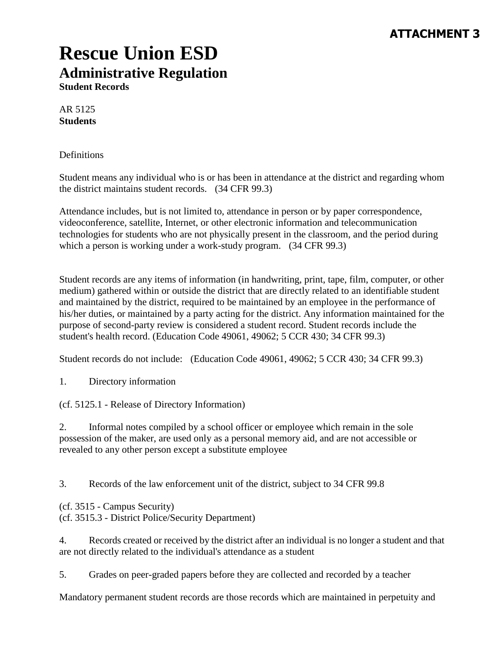# **ATTACHMENT 3**

# **Rescue Union ESD Administrative Regulation Student Records**

AR 5125 **Students**

**Definitions** 

Student means any individual who is or has been in attendance at the district and regarding whom the district maintains student records. (34 CFR 99.3)

Attendance includes, but is not limited to, attendance in person or by paper correspondence, videoconference, satellite, Internet, or other electronic information and telecommunication technologies for students who are not physically present in the classroom, and the period during which a person is working under a work-study program. (34 CFR 99.3)

Student records are any items of information (in handwriting, print, tape, film, computer, or other medium) gathered within or outside the district that are directly related to an identifiable student and maintained by the district, required to be maintained by an employee in the performance of his/her duties, or maintained by a party acting for the district. Any information maintained for the purpose of second-party review is considered a student record. Student records include the student's health record. (Education Code 49061, 49062; 5 CCR 430; 34 CFR 99.3)

Student records do not include: (Education Code 49061, 49062; 5 CCR 430; 34 CFR 99.3)

1. Directory information

(cf. 5125.1 - Release of Directory Information)

2. Informal notes compiled by a school officer or employee which remain in the sole possession of the maker, are used only as a personal memory aid, and are not accessible or revealed to any other person except a substitute employee

3. Records of the law enforcement unit of the district, subject to 34 CFR 99.8

(cf. 3515 - Campus Security) (cf. 3515.3 - District Police/Security Department)

4. Records created or received by the district after an individual is no longer a student and that are not directly related to the individual's attendance as a student

5. Grades on peer-graded papers before they are collected and recorded by a teacher

Mandatory permanent student records are those records which are maintained in perpetuity and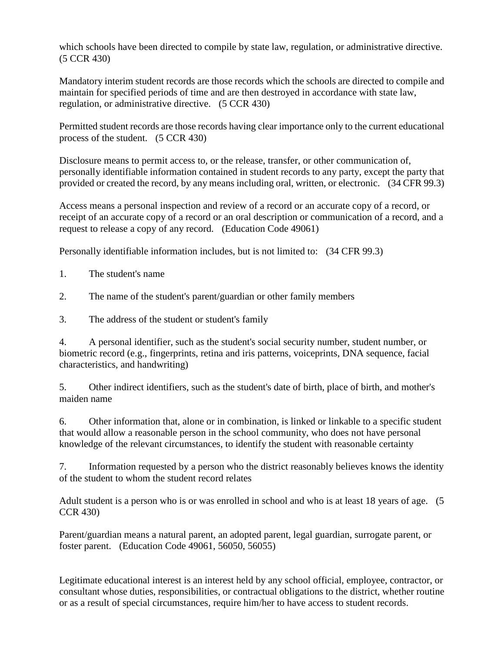which schools have been directed to compile by state law, regulation, or administrative directive. (5 CCR 430)

Mandatory interim student records are those records which the schools are directed to compile and maintain for specified periods of time and are then destroyed in accordance with state law, regulation, or administrative directive. (5 CCR 430)

Permitted student records are those records having clear importance only to the current educational process of the student. (5 CCR 430)

Disclosure means to permit access to, or the release, transfer, or other communication of, personally identifiable information contained in student records to any party, except the party that provided or created the record, by any means including oral, written, or electronic. (34 CFR 99.3)

Access means a personal inspection and review of a record or an accurate copy of a record, or receipt of an accurate copy of a record or an oral description or communication of a record, and a request to release a copy of any record. (Education Code 49061)

Personally identifiable information includes, but is not limited to: (34 CFR 99.3)

- 1. The student's name
- 2. The name of the student's parent/guardian or other family members
- 3. The address of the student or student's family

4. A personal identifier, such as the student's social security number, student number, or biometric record (e.g., fingerprints, retina and iris patterns, voiceprints, DNA sequence, facial characteristics, and handwriting)

5. Other indirect identifiers, such as the student's date of birth, place of birth, and mother's maiden name

6. Other information that, alone or in combination, is linked or linkable to a specific student that would allow a reasonable person in the school community, who does not have personal knowledge of the relevant circumstances, to identify the student with reasonable certainty

7. Information requested by a person who the district reasonably believes knows the identity of the student to whom the student record relates

Adult student is a person who is or was enrolled in school and who is at least 18 years of age. (5 CCR 430)

Parent/guardian means a natural parent, an adopted parent, legal guardian, surrogate parent, or foster parent. (Education Code 49061, 56050, 56055)

Legitimate educational interest is an interest held by any school official, employee, contractor, or consultant whose duties, responsibilities, or contractual obligations to the district, whether routine or as a result of special circumstances, require him/her to have access to student records.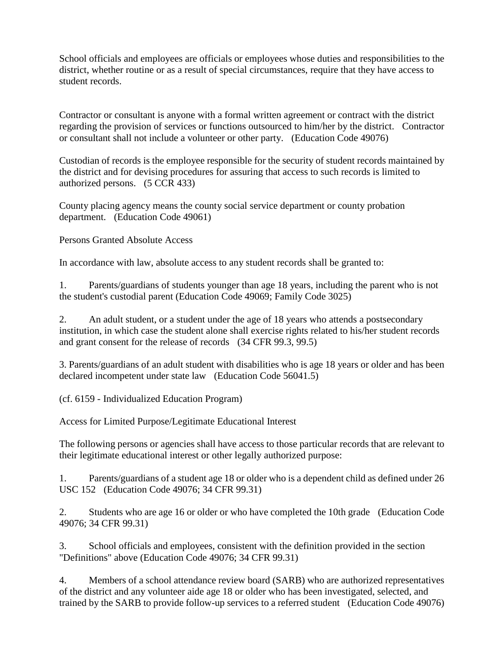School officials and employees are officials or employees whose duties and responsibilities to the district, whether routine or as a result of special circumstances, require that they have access to student records.

Contractor or consultant is anyone with a formal written agreement or contract with the district regarding the provision of services or functions outsourced to him/her by the district. Contractor or consultant shall not include a volunteer or other party. (Education Code 49076)

Custodian of records is the employee responsible for the security of student records maintained by the district and for devising procedures for assuring that access to such records is limited to authorized persons. (5 CCR 433)

County placing agency means the county social service department or county probation department. (Education Code 49061)

Persons Granted Absolute Access

In accordance with law, absolute access to any student records shall be granted to:

1. Parents/guardians of students younger than age 18 years, including the parent who is not the student's custodial parent (Education Code 49069; Family Code 3025)

2. An adult student, or a student under the age of 18 years who attends a postsecondary institution, in which case the student alone shall exercise rights related to his/her student records and grant consent for the release of records (34 CFR 99.3, 99.5)

3. Parents/guardians of an adult student with disabilities who is age 18 years or older and has been declared incompetent under state law (Education Code 56041.5)

(cf. 6159 - Individualized Education Program)

Access for Limited Purpose/Legitimate Educational Interest

The following persons or agencies shall have access to those particular records that are relevant to their legitimate educational interest or other legally authorized purpose:

1. Parents/guardians of a student age 18 or older who is a dependent child as defined under 26 USC 152 (Education Code 49076; 34 CFR 99.31)

2. Students who are age 16 or older or who have completed the 10th grade (Education Code 49076; 34 CFR 99.31)

3. School officials and employees, consistent with the definition provided in the section "Definitions" above (Education Code 49076; 34 CFR 99.31)

4. Members of a school attendance review board (SARB) who are authorized representatives of the district and any volunteer aide age 18 or older who has been investigated, selected, and trained by the SARB to provide follow-up services to a referred student (Education Code 49076)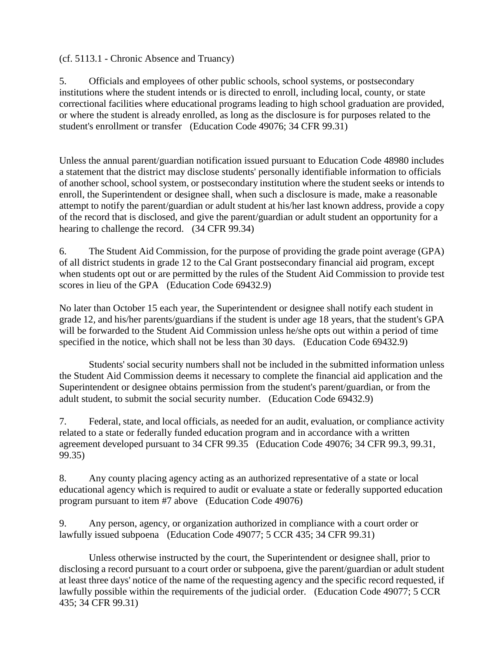#### (cf. 5113.1 - Chronic Absence and Truancy)

5. Officials and employees of other public schools, school systems, or postsecondary institutions where the student intends or is directed to enroll, including local, county, or state correctional facilities where educational programs leading to high school graduation are provided, or where the student is already enrolled, as long as the disclosure is for purposes related to the student's enrollment or transfer (Education Code 49076; 34 CFR 99.31)

Unless the annual parent/guardian notification issued pursuant to Education Code 48980 includes a statement that the district may disclose students' personally identifiable information to officials of another school, school system, or postsecondary institution where the student seeks or intends to enroll, the Superintendent or designee shall, when such a disclosure is made, make a reasonable attempt to notify the parent/guardian or adult student at his/her last known address, provide a copy of the record that is disclosed, and give the parent/guardian or adult student an opportunity for a hearing to challenge the record. (34 CFR 99.34)

6. The Student Aid Commission, for the purpose of providing the grade point average (GPA) of all district students in grade 12 to the Cal Grant postsecondary financial aid program, except when students opt out or are permitted by the rules of the Student Aid Commission to provide test scores in lieu of the GPA (Education Code 69432.9)

No later than October 15 each year, the Superintendent or designee shall notify each student in grade 12, and his/her parents/guardians if the student is under age 18 years, that the student's GPA will be forwarded to the Student Aid Commission unless he/she opts out within a period of time specified in the notice, which shall not be less than 30 days. (Education Code 69432.9)

Students' social security numbers shall not be included in the submitted information unless the Student Aid Commission deems it necessary to complete the financial aid application and the Superintendent or designee obtains permission from the student's parent/guardian, or from the adult student, to submit the social security number. (Education Code 69432.9)

7. Federal, state, and local officials, as needed for an audit, evaluation, or compliance activity related to a state or federally funded education program and in accordance with a written agreement developed pursuant to 34 CFR 99.35 (Education Code 49076; 34 CFR 99.3, 99.31, 99.35)

8. Any county placing agency acting as an authorized representative of a state or local educational agency which is required to audit or evaluate a state or federally supported education program pursuant to item #7 above (Education Code 49076)

9. Any person, agency, or organization authorized in compliance with a court order or lawfully issued subpoena (Education Code 49077; 5 CCR 435; 34 CFR 99.31)

Unless otherwise instructed by the court, the Superintendent or designee shall, prior to disclosing a record pursuant to a court order or subpoena, give the parent/guardian or adult student at least three days' notice of the name of the requesting agency and the specific record requested, if lawfully possible within the requirements of the judicial order. (Education Code 49077; 5 CCR 435; 34 CFR 99.31)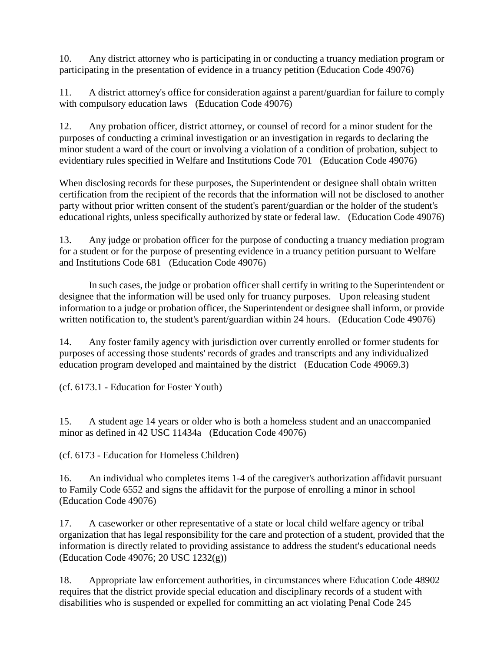10. Any district attorney who is participating in or conducting a truancy mediation program or participating in the presentation of evidence in a truancy petition (Education Code 49076)

11. A district attorney's office for consideration against a parent/guardian for failure to comply with compulsory education laws (Education Code 49076)

12. Any probation officer, district attorney, or counsel of record for a minor student for the purposes of conducting a criminal investigation or an investigation in regards to declaring the minor student a ward of the court or involving a violation of a condition of probation, subject to evidentiary rules specified in Welfare and Institutions Code 701 (Education Code 49076)

When disclosing records for these purposes, the Superintendent or designee shall obtain written certification from the recipient of the records that the information will not be disclosed to another party without prior written consent of the student's parent/guardian or the holder of the student's educational rights, unless specifically authorized by state or federal law. (Education Code 49076)

13. Any judge or probation officer for the purpose of conducting a truancy mediation program for a student or for the purpose of presenting evidence in a truancy petition pursuant to Welfare and Institutions Code 681 (Education Code 49076)

In such cases, the judge or probation officer shall certify in writing to the Superintendent or designee that the information will be used only for truancy purposes. Upon releasing student information to a judge or probation officer, the Superintendent or designee shall inform, or provide written notification to, the student's parent/guardian within 24 hours. (Education Code 49076)

14. Any foster family agency with jurisdiction over currently enrolled or former students for purposes of accessing those students' records of grades and transcripts and any individualized education program developed and maintained by the district (Education Code 49069.3)

(cf. 6173.1 - Education for Foster Youth)

15. A student age 14 years or older who is both a homeless student and an unaccompanied minor as defined in 42 USC 11434a (Education Code 49076)

(cf. 6173 - Education for Homeless Children)

16. An individual who completes items 1-4 of the caregiver's authorization affidavit pursuant to Family Code 6552 and signs the affidavit for the purpose of enrolling a minor in school (Education Code 49076)

17. A caseworker or other representative of a state or local child welfare agency or tribal organization that has legal responsibility for the care and protection of a student, provided that the information is directly related to providing assistance to address the student's educational needs (Education Code 49076; 20 USC 1232(g))

18. Appropriate law enforcement authorities, in circumstances where Education Code 48902 requires that the district provide special education and disciplinary records of a student with disabilities who is suspended or expelled for committing an act violating Penal Code 245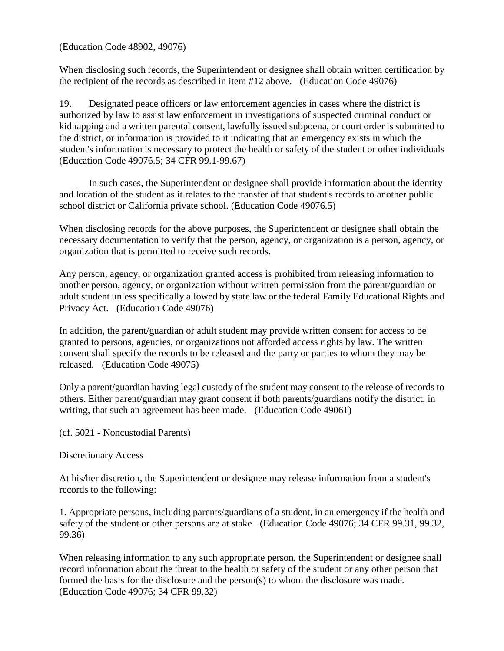(Education Code 48902, 49076)

When disclosing such records, the Superintendent or designee shall obtain written certification by the recipient of the records as described in item #12 above. (Education Code 49076)

19. Designated peace officers or law enforcement agencies in cases where the district is authorized by law to assist law enforcement in investigations of suspected criminal conduct or kidnapping and a written parental consent, lawfully issued subpoena, or court order is submitted to the district, or information is provided to it indicating that an emergency exists in which the student's information is necessary to protect the health or safety of the student or other individuals (Education Code 49076.5; 34 CFR 99.1-99.67)

In such cases, the Superintendent or designee shall provide information about the identity and location of the student as it relates to the transfer of that student's records to another public school district or California private school. (Education Code 49076.5)

When disclosing records for the above purposes, the Superintendent or designee shall obtain the necessary documentation to verify that the person, agency, or organization is a person, agency, or organization that is permitted to receive such records.

Any person, agency, or organization granted access is prohibited from releasing information to another person, agency, or organization without written permission from the parent/guardian or adult student unless specifically allowed by state law or the federal Family Educational Rights and Privacy Act. (Education Code 49076)

In addition, the parent/guardian or adult student may provide written consent for access to be granted to persons, agencies, or organizations not afforded access rights by law. The written consent shall specify the records to be released and the party or parties to whom they may be released. (Education Code 49075)

Only a parent/guardian having legal custody of the student may consent to the release of records to others. Either parent/guardian may grant consent if both parents/guardians notify the district, in writing, that such an agreement has been made. (Education Code 49061)

(cf. 5021 - Noncustodial Parents)

Discretionary Access

At his/her discretion, the Superintendent or designee may release information from a student's records to the following:

1. Appropriate persons, including parents/guardians of a student, in an emergency if the health and safety of the student or other persons are at stake (Education Code 49076; 34 CFR 99.31, 99.32, 99.36)

When releasing information to any such appropriate person, the Superintendent or designee shall record information about the threat to the health or safety of the student or any other person that formed the basis for the disclosure and the person(s) to whom the disclosure was made. (Education Code 49076; 34 CFR 99.32)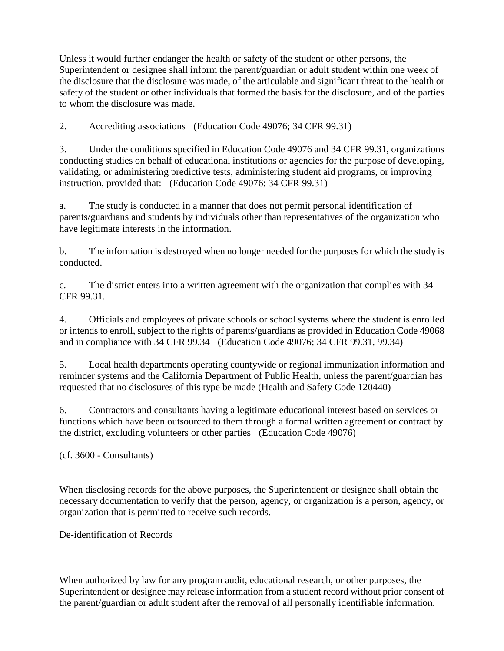Unless it would further endanger the health or safety of the student or other persons, the Superintendent or designee shall inform the parent/guardian or adult student within one week of the disclosure that the disclosure was made, of the articulable and significant threat to the health or safety of the student or other individuals that formed the basis for the disclosure, and of the parties to whom the disclosure was made.

2. Accrediting associations (Education Code 49076; 34 CFR 99.31)

3. Under the conditions specified in Education Code 49076 and 34 CFR 99.31, organizations conducting studies on behalf of educational institutions or agencies for the purpose of developing, validating, or administering predictive tests, administering student aid programs, or improving instruction, provided that: (Education Code 49076; 34 CFR 99.31)

a. The study is conducted in a manner that does not permit personal identification of parents/guardians and students by individuals other than representatives of the organization who have legitimate interests in the information.

b. The information is destroyed when no longer needed for the purposes for which the study is conducted.

c. The district enters into a written agreement with the organization that complies with 34 CFR 99.31.

4. Officials and employees of private schools or school systems where the student is enrolled or intends to enroll, subject to the rights of parents/guardians as provided in Education Code 49068 and in compliance with 34 CFR 99.34 (Education Code 49076; 34 CFR 99.31, 99.34)

5. Local health departments operating countywide or regional immunization information and reminder systems and the California Department of Public Health, unless the parent/guardian has requested that no disclosures of this type be made (Health and Safety Code 120440)

6. Contractors and consultants having a legitimate educational interest based on services or functions which have been outsourced to them through a formal written agreement or contract by the district, excluding volunteers or other parties (Education Code 49076)

(cf. 3600 - Consultants)

When disclosing records for the above purposes, the Superintendent or designee shall obtain the necessary documentation to verify that the person, agency, or organization is a person, agency, or organization that is permitted to receive such records.

De-identification of Records

When authorized by law for any program audit, educational research, or other purposes, the Superintendent or designee may release information from a student record without prior consent of the parent/guardian or adult student after the removal of all personally identifiable information.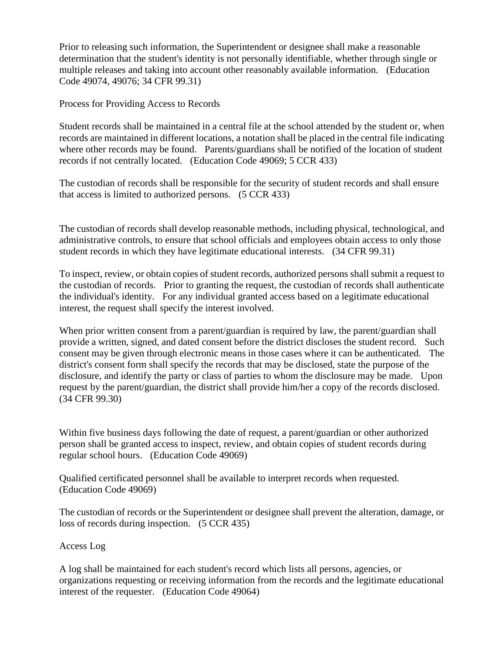Prior to releasing such information, the Superintendent or designee shall make a reasonable determination that the student's identity is not personally identifiable, whether through single or multiple releases and taking into account other reasonably available information. (Education Code 49074, 49076; 34 CFR 99.31)

Process for Providing Access to Records

Student records shall be maintained in a central file at the school attended by the student or, when records are maintained in different locations, a notation shall be placed in the central file indicating where other records may be found. Parents/guardians shall be notified of the location of student records if not centrally located. (Education Code 49069; 5 CCR 433)

The custodian of records shall be responsible for the security of student records and shall ensure that access is limited to authorized persons. (5 CCR 433)

The custodian of records shall develop reasonable methods, including physical, technological, and administrative controls, to ensure that school officials and employees obtain access to only those student records in which they have legitimate educational interests. (34 CFR 99.31)

To inspect, review, or obtain copies of student records, authorized persons shall submit a request to the custodian of records. Prior to granting the request, the custodian of records shall authenticate the individual's identity. For any individual granted access based on a legitimate educational interest, the request shall specify the interest involved.

When prior written consent from a parent/guardian is required by law, the parent/guardian shall provide a written, signed, and dated consent before the district discloses the student record. Such consent may be given through electronic means in those cases where it can be authenticated. The district's consent form shall specify the records that may be disclosed, state the purpose of the disclosure, and identify the party or class of parties to whom the disclosure may be made. Upon request by the parent/guardian, the district shall provide him/her a copy of the records disclosed. (34 CFR 99.30)

Within five business days following the date of request, a parent/guardian or other authorized person shall be granted access to inspect, review, and obtain copies of student records during regular school hours. (Education Code 49069)

Qualified certificated personnel shall be available to interpret records when requested. (Education Code 49069)

The custodian of records or the Superintendent or designee shall prevent the alteration, damage, or loss of records during inspection. (5 CCR 435)

Access Log

A log shall be maintained for each student's record which lists all persons, agencies, or organizations requesting or receiving information from the records and the legitimate educational interest of the requester. (Education Code 49064)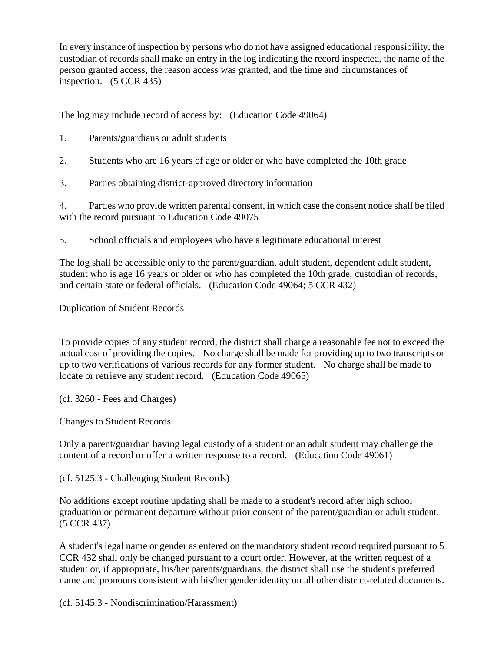In every instance of inspection by persons who do not have assigned educational responsibility, the custodian of records shall make an entry in the log indicating the record inspected, the name of the person granted access, the reason access was granted, and the time and circumstances of inspection. (5 CCR 435)

The log may include record of access by: (Education Code 49064)

- 1. Parents/guardians or adult students
- 2. Students who are 16 years of age or older or who have completed the 10th grade
- 3. Parties obtaining district-approved directory information

4. Parties who provide written parental consent, in which case the consent notice shall be filed with the record pursuant to Education Code 49075

5. School officials and employees who have a legitimate educational interest

The log shall be accessible only to the parent/guardian, adult student, dependent adult student, student who is age 16 years or older or who has completed the 10th grade, custodian of records, and certain state or federal officials. (Education Code 49064; 5 CCR 432)

Duplication of Student Records

To provide copies of any student record, the district shall charge a reasonable fee not to exceed the actual cost of providing the copies. No charge shall be made for providing up to two transcripts or up to two verifications of various records for any former student. No charge shall be made to locate or retrieve any student record. (Education Code 49065)

(cf. 3260 - Fees and Charges)

Changes to Student Records

Only a parent/guardian having legal custody of a student or an adult student may challenge the content of a record or offer a written response to a record. (Education Code 49061)

(cf. 5125.3 - Challenging Student Records)

No additions except routine updating shall be made to a student's record after high school graduation or permanent departure without prior consent of the parent/guardian or adult student. (5 CCR 437)

A student's legal name or gender as entered on the mandatory student record required pursuant to 5 CCR 432 shall only be changed pursuant to a court order. However, at the written request of a student or, if appropriate, his/her parents/guardians, the district shall use the student's preferred name and pronouns consistent with his/her gender identity on all other district-related documents.

(cf. 5145.3 - Nondiscrimination/Harassment)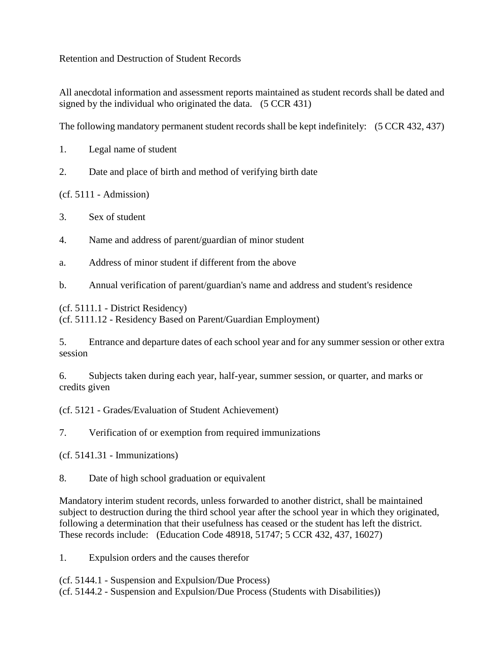Retention and Destruction of Student Records

All anecdotal information and assessment reports maintained as student records shall be dated and signed by the individual who originated the data. (5 CCR 431)

The following mandatory permanent student records shall be kept indefinitely: (5 CCR 432, 437)

- 1. Legal name of student
- 2. Date and place of birth and method of verifying birth date

(cf. 5111 - Admission)

- 3. Sex of student
- 4. Name and address of parent/guardian of minor student
- a. Address of minor student if different from the above
- b. Annual verification of parent/guardian's name and address and student's residence

(cf. 5111.1 - District Residency)

(cf. 5111.12 - Residency Based on Parent/Guardian Employment)

5. Entrance and departure dates of each school year and for any summer session or other extra session

6. Subjects taken during each year, half-year, summer session, or quarter, and marks or credits given

(cf. 5121 - Grades/Evaluation of Student Achievement)

7. Verification of or exemption from required immunizations

(cf. 5141.31 - Immunizations)

8. Date of high school graduation or equivalent

Mandatory interim student records, unless forwarded to another district, shall be maintained subject to destruction during the third school year after the school year in which they originated, following a determination that their usefulness has ceased or the student has left the district. These records include: (Education Code 48918, 51747; 5 CCR 432, 437, 16027)

1. Expulsion orders and the causes therefor

(cf. 5144.1 - Suspension and Expulsion/Due Process) (cf. 5144.2 - Suspension and Expulsion/Due Process (Students with Disabilities))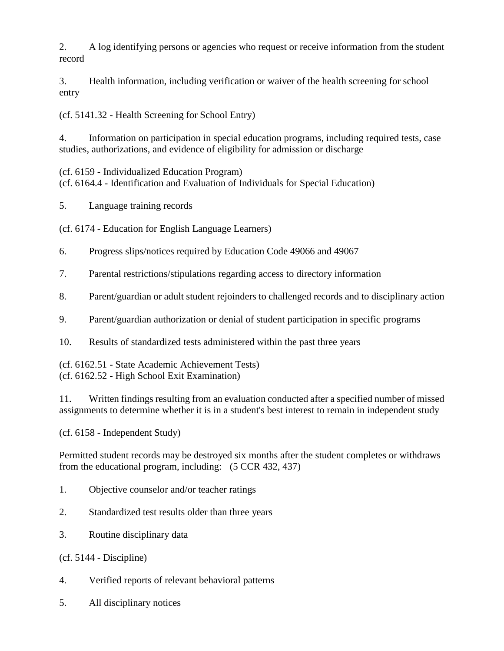2. A log identifying persons or agencies who request or receive information from the student record

3. Health information, including verification or waiver of the health screening for school entry

(cf. 5141.32 - Health Screening for School Entry)

4. Information on participation in special education programs, including required tests, case studies, authorizations, and evidence of eligibility for admission or discharge

(cf. 6159 - Individualized Education Program) (cf. 6164.4 - Identification and Evaluation of Individuals for Special Education)

5. Language training records

(cf. 6174 - Education for English Language Learners)

6. Progress slips/notices required by Education Code 49066 and 49067

7. Parental restrictions/stipulations regarding access to directory information

8. Parent/guardian or adult student rejoinders to challenged records and to disciplinary action

9. Parent/guardian authorization or denial of student participation in specific programs

10. Results of standardized tests administered within the past three years

(cf. 6162.51 - State Academic Achievement Tests) (cf. 6162.52 - High School Exit Examination)

11. Written findings resulting from an evaluation conducted after a specified number of missed assignments to determine whether it is in a student's best interest to remain in independent study

(cf. 6158 - Independent Study)

Permitted student records may be destroyed six months after the student completes or withdraws from the educational program, including: (5 CCR 432, 437)

- 1. Objective counselor and/or teacher ratings
- 2. Standardized test results older than three years
- 3. Routine disciplinary data

(cf. 5144 - Discipline)

- 4. Verified reports of relevant behavioral patterns
- 5. All disciplinary notices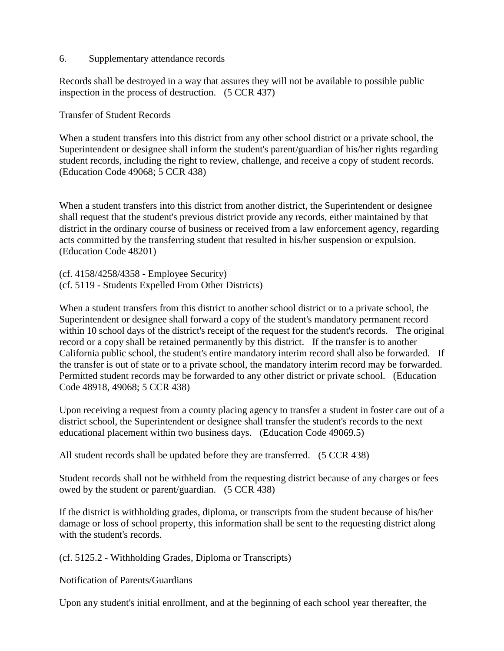#### 6. Supplementary attendance records

Records shall be destroyed in a way that assures they will not be available to possible public inspection in the process of destruction. (5 CCR 437)

Transfer of Student Records

When a student transfers into this district from any other school district or a private school, the Superintendent or designee shall inform the student's parent/guardian of his/her rights regarding student records, including the right to review, challenge, and receive a copy of student records. (Education Code 49068; 5 CCR 438)

When a student transfers into this district from another district, the Superintendent or designee shall request that the student's previous district provide any records, either maintained by that district in the ordinary course of business or received from a law enforcement agency, regarding acts committed by the transferring student that resulted in his/her suspension or expulsion. (Education Code 48201)

(cf. 4158/4258/4358 - Employee Security) (cf. 5119 - Students Expelled From Other Districts)

When a student transfers from this district to another school district or to a private school, the Superintendent or designee shall forward a copy of the student's mandatory permanent record within 10 school days of the district's receipt of the request for the student's records. The original record or a copy shall be retained permanently by this district. If the transfer is to another California public school, the student's entire mandatory interim record shall also be forwarded. If the transfer is out of state or to a private school, the mandatory interim record may be forwarded. Permitted student records may be forwarded to any other district or private school. (Education Code 48918, 49068; 5 CCR 438)

Upon receiving a request from a county placing agency to transfer a student in foster care out of a district school, the Superintendent or designee shall transfer the student's records to the next educational placement within two business days. (Education Code 49069.5)

All student records shall be updated before they are transferred. (5 CCR 438)

Student records shall not be withheld from the requesting district because of any charges or fees owed by the student or parent/guardian. (5 CCR 438)

If the district is withholding grades, diploma, or transcripts from the student because of his/her damage or loss of school property, this information shall be sent to the requesting district along with the student's records.

(cf. 5125.2 - Withholding Grades, Diploma or Transcripts)

Notification of Parents/Guardians

Upon any student's initial enrollment, and at the beginning of each school year thereafter, the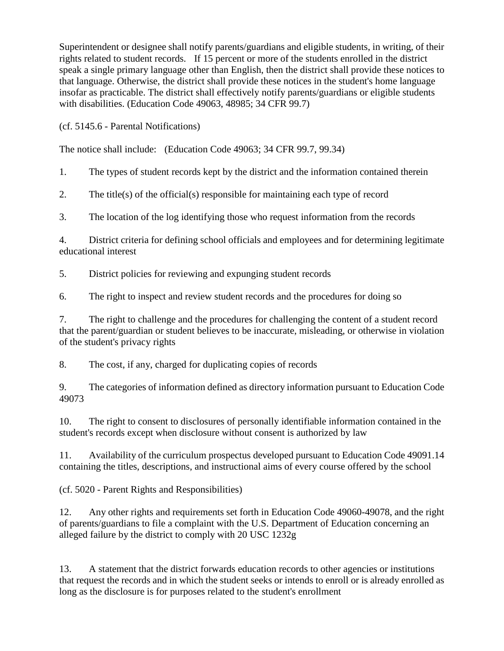Superintendent or designee shall notify parents/guardians and eligible students, in writing, of their rights related to student records. If 15 percent or more of the students enrolled in the district speak a single primary language other than English, then the district shall provide these notices to that language. Otherwise, the district shall provide these notices in the student's home language insofar as practicable. The district shall effectively notify parents/guardians or eligible students with disabilities. (Education Code 49063, 48985; 34 CFR 99.7)

(cf. 5145.6 - Parental Notifications)

The notice shall include: (Education Code 49063; 34 CFR 99.7, 99.34)

1. The types of student records kept by the district and the information contained therein

2. The title(s) of the official(s) responsible for maintaining each type of record

3. The location of the log identifying those who request information from the records

4. District criteria for defining school officials and employees and for determining legitimate educational interest

5. District policies for reviewing and expunging student records

6. The right to inspect and review student records and the procedures for doing so

7. The right to challenge and the procedures for challenging the content of a student record that the parent/guardian or student believes to be inaccurate, misleading, or otherwise in violation of the student's privacy rights

8. The cost, if any, charged for duplicating copies of records

9. The categories of information defined as directory information pursuant to Education Code 49073

10. The right to consent to disclosures of personally identifiable information contained in the student's records except when disclosure without consent is authorized by law

11. Availability of the curriculum prospectus developed pursuant to Education Code 49091.14 containing the titles, descriptions, and instructional aims of every course offered by the school

(cf. 5020 - Parent Rights and Responsibilities)

12. Any other rights and requirements set forth in Education Code 49060-49078, and the right of parents/guardians to file a complaint with the U.S. Department of Education concerning an alleged failure by the district to comply with 20 USC 1232g

13. A statement that the district forwards education records to other agencies or institutions that request the records and in which the student seeks or intends to enroll or is already enrolled as long as the disclosure is for purposes related to the student's enrollment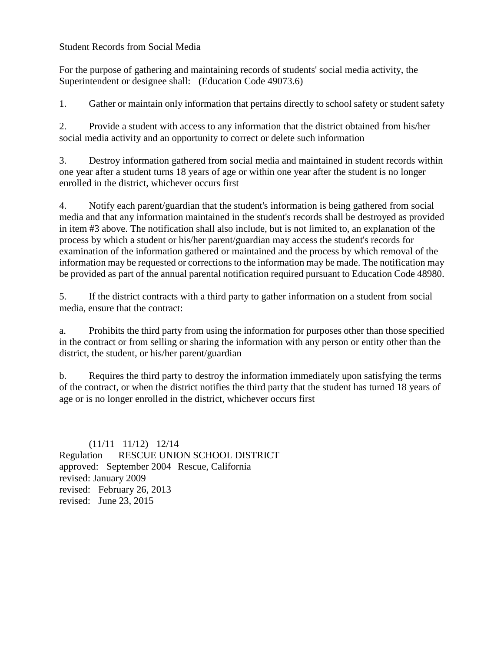#### Student Records from Social Media

For the purpose of gathering and maintaining records of students' social media activity, the Superintendent or designee shall: (Education Code 49073.6)

1. Gather or maintain only information that pertains directly to school safety or student safety

2. Provide a student with access to any information that the district obtained from his/her social media activity and an opportunity to correct or delete such information

3. Destroy information gathered from social media and maintained in student records within one year after a student turns 18 years of age or within one year after the student is no longer enrolled in the district, whichever occurs first

4. Notify each parent/guardian that the student's information is being gathered from social media and that any information maintained in the student's records shall be destroyed as provided in item #3 above. The notification shall also include, but is not limited to, an explanation of the process by which a student or his/her parent/guardian may access the student's records for examination of the information gathered or maintained and the process by which removal of the information may be requested or corrections to the information may be made. The notification may be provided as part of the annual parental notification required pursuant to Education Code 48980.

5. If the district contracts with a third party to gather information on a student from social media, ensure that the contract:

a. Prohibits the third party from using the information for purposes other than those specified in the contract or from selling or sharing the information with any person or entity other than the district, the student, or his/her parent/guardian

b. Requires the third party to destroy the information immediately upon satisfying the terms of the contract, or when the district notifies the third party that the student has turned 18 years of age or is no longer enrolled in the district, whichever occurs first

(11/11 11/12) 12/14 Regulation RESCUE UNION SCHOOL DISTRICT approved: September 2004 Rescue, California revised: January 2009 revised: February 26, 2013 revised: June 23, 2015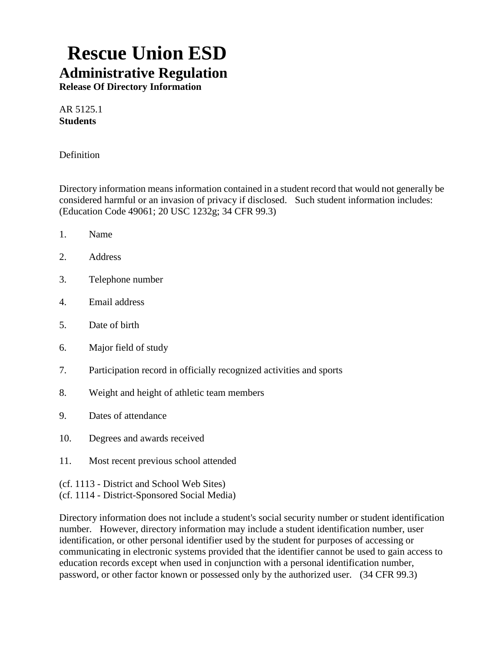# **Rescue Union ESD Administrative Regulation Release Of Directory Information**

AR 5125.1 **Students**

Definition

Directory information means information contained in a student record that would not generally be considered harmful or an invasion of privacy if disclosed. Such student information includes: (Education Code 49061; 20 USC 1232g; 34 CFR 99.3)

- 1. Name
- 2. Address
- 3. Telephone number
- 4. Email address
- 5. Date of birth
- 6. Major field of study
- 7. Participation record in officially recognized activities and sports
- 8. Weight and height of athletic team members
- 9. Dates of attendance
- 10. Degrees and awards received
- 11. Most recent previous school attended
- (cf. 1113 District and School Web Sites)
- (cf. 1114 District-Sponsored Social Media)

Directory information does not include a student's social security number or student identification number. However, directory information may include a student identification number, user identification, or other personal identifier used by the student for purposes of accessing or communicating in electronic systems provided that the identifier cannot be used to gain access to education records except when used in conjunction with a personal identification number, password, or other factor known or possessed only by the authorized user. (34 CFR 99.3)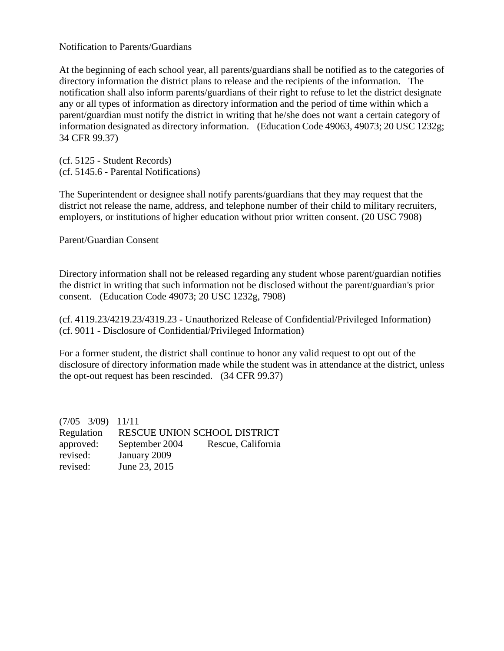#### Notification to Parents/Guardians

At the beginning of each school year, all parents/guardians shall be notified as to the categories of directory information the district plans to release and the recipients of the information. The notification shall also inform parents/guardians of their right to refuse to let the district designate any or all types of information as directory information and the period of time within which a parent/guardian must notify the district in writing that he/she does not want a certain category of information designated as directory information. (Education Code 49063, 49073; 20 USC 1232g; 34 CFR 99.37)

(cf. 5125 - Student Records) (cf. 5145.6 - Parental Notifications)

The Superintendent or designee shall notify parents/guardians that they may request that the district not release the name, address, and telephone number of their child to military recruiters, employers, or institutions of higher education without prior written consent. (20 USC 7908)

Parent/Guardian Consent

Directory information shall not be released regarding any student whose parent/guardian notifies the district in writing that such information not be disclosed without the parent/guardian's prior consent. (Education Code 49073; 20 USC 1232g, 7908)

(cf. 4119.23/4219.23/4319.23 - Unauthorized Release of Confidential/Privileged Information) (cf. 9011 - Disclosure of Confidential/Privileged Information)

For a former student, the district shall continue to honor any valid request to opt out of the disclosure of directory information made while the student was in attendance at the district, unless the opt-out request has been rescinded. (34 CFR 99.37)

(7/05 3/09) 11/11 Regulation RESCUE UNION SCHOOL DISTRICT approved: September 2004 Rescue, California revised: January 2009 revised: June 23, 2015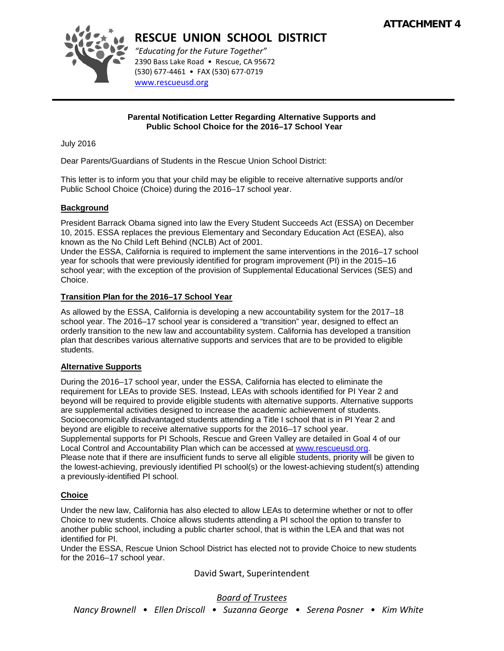

## **RESCUE UNION SCHOOL DISTRICT**

*"Educating for the Future Together"* 2390 Bass Lake Road • Rescue, CA 95672 (530) 677-4461 • FAX (530) 677-0719 [www.rescueusd.org](http://www.rescueusd.org/)

#### **Parental Notification Letter Regarding Alternative Supports and Public School Choice for the 2016–17 School Year**

July 2016

Dear Parents/Guardians of Students in the Rescue Union School District:

This letter is to inform you that your child may be eligible to receive alternative supports and/or Public School Choice (Choice) during the 2016–17 school year.

#### **Background**

President Barrack Obama signed into law the Every Student Succeeds Act (ESSA) on December 10, 2015. ESSA replaces the previous Elementary and Secondary Education Act (ESEA), also known as the No Child Left Behind (NCLB) Act of 2001.

Under the ESSA, California is required to implement the same interventions in the 2016–17 school year for schools that were previously identified for program improvement (PI) in the 2015–16 school year; with the exception of the provision of Supplemental Educational Services (SES) and Choice.

#### **Transition Plan for the 2016–17 School Year**

As allowed by the ESSA, California is developing a new accountability system for the 2017–18 school year. The 2016–17 school year is considered a "transition" year, designed to effect an orderly transition to the new law and accountability system. California has developed a transition plan that describes various alternative supports and services that are to be provided to eligible students.

#### **Alternative Supports**

During the 2016–17 school year, under the ESSA, California has elected to eliminate the requirement for LEAs to provide SES. Instead, LEAs with schools identified for PI Year 2 and beyond will be required to provide eligible students with alternative supports. Alternative supports are supplemental activities designed to increase the academic achievement of students. Socioeconomically disadvantaged students attending a Title I school that is in PI Year 2 and beyond are eligible to receive alternative supports for the 2016–17 school year. Supplemental supports for PI Schools, Rescue and Green Valley are detailed in Goal 4 of our Local Control and Accountability Plan which can be accessed at [www.rescueusd.org.](http://www.rescueusd.org/) Please note that if there are insufficient funds to serve all eligible students, priority will be given to the lowest-achieving, previously identified PI school(s) or the lowest-achieving student(s) attending a previously-identified PI school.

#### **Choice**

Under the new law, California has also elected to allow LEAs to determine whether or not to offer Choice to new students. Choice allows students attending a PI school the option to transfer to another public school, including a public charter school, that is within the LEA and that was not identified for PI.

Under the ESSA, Rescue Union School District has elected not to provide Choice to new students for the 2016–17 school year.

#### David Swart, Superintendent

*Board of Trustees Nancy Brownell • Ellen Driscoll • Suzanna George • Serena Posner • Kim White*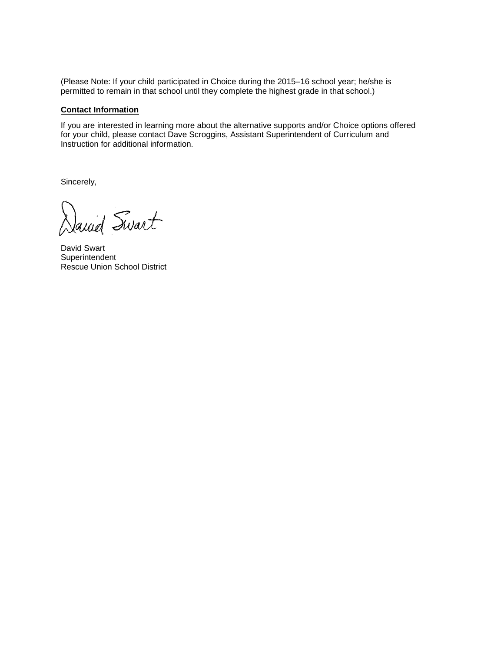(Please Note: If your child participated in Choice during the 2015–16 school year; he/she is permitted to remain in that school until they complete the highest grade in that school.)

#### **Contact Information**

If you are interested in learning more about the alternative supports and/or Choice options offered for your child, please contact Dave Scroggins, Assistant Superintendent of Curriculum and Instruction for additional information.

Sincerely,

Jamid Swart

David Swart **Superintendent** Rescue Union School District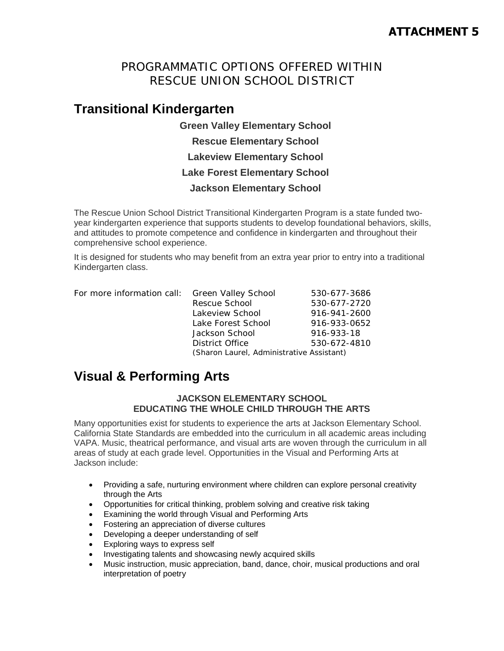## PROGRAMMATIC OPTIONS OFFERED WITHIN RESCUE UNION SCHOOL DISTRICT

# **Transitional Kindergarten**

**Green Valley Elementary School Rescue Elementary School Lakeview Elementary School Lake Forest Elementary School Jackson Elementary School**

The Rescue Union School District Transitional Kindergarten Program is a state funded twoyear kindergarten experience that supports students to develop foundational behaviors, skills, and attitudes to promote competence and confidence in kindergarten and throughout their comprehensive school experience.

It is designed for students who may benefit from an extra year prior to entry into a traditional Kindergarten class.

| For more information call: Green Valley School |                                           | 530-677-3686 |
|------------------------------------------------|-------------------------------------------|--------------|
|                                                | Rescue School                             | 530-677-2720 |
|                                                | Lakeview School                           | 916-941-2600 |
|                                                | Lake Forest School                        | 916-933-0652 |
|                                                | Jackson School                            | 916-933-18   |
|                                                | District Office                           | 530-672-4810 |
|                                                | (Sharon Laurel, Administrative Assistant) |              |

# **Visual & Performing Arts**

#### **JACKSON ELEMENTARY SCHOOL EDUCATING THE WHOLE CHILD THROUGH THE ARTS**

Many opportunities exist for students to experience the arts at Jackson Elementary School. California State Standards are embedded into the curriculum in all academic areas including VAPA. Music, theatrical performance, and visual arts are woven through the curriculum in all areas of study at each grade level. Opportunities in the Visual and Performing Arts at Jackson include:

- Providing a safe, nurturing environment where children can explore personal creativity through the Arts
- Opportunities for critical thinking, problem solving and creative risk taking
- Examining the world through Visual and Performing Arts
- Fostering an appreciation of diverse cultures
- Developing a deeper understanding of self
- Exploring ways to express self
- Investigating talents and showcasing newly acquired skills
- Music instruction, music appreciation, band, dance, choir, musical productions and oral interpretation of poetry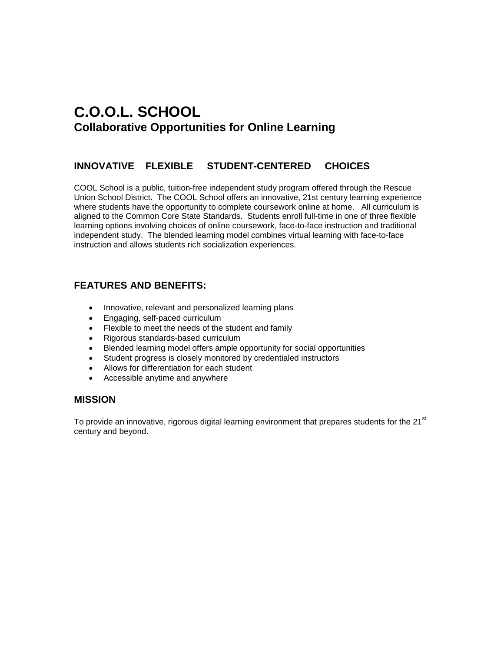# **C.O.O.L. SCHOOL Collaborative Opportunities for Online Learning**

#### **INNOVATIVE FLEXIBLE STUDENT-CENTERED CHOICES**

COOL School is a public, tuition-free independent study program offered through the Rescue Union School District. The COOL School offers an innovative, 21st century learning experience where students have the opportunity to complete coursework online at home. All curriculum is aligned to the Common Core State Standards. Students enroll full-time in one of three flexible learning options involving choices of online coursework, face-to-face instruction and traditional independent study. The blended learning model combines virtual learning with face-to-face instruction and allows students rich socialization experiences.

#### **FEATURES AND BENEFITS:**

- Innovative, relevant and personalized learning plans
- Engaging, self-paced curriculum
- Flexible to meet the needs of the student and family
- Rigorous standards-based curriculum
- Blended learning model offers ample opportunity for social opportunities
- Student progress is closely monitored by credentialed instructors
- Allows for differentiation for each student
- Accessible anytime and anywhere

#### **MISSION**

To provide an innovative, rigorous digital learning environment that prepares students for the  $21<sup>st</sup>$ century and beyond.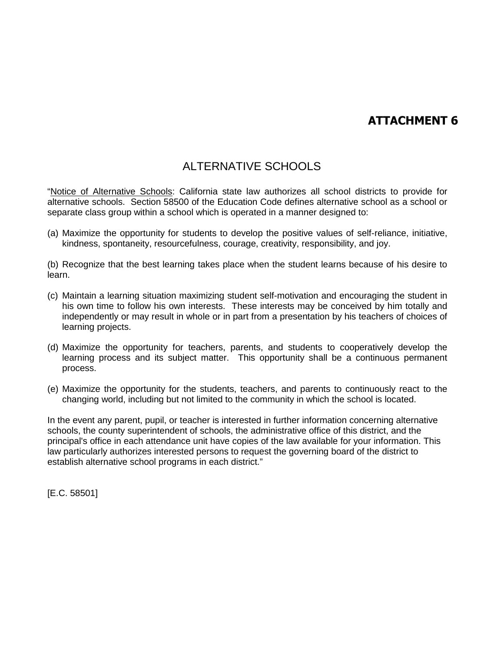# **ATTACHMENT 6**

# ALTERNATIVE SCHOOLS

"Notice of Alternative Schools: California state law authorizes all school districts to provide for alternative schools. Section 58500 of the Education Code defines alternative school as a school or separate class group within a school which is operated in a manner designed to:

(a) Maximize the opportunity for students to develop the positive values of self-reliance, initiative, kindness, spontaneity, resourcefulness, courage, creativity, responsibility, and joy.

(b) Recognize that the best learning takes place when the student learns because of his desire to learn.

- (c) Maintain a learning situation maximizing student self-motivation and encouraging the student in his own time to follow his own interests. These interests may be conceived by him totally and independently or may result in whole or in part from a presentation by his teachers of choices of learning projects.
- (d) Maximize the opportunity for teachers, parents, and students to cooperatively develop the learning process and its subject matter. This opportunity shall be a continuous permanent process.
- (e) Maximize the opportunity for the students, teachers, and parents to continuously react to the changing world, including but not limited to the community in which the school is located.

In the event any parent, pupil, or teacher is interested in further information concerning alternative schools, the county superintendent of schools, the administrative office of this district, and the principal's office in each attendance unit have copies of the law available for your information. This law particularly authorizes interested persons to request the governing board of the district to establish alternative school programs in each district."

[E.C. 58501]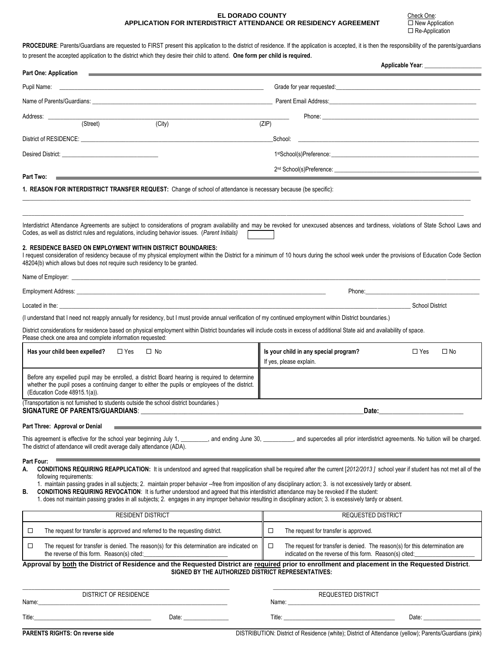#### **EL DORADO COUNTY**<br> **EL DORADO COUNTY**<br> **Check One:** Check Or RESIDENCY AGREEMENT<br>
C New Application **APPLICATION FOR INTERDISTRICT ATTENDANCE OR RESIDENCY AGREEMENT**

 $\square$  Re-Application

PROCEDURE: Parents/Guardians are requested to FIRST present this application to the district of residence. If the application is accepted, it is then the responsibility of the parents/guardians to present the accepted application to the district which they desire their child to attend. **One form per child is required**.

| lo present the accepted application to the district which they desire their child to attend. One form per child is required.<br>Part One: Application and the contract of the contract of the contract of the contract of the contract of the                                                                                                                                                                                                                                                                                                                                                                                                                                                                                | Applicable Year: New York Street, New York Street, New York Street, New York Street, New York Street, New York                                                                                                                          |
|------------------------------------------------------------------------------------------------------------------------------------------------------------------------------------------------------------------------------------------------------------------------------------------------------------------------------------------------------------------------------------------------------------------------------------------------------------------------------------------------------------------------------------------------------------------------------------------------------------------------------------------------------------------------------------------------------------------------------|-----------------------------------------------------------------------------------------------------------------------------------------------------------------------------------------------------------------------------------------|
|                                                                                                                                                                                                                                                                                                                                                                                                                                                                                                                                                                                                                                                                                                                              |                                                                                                                                                                                                                                         |
|                                                                                                                                                                                                                                                                                                                                                                                                                                                                                                                                                                                                                                                                                                                              | Grade for year requested: example and a series of the series of the series of the series of the series of the series of the series of the series of the series of the series of the series of the series of the series of the           |
|                                                                                                                                                                                                                                                                                                                                                                                                                                                                                                                                                                                                                                                                                                                              | Parent Email Address: No. 1996. The Contract of the Contract of the Contract of the Contract of the Contract of the Contract of the Contract of the Contract of the Contract of the Contract of the Contract of the Contract o          |
| $\overline{\text{(Street)}}$<br>$\overline{(City)}$                                                                                                                                                                                                                                                                                                                                                                                                                                                                                                                                                                                                                                                                          | Phone: Note: The Commission of the Commission of the Commission of the Commission of the Commission of the Commission of the Commission of the Commission of the Commission of the Commission of the Commission of the Commiss<br>(ZIP) |
|                                                                                                                                                                                                                                                                                                                                                                                                                                                                                                                                                                                                                                                                                                                              | School:                                                                                                                                                                                                                                 |
| Desired District: <u>Desired States and States and States and States and States and States and States and States and States and States and States and States and States and States and States and States and States and States a</u>                                                                                                                                                                                                                                                                                                                                                                                                                                                                                         |                                                                                                                                                                                                                                         |
|                                                                                                                                                                                                                                                                                                                                                                                                                                                                                                                                                                                                                                                                                                                              |                                                                                                                                                                                                                                         |
| Part Two:                                                                                                                                                                                                                                                                                                                                                                                                                                                                                                                                                                                                                                                                                                                    |                                                                                                                                                                                                                                         |
| 1. REASON FOR INTERDISTRICT TRANSFER REQUEST: Change of school of attendance is necessary because (be specific):                                                                                                                                                                                                                                                                                                                                                                                                                                                                                                                                                                                                             |                                                                                                                                                                                                                                         |
| Interdistrict Attendance Agreements are subject to considerations of program availability and may be revoked for unexcused absences and tardiness, violations of State School Laws and<br>Codes, as well as district rules and regulations, including behavior issues. (Parent Initials)<br>2. RESIDENCE BASED ON EMPLOYMENT WITHIN DISTRICT BOUNDARIES:<br>I request consideration of residency because of my physical employment within the District for a minimum of 10 hours during the school week under the provisions of Education Code Section                                                                                                                                                                       |                                                                                                                                                                                                                                         |
| 48204(b) which allows but does not require such residency to be granted.                                                                                                                                                                                                                                                                                                                                                                                                                                                                                                                                                                                                                                                     |                                                                                                                                                                                                                                         |
|                                                                                                                                                                                                                                                                                                                                                                                                                                                                                                                                                                                                                                                                                                                              |                                                                                                                                                                                                                                         |
| Employment Address: Note that the contract of the contract of the contract of the contract of the contract of the contract of the contract of the contract of the contract of the contract of the contract of the contract of                                                                                                                                                                                                                                                                                                                                                                                                                                                                                                | Phone: Phone Phone Phone Phone Phone Phone Phone Phone Phone Phone Phone Phone Phone Phone Phone Phone Phone Phone Phone Phone Phone Phone Phone Phone Phone Phone Phone Phone Phone Phone Phone Phone Phone Phone Phone Phone          |
| Located in the: example of the state of the state of the state of the state of the state of the state of the state of the state of the state of the state of the state of the state of the state of the state of the state of                                                                                                                                                                                                                                                                                                                                                                                                                                                                                                | <b>School District</b>                                                                                                                                                                                                                  |
| (I understand that I need not reapply annually for residency, but I must provide annual verification of my continued employment within District boundaries.)<br>District considerations for residence based on physical employment within District boundaries will include costs in excess of additional State aid and availability of space.<br>Please check one area and complete information requested:                                                                                                                                                                                                                                                                                                                   |                                                                                                                                                                                                                                         |
| Has your child been expelled?<br>$\Box$ Yes<br>$\Box$ No                                                                                                                                                                                                                                                                                                                                                                                                                                                                                                                                                                                                                                                                     | Is your child in any special program?<br>$\Box$ Yes<br>$\square$ No<br>If yes, please explain.                                                                                                                                          |
| Before any expelled pupil may be enrolled, a district Board hearing is required to determine<br>whether the pupil poses a continuing danger to either the pupils or employees of the district.<br>(Education Code 48915.1(a)).                                                                                                                                                                                                                                                                                                                                                                                                                                                                                               |                                                                                                                                                                                                                                         |
| (Transportation is not furnished to students outside the school district boundaries.)<br><b>SIGNATURE OF PARENTS/GUARDIANS:</b>                                                                                                                                                                                                                                                                                                                                                                                                                                                                                                                                                                                              | Date:                                                                                                                                                                                                                                   |
| Part Three: Approval or Denial                                                                                                                                                                                                                                                                                                                                                                                                                                                                                                                                                                                                                                                                                               |                                                                                                                                                                                                                                         |
| This agreement is effective for the school year beginning July 1,<br>The district of attendance will credit average daily attendance (ADA).                                                                                                                                                                                                                                                                                                                                                                                                                                                                                                                                                                                  |                                                                                                                                                                                                                                         |
| Part Four:<br><b>CONDITIONS REQUIRING REAPPLICATION:</b> It is understood and agreed that reapplication shall be required after the current [2012/2013] school year if student has not met all of the<br>А.<br>following requirements:<br>1. maintain passing grades in all subjects; 2. maintain proper behavior --free from imposition of any disciplinary action; 3. is not excessively tardy or absent.<br>CONDITIONS REQUIRING REVOCATION: It is further understood and agreed that this interdistrict attendance may be revoked if the student:<br>В.<br>1. does not maintain passing grades in all subjects; 2. engages in any improper behavior resulting in disciplinary action; 3. is excessively tardy or absent. |                                                                                                                                                                                                                                         |
| <b>RESIDENT DISTRICT</b>                                                                                                                                                                                                                                                                                                                                                                                                                                                                                                                                                                                                                                                                                                     | <b>REQUESTED DISTRICT</b>                                                                                                                                                                                                               |
| The request for transfer is approved and referred to the requesting district.<br>□                                                                                                                                                                                                                                                                                                                                                                                                                                                                                                                                                                                                                                           | □<br>The request for transfer is approved.                                                                                                                                                                                              |
| The request for transfer is denied. The reason(s) for this determination are indicated on<br>□<br>the reverse of this form. Reason(s) cited:                                                                                                                                                                                                                                                                                                                                                                                                                                                                                                                                                                                 | □<br>The request for transfer is denied. The reason(s) for this determination are<br>indicated on the reverse of this form. Reason(s) cited:                                                                                            |
| Approval by <b>both</b> the District of Residence and the Requested District are required prior to enrollment and placement in the Requested District.<br>SIGNED BY THE AUTHORIZED DISTRICT REPRESENTATIVES:                                                                                                                                                                                                                                                                                                                                                                                                                                                                                                                 |                                                                                                                                                                                                                                         |
| <b>DISTRICT OF RESIDENCE</b>                                                                                                                                                                                                                                                                                                                                                                                                                                                                                                                                                                                                                                                                                                 | <b>REQUESTED DISTRICT</b>                                                                                                                                                                                                               |

| Name:  |       | nmo.<br>ivalile. |       |  |
|--------|-------|------------------|-------|--|
| Title: | Date: | Title            | Date: |  |

| <b>PARENTS RIGHTS: On reverse side</b> |  |
|----------------------------------------|--|
|----------------------------------------|--|

**PISTRIBUTION: District of Residence (white); District of Attendance (yellow); Parents/Guardians (pink)**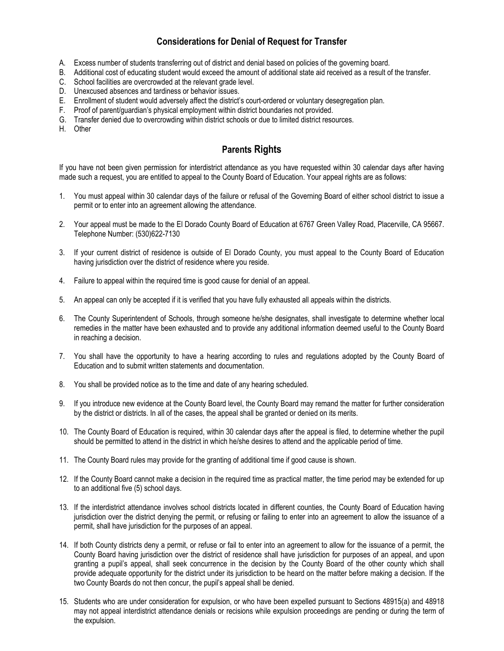#### **Considerations for Denial of Request for Transfer**

- A. Excess number of students transferring out of district and denial based on policies of the governing board.
- B. Additional cost of educating student would exceed the amount of additional state aid received as a result of the transfer.
- C. School facilities are overcrowded at the relevant grade level.
- D. Unexcused absences and tardiness or behavior issues.
- E. Enrollment of student would adversely affect the district's court-ordered or voluntary desegregation plan.
- F. Proof of parent/guardian's physical employment within district boundaries not provided.
- G. Transfer denied due to overcrowding within district schools or due to limited district resources.
- H. Other

### **Parents Rights**

If you have not been given permission for interdistrict attendance as you have requested within 30 calendar days after having made such a request, you are entitled to appeal to the County Board of Education. Your appeal rights are as follows:

- 1. You must appeal within 30 calendar days of the failure or refusal of the Governing Board of either school district to issue a permit or to enter into an agreement allowing the attendance.
- 2. Your appeal must be made to the El Dorado County Board of Education at 6767 Green Valley Road, Placerville, CA 95667. Telephone Number: (530)622-7130
- 3. If your current district of residence is outside of El Dorado County, you must appeal to the County Board of Education having jurisdiction over the district of residence where you reside.
- 4. Failure to appeal within the required time is good cause for denial of an appeal.
- 5. An appeal can only be accepted if it is verified that you have fully exhausted all appeals within the districts.
- 6. The County Superintendent of Schools, through someone he/she designates, shall investigate to determine whether local remedies in the matter have been exhausted and to provide any additional information deemed useful to the County Board in reaching a decision.
- 7. You shall have the opportunity to have a hearing according to rules and regulations adopted by the County Board of Education and to submit written statements and documentation.
- 8. You shall be provided notice as to the time and date of any hearing scheduled.
- 9. If you introduce new evidence at the County Board level, the County Board may remand the matter for further consideration by the district or districts. In all of the cases, the appeal shall be granted or denied on its merits.
- 10. The County Board of Education is required, within 30 calendar days after the appeal is filed, to determine whether the pupil should be permitted to attend in the district in which he/she desires to attend and the applicable period of time.
- 11. The County Board rules may provide for the granting of additional time if good cause is shown.
- 12. If the County Board cannot make a decision in the required time as practical matter, the time period may be extended for up to an additional five (5) school days.
- 13. If the interdistrict attendance involves school districts located in different counties, the County Board of Education having jurisdiction over the district denying the permit, or refusing or failing to enter into an agreement to allow the issuance of a permit, shall have jurisdiction for the purposes of an appeal.
- 14. If both County districts deny a permit, or refuse or fail to enter into an agreement to allow for the issuance of a permit, the County Board having jurisdiction over the district of residence shall have jurisdiction for purposes of an appeal, and upon granting a pupil's appeal, shall seek concurrence in the decision by the County Board of the other county which shall provide adequate opportunity for the district under its jurisdiction to be heard on the matter before making a decision. If the two County Boards do not then concur, the pupil's appeal shall be denied.
- 15. Students who are under consideration for expulsion, or who have been expelled pursuant to Sections 48915(a) and 48918 may not appeal interdistrict attendance denials or recisions while expulsion proceedings are pending or during the term of the expulsion.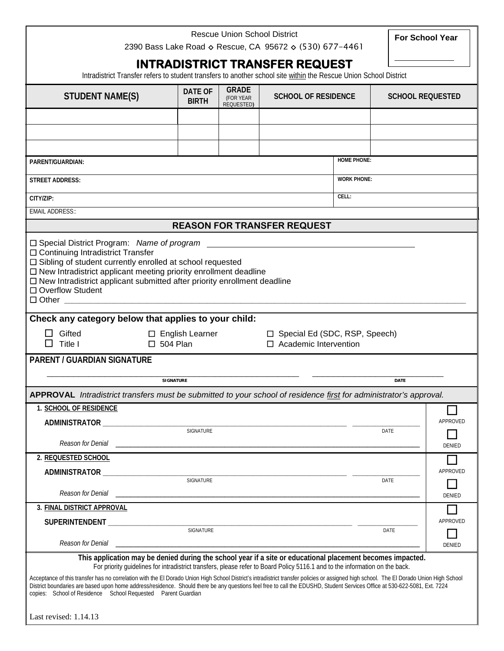| Rescue Union School District<br>2390 Bass Lake Road & Rescue, CA 95672 ♦ (530) 677-4461                                                                                                                                                                                                                                                                                                                                                                                                                                                                                                                                                                                                                     |                                |                                         |                                                       |                    |             | <b>For School Year</b> |  |
|-------------------------------------------------------------------------------------------------------------------------------------------------------------------------------------------------------------------------------------------------------------------------------------------------------------------------------------------------------------------------------------------------------------------------------------------------------------------------------------------------------------------------------------------------------------------------------------------------------------------------------------------------------------------------------------------------------------|--------------------------------|-----------------------------------------|-------------------------------------------------------|--------------------|-------------|------------------------|--|
| <b>INTRADISTRICT TRANSFER REQUEST</b><br>Intradistrict Transfer refers to student transfers to another school site within the Rescue Union School District                                                                                                                                                                                                                                                                                                                                                                                                                                                                                                                                                  |                                |                                         |                                                       |                    |             |                        |  |
| STUDENT NAME(S)                                                                                                                                                                                                                                                                                                                                                                                                                                                                                                                                                                                                                                                                                             | <b>DATE OF</b><br><b>BIRTH</b> | <b>GRADE</b><br>(FOR YEAR<br>REQUESTED) | <b>SCHOOL OF RESIDENCE</b><br><b>SCHOOL REQUESTED</b> |                    |             |                        |  |
|                                                                                                                                                                                                                                                                                                                                                                                                                                                                                                                                                                                                                                                                                                             |                                |                                         |                                                       |                    |             |                        |  |
|                                                                                                                                                                                                                                                                                                                                                                                                                                                                                                                                                                                                                                                                                                             |                                |                                         |                                                       |                    |             |                        |  |
| PARENT/GUARDIAN:                                                                                                                                                                                                                                                                                                                                                                                                                                                                                                                                                                                                                                                                                            |                                |                                         |                                                       | <b>HOME PHONE:</b> |             |                        |  |
| <b>STREET ADDRESS:</b>                                                                                                                                                                                                                                                                                                                                                                                                                                                                                                                                                                                                                                                                                      |                                |                                         |                                                       | <b>WORK PHONE:</b> |             |                        |  |
|                                                                                                                                                                                                                                                                                                                                                                                                                                                                                                                                                                                                                                                                                                             |                                |                                         |                                                       | CELL:              |             |                        |  |
| CITY/ZIP:<br><b>EMAIL ADDRESS::</b>                                                                                                                                                                                                                                                                                                                                                                                                                                                                                                                                                                                                                                                                         |                                |                                         |                                                       |                    |             |                        |  |
|                                                                                                                                                                                                                                                                                                                                                                                                                                                                                                                                                                                                                                                                                                             |                                |                                         | <b>REASON FOR TRANSFER REQUEST</b>                    |                    |             |                        |  |
| □ Special District Program: Name of program ___________________________________<br>□ Continuing Intradistrict Transfer<br>□ Sibling of student currently enrolled at school requested<br>$\Box$ New Intradistrict applicant meeting priority enrollment deadline<br>$\Box$ New Intradistrict applicant submitted after priority enrollment deadline<br>□ Overflow Student                                                                                                                                                                                                                                                                                                                                   |                                |                                         |                                                       |                    |             |                        |  |
| Check any category below that applies to your child:                                                                                                                                                                                                                                                                                                                                                                                                                                                                                                                                                                                                                                                        |                                |                                         |                                                       |                    |             |                        |  |
| Gifted<br>$\Box$ English Learner<br>□ Special Ed (SDC, RSP, Speech)<br>$\Box$ 504 Plan<br>Title I<br>$\Box$ Academic Intervention                                                                                                                                                                                                                                                                                                                                                                                                                                                                                                                                                                           |                                |                                         |                                                       |                    |             |                        |  |
| <b>PARENT / GUARDIAN SIGNATURE</b>                                                                                                                                                                                                                                                                                                                                                                                                                                                                                                                                                                                                                                                                          |                                |                                         |                                                       |                    |             |                        |  |
|                                                                                                                                                                                                                                                                                                                                                                                                                                                                                                                                                                                                                                                                                                             | <b>SIGNATURE</b>               |                                         |                                                       |                    | <b>DATE</b> |                        |  |
| APPROVAL Intradistrict transfers must be submitted to your school of residence first for administrator's approval.                                                                                                                                                                                                                                                                                                                                                                                                                                                                                                                                                                                          |                                |                                         |                                                       |                    |             |                        |  |
| 1. SCHOOL OF RESIDENCE                                                                                                                                                                                                                                                                                                                                                                                                                                                                                                                                                                                                                                                                                      |                                |                                         |                                                       |                    |             |                        |  |
|                                                                                                                                                                                                                                                                                                                                                                                                                                                                                                                                                                                                                                                                                                             |                                |                                         |                                                       |                    | DATE        | APPROVED               |  |
|                                                                                                                                                                                                                                                                                                                                                                                                                                                                                                                                                                                                                                                                                                             |                                |                                         |                                                       |                    |             | DENIED                 |  |
| 2. REQUESTED SCHOOL                                                                                                                                                                                                                                                                                                                                                                                                                                                                                                                                                                                                                                                                                         |                                |                                         |                                                       |                    |             |                        |  |
|                                                                                                                                                                                                                                                                                                                                                                                                                                                                                                                                                                                                                                                                                                             |                                |                                         |                                                       |                    | DATE        | APPROVED               |  |
| Reason for Denial <u>entropy control and control and control and control and control and control and control and control and control and control and control and control and control and control and control and control and con</u>                                                                                                                                                                                                                                                                                                                                                                                                                                                                        |                                |                                         |                                                       |                    |             | DENIED                 |  |
| 3. FINAL DISTRICT APPROVAL                                                                                                                                                                                                                                                                                                                                                                                                                                                                                                                                                                                                                                                                                  |                                |                                         |                                                       |                    |             |                        |  |
|                                                                                                                                                                                                                                                                                                                                                                                                                                                                                                                                                                                                                                                                                                             |                                |                                         |                                                       |                    | DATE        | APPROVED               |  |
| Reason for Denial                                                                                                                                                                                                                                                                                                                                                                                                                                                                                                                                                                                                                                                                                           |                                |                                         |                                                       |                    |             | DENIED                 |  |
| This application may be denied during the school year if a site or educational placement becomes impacted.<br>For priority guidelines for intradistrict transfers, please refer to Board Policy 5116.1 and to the information on the back.<br>Acceptance of this transfer has no correlation with the EI Dorado Union High School District's intradistrict transfer policies or assigned high school. The EI Dorado Union High School<br>District boundaries are based upon home address/residence. Should there be any questions feel free to call the EDUSHD, Student Services Office at 530-622-5081, Ext. 7224<br>copies: School of Residence School Requested Parent Guardian<br>Last revised: 1.14.13 |                                |                                         |                                                       |                    |             |                        |  |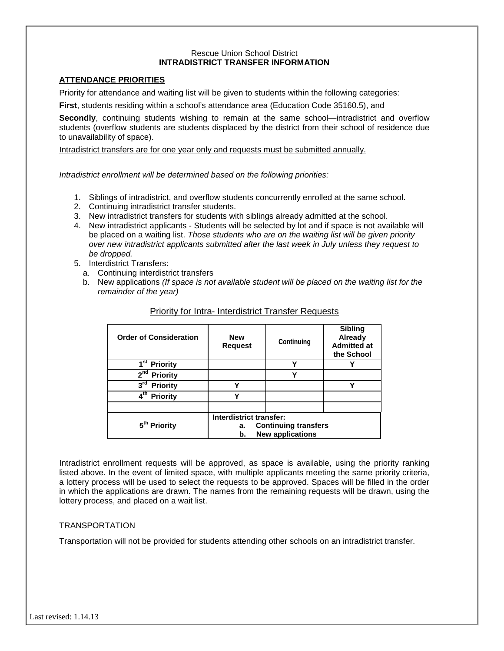#### Rescue Union School District **INTRADISTRICT TRANSFER INFORMATION**

#### **ATTENDANCE PRIORITIES**

Priority for attendance and waiting list will be given to students within the following categories:

**First**, students residing within a school's attendance area (Education Code 35160.5), and

**Secondly**, continuing students wishing to remain at the same school—intradistrict and overflow students (overflow students are students displaced by the district from their school of residence due to unavailability of space).

Intradistrict transfers are for one year only and requests must be submitted annually.

*Intradistrict enrollment will be determined based on the following priorities:*

- 1. Siblings of intradistrict, and overflow students concurrently enrolled at the same school.
- 2. Continuing intradistrict transfer students.
- 3. New intradistrict transfers for students with siblings already admitted at the school.
- 4. New intradistrict applicants Students will be selected by lot and if space is not available will be placed on a waiting list. *Those students who are on the waiting list will be given priority over new intradistrict applicants submitted after the last week in July unless they request to be dropped.*
- 5. Interdistrict Transfers:
	- a. Continuing interdistrict transfers
	- b. New applications *(If space is not available student will be placed on the waiting list for the remainder of the year)*

| <b>Order of Consideration</b>      | <b>New</b><br><b>Request</b>                                                                  | Continuing | <b>Sibling</b><br><b>Already</b><br><b>Admitted at</b><br>the School |  |  |
|------------------------------------|-----------------------------------------------------------------------------------------------|------------|----------------------------------------------------------------------|--|--|
| 1 <sup>st</sup> Priority           |                                                                                               | ν          | v                                                                    |  |  |
| 2 <sup>nd</sup><br><b>Priority</b> |                                                                                               | ν          |                                                                      |  |  |
| 3 <sup>rd</sup><br><b>Priority</b> |                                                                                               |            | ν                                                                    |  |  |
| $4^{\text{th}}$<br><b>Priority</b> | ν                                                                                             |            |                                                                      |  |  |
| 5 <sup>th</sup> Priority           | Interdistrict transfer:<br><b>Continuing transfers</b><br>a.<br><b>New applications</b><br>b. |            |                                                                      |  |  |

#### Priority for Intra- Interdistrict Transfer Requests

Intradistrict enrollment requests will be approved, as space is available, using the priority ranking listed above. In the event of limited space, with multiple applicants meeting the same priority criteria, a lottery process will be used to select the requests to be approved. Spaces will be filled in the order in which the applications are drawn. The names from the remaining requests will be drawn, using the lottery process, and placed on a wait list.

#### TRANSPORTATION

Transportation will not be provided for students attending other schools on an intradistrict transfer.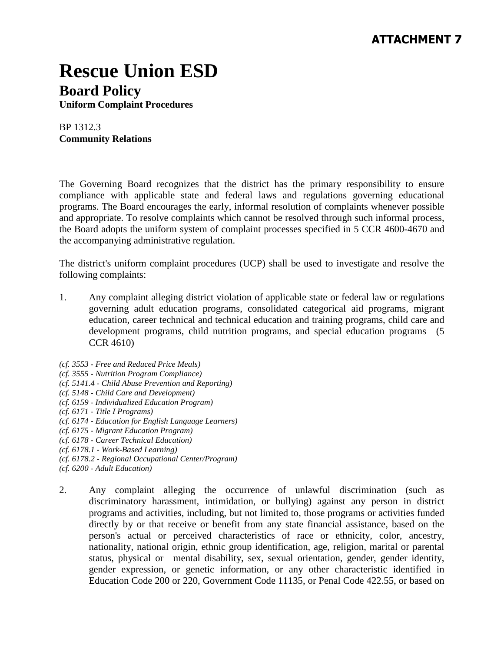# **Rescue Union ESD Board Policy**

**Uniform Complaint Procedures**

#### BP 1312.3 **Community Relations**

The Governing Board recognizes that the district has the primary responsibility to ensure compliance with applicable state and federal laws and regulations governing educational programs. The Board encourages the early, informal resolution of complaints whenever possible and appropriate. To resolve complaints which cannot be resolved through such informal process, the Board adopts the uniform system of complaint processes specified in 5 CCR 4600-4670 and the accompanying administrative regulation.

The district's uniform complaint procedures (UCP) shall be used to investigate and resolve the following complaints:

- 1. Any complaint alleging district violation of applicable state or federal law or regulations governing adult education programs, consolidated categorical aid programs, migrant education, career technical and technical education and training programs, child care and development programs, child nutrition programs, and special education programs (5 CCR 4610)
- *(cf. 3553 Free and Reduced Price Meals)*
- *(cf. 3555 Nutrition Program Compliance)*
- *(cf. 5141.4 Child Abuse Prevention and Reporting)*
- *(cf. 5148 Child Care and Development)*
- *(cf. 6159 Individualized Education Program)*
- *(cf. 6171 Title I Programs)*
- *(cf. 6174 Education for English Language Learners)*
- *(cf. 6175 Migrant Education Program)*
- *(cf. 6178 Career Technical Education)*
- *(cf. 6178.1 Work-Based Learning)*
- *(cf. 6178.2 Regional Occupational Center/Program)*
- *(cf. 6200 Adult Education)*
- 2. Any complaint alleging the occurrence of unlawful discrimination (such as discriminatory harassment, intimidation, or bullying) against any person in district programs and activities, including, but not limited to, those programs or activities funded directly by or that receive or benefit from any state financial assistance, based on the person's actual or perceived characteristics of race or ethnicity, color, ancestry, nationality, national origin, ethnic group identification, age, religion, marital or parental status, physical or mental disability, sex, sexual orientation, gender, gender identity, gender expression, or genetic information, or any other characteristic identified in Education Code 200 or 220, Government Code 11135, or Penal Code 422.55, or based on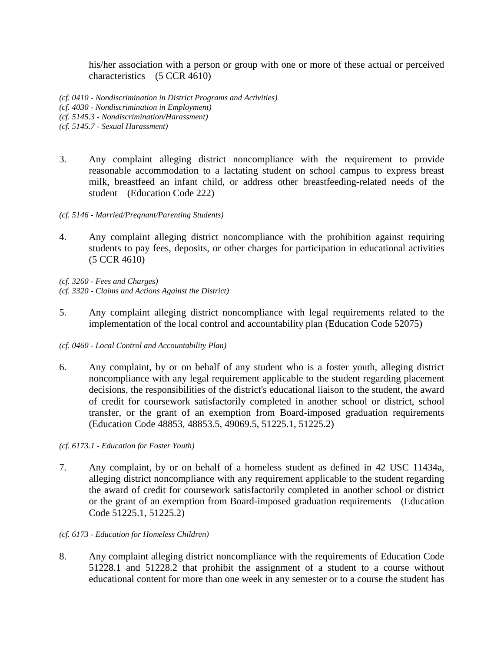his/her association with a person or group with one or more of these actual or perceived characteristics (5 CCR 4610)

*(cf. 0410 - Nondiscrimination in District Programs and Activities) (cf. 4030 - Nondiscrimination in Employment) (cf. 5145.3 - Nondiscrimination/Harassment) (cf. 5145.7 - Sexual Harassment)*

- 3. Any complaint alleging district noncompliance with the requirement to provide reasonable accommodation to a lactating student on school campus to express breast milk, breastfeed an infant child, or address other breastfeeding-related needs of the student (Education Code 222)
- *(cf. 5146 - Married/Pregnant/Parenting Students)*
- 4. Any complaint alleging district noncompliance with the prohibition against requiring students to pay fees, deposits, or other charges for participation in educational activities (5 CCR 4610)

*(cf. 3260 - Fees and Charges) (cf. 3320 - Claims and Actions Against the District)*

- 5. Any complaint alleging district noncompliance with legal requirements related to the implementation of the local control and accountability plan (Education Code 52075)
- *(cf. 0460 - Local Control and Accountability Plan)*
- 6. Any complaint, by or on behalf of any student who is a foster youth, alleging district noncompliance with any legal requirement applicable to the student regarding placement decisions, the responsibilities of the district's educational liaison to the student, the award of credit for coursework satisfactorily completed in another school or district, school transfer, or the grant of an exemption from Board-imposed graduation requirements (Education Code 48853, 48853.5, 49069.5, 51225.1, 51225.2)
- *(cf. 6173.1 - Education for Foster Youth)*
- 7. Any complaint, by or on behalf of a homeless student as defined in 42 USC 11434a, alleging district noncompliance with any requirement applicable to the student regarding the award of credit for coursework satisfactorily completed in another school or district or the grant of an exemption from Board-imposed graduation requirements (Education Code 51225.1, 51225.2)

#### *(cf. 6173 - Education for Homeless Children)*

8. Any complaint alleging district noncompliance with the requirements of Education Code 51228.1 and 51228.2 that prohibit the assignment of a student to a course without educational content for more than one week in any semester or to a course the student has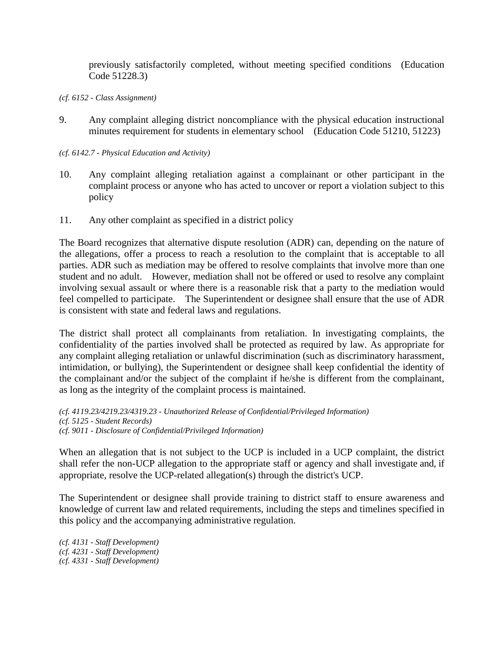previously satisfactorily completed, without meeting specified conditions (Education Code 51228.3)

*(cf. 6152 - Class Assignment)*

9. Any complaint alleging district noncompliance with the physical education instructional minutes requirement for students in elementary school (Education Code 51210, 51223)

*(cf. 6142.7 - Physical Education and Activity)*

- 10. Any complaint alleging retaliation against a complainant or other participant in the complaint process or anyone who has acted to uncover or report a violation subject to this policy
- 11. Any other complaint as specified in a district policy

The Board recognizes that alternative dispute resolution (ADR) can, depending on the nature of the allegations, offer a process to reach a resolution to the complaint that is acceptable to all parties. ADR such as mediation may be offered to resolve complaints that involve more than one student and no adult. However, mediation shall not be offered or used to resolve any complaint involving sexual assault or where there is a reasonable risk that a party to the mediation would feel compelled to participate. The Superintendent or designee shall ensure that the use of ADR is consistent with state and federal laws and regulations.

The district shall protect all complainants from retaliation. In investigating complaints, the confidentiality of the parties involved shall be protected as required by law. As appropriate for any complaint alleging retaliation or unlawful discrimination (such as discriminatory harassment, intimidation, or bullying), the Superintendent or designee shall keep confidential the identity of the complainant and/or the subject of the complaint if he/she is different from the complainant, as long as the integrity of the complaint process is maintained.

*(cf. 4119.23/4219.23/4319.23 - Unauthorized Release of Confidential/Privileged Information) (cf. 5125 - Student Records) (cf. 9011 - Disclosure of Confidential/Privileged Information)*

When an allegation that is not subject to the UCP is included in a UCP complaint, the district shall refer the non-UCP allegation to the appropriate staff or agency and shall investigate and, if appropriate, resolve the UCP-related allegation(s) through the district's UCP.

The Superintendent or designee shall provide training to district staff to ensure awareness and knowledge of current law and related requirements, including the steps and timelines specified in this policy and the accompanying administrative regulation.

*(cf. 4131 - Staff Development) (cf. 4231 - Staff Development) (cf. 4331 - Staff Development)*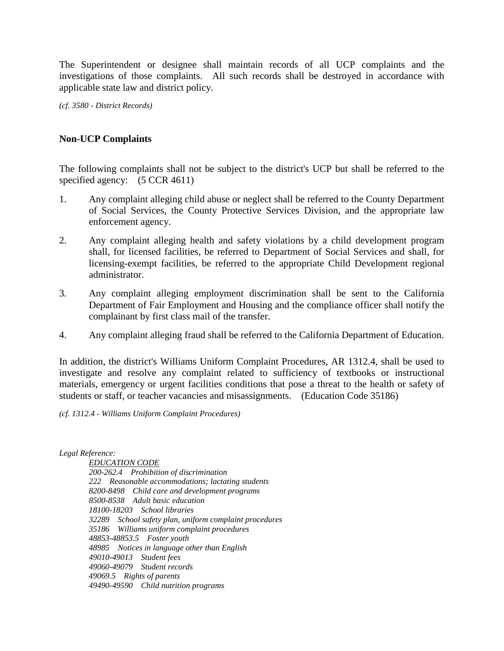The Superintendent or designee shall maintain records of all UCP complaints and the investigations of those complaints. All such records shall be destroyed in accordance with applicable state law and district policy.

*(cf. 3580 - District Records)*

#### **Non-UCP Complaints**

The following complaints shall not be subject to the district's UCP but shall be referred to the specified agency: (5 CCR 4611)

- 1. Any complaint alleging child abuse or neglect shall be referred to the County Department of Social Services, the County Protective Services Division, and the appropriate law enforcement agency.
- 2. Any complaint alleging health and safety violations by a child development program shall, for licensed facilities, be referred to Department of Social Services and shall, for licensing-exempt facilities, be referred to the appropriate Child Development regional administrator.
- 3. Any complaint alleging employment discrimination shall be sent to the California Department of Fair Employment and Housing and the compliance officer shall notify the complainant by first class mail of the transfer.
- 4. Any complaint alleging fraud shall be referred to the California Department of Education.

In addition, the district's Williams Uniform Complaint Procedures, AR 1312.4, shall be used to investigate and resolve any complaint related to sufficiency of textbooks or instructional materials, emergency or urgent facilities conditions that pose a threat to the health or safety of students or staff, or teacher vacancies and misassignments. (Education Code 35186)

*(cf. 1312.4 - Williams Uniform Complaint Procedures)*

*Legal Reference:*

*EDUCATION CODE 200-262.4 Prohibition of discrimination 222 Reasonable accommodations; lactating students 8200-8498 Child care and development programs 8500-8538 Adult basic education 18100-18203 School libraries 32289 School safety plan, uniform complaint procedures 35186 Williams uniform complaint procedures 48853-48853.5 Foster youth 48985 Notices in language other than English 49010-49013 Student fees 49060-49079 Student records 49069.5 Rights of parents 49490-49590 Child nutrition programs*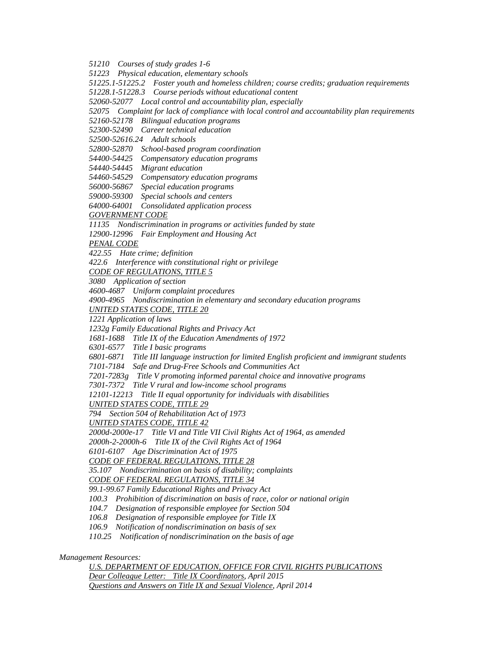*51210 Courses of study grades 1-6 51223 Physical education, elementary schools 51225.1-51225.2 Foster youth and homeless children; course credits; graduation requirements 51228.1-51228.3 Course periods without educational content 52060-52077 Local control and accountability plan, especially 52075 Complaint for lack of compliance with local control and accountability plan requirements 52160-52178 Bilingual education programs 52300-52490 Career technical education 52500-52616.24 Adult schools 52800-52870 School-based program coordination 54400-54425 Compensatory education programs 54440-54445 Migrant education 54460-54529 Compensatory education programs 56000-56867 Special education programs 59000-59300 Special schools and centers 64000-64001 Consolidated application process GOVERNMENT CODE 11135 Nondiscrimination in programs or activities funded by state 12900-12996 Fair Employment and Housing Act PENAL CODE 422.55 Hate crime; definition 422.6 Interference with constitutional right or privilege CODE OF REGULATIONS, TITLE 5 3080 Application of section 4600-4687 Uniform complaint procedures 4900-4965 Nondiscrimination in elementary and secondary education programs UNITED STATES CODE, TITLE 20 1221 Application of laws 1232g Family Educational Rights and Privacy Act 1681-1688 Title IX of the Education Amendments of 1972 6301-6577 Title I basic programs 6801-6871 Title III language instruction for limited English proficient and immigrant students 7101-7184 Safe and Drug-Free Schools and Communities Act 7201-7283g Title V promoting informed parental choice and innovative programs 7301-7372 Title V rural and low-income school programs 12101-12213 Title II equal opportunity for individuals with disabilities UNITED STATES CODE, TITLE 29 794 Section 504 of Rehabilitation Act of 1973 UNITED STATES CODE, TITLE 42 2000d-2000e-17 Title VI and Title VII Civil Rights Act of 1964, as amended 2000h-2-2000h-6 Title IX of the Civil Rights Act of 1964 6101-6107 Age Discrimination Act of 1975 CODE OF FEDERAL REGULATIONS, TITLE 28 35.107 Nondiscrimination on basis of disability; complaints CODE OF FEDERAL REGULATIONS, TITLE 34 99.1-99.67 Family Educational Rights and Privacy Act 100.3 Prohibition of discrimination on basis of race, color or national origin 104.7 Designation of responsible employee for Section 504 106.8 Designation of responsible employee for Title IX 106.9 Notification of nondiscrimination on basis of sex 110.25 Notification of nondiscrimination on the basis of age Management Resources: U.S. DEPARTMENT OF EDUCATION, OFFICE FOR CIVIL RIGHTS PUBLICATIONS*

*Dear Colleague Letter: Title IX Coordinators, April 2015 Questions and Answers on Title IX and Sexual Violence, April 2014*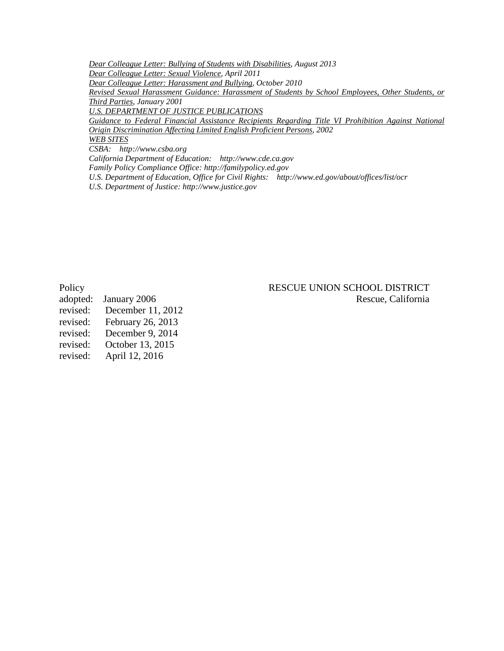*Dear Colleague Letter: Bullying of Students with Disabilities, August 2013 Dear Colleague Letter: Sexual Violence, April 2011 Dear Colleague Letter: Harassment and Bullying, October 2010 Revised Sexual Harassment Guidance: Harassment of Students by School Employees, Other Students, or Third Parties, January 2001 U.S. DEPARTMENT OF JUSTICE PUBLICATIONS Guidance to Federal Financial Assistance Recipients Regarding Title VI Prohibition Against National Origin Discrimination Affecting Limited English Proficient Persons, 2002 WEB SITES CSBA: http://www.csba.org California Department of Education: http://www.cde.ca.gov Family Policy Compliance Office: http://familypolicy.ed.gov U.S. Department of Education, Office for Civil Rights: http://www.ed.gov/about/offices/list/ocr U.S. Department of Justice: http://www.justice.gov*

revised: December 11, 2012 revised: February 26, 2013

revised: December 9, 2014

revised: October 13, 2015

revised: April 12, 2016

#### Policy RESCUE UNION SCHOOL DISTRICT adopted: January 2006 Rescue, California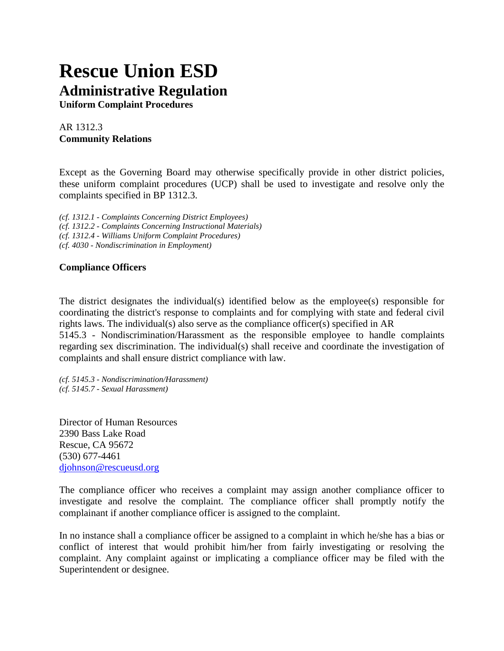# **Rescue Union ESD Administrative Regulation**

**Uniform Complaint Procedures**

#### AR 1312.3 **Community Relations**

Except as the Governing Board may otherwise specifically provide in other district policies, these uniform complaint procedures (UCP) shall be used to investigate and resolve only the complaints specified in BP 1312.3.

*(cf. 1312.1 - Complaints Concerning District Employees) (cf. 1312.2 - Complaints Concerning Instructional Materials) (cf. 1312.4 - Williams Uniform Complaint Procedures) (cf. 4030 - Nondiscrimination in Employment)*

#### **Compliance Officers**

The district designates the individual(s) identified below as the employee(s) responsible for coordinating the district's response to complaints and for complying with state and federal civil rights laws. The individual(s) also serve as the compliance officer(s) specified in AR 5145.3 - Nondiscrimination/Harassment as the responsible employee to handle complaints regarding sex discrimination. The individual(s) shall receive and coordinate the investigation of complaints and shall ensure district compliance with law.

*(cf. 5145.3 - Nondiscrimination/Harassment) (cf. 5145.7 - Sexual Harassment)*

Director of Human Resources 2390 Bass Lake Road Rescue, CA 95672 (530) 677-4461 [djohnson@rescueusd.org](mailto:djohnson@rescueusd.org)

The compliance officer who receives a complaint may assign another compliance officer to investigate and resolve the complaint. The compliance officer shall promptly notify the complainant if another compliance officer is assigned to the complaint.

In no instance shall a compliance officer be assigned to a complaint in which he/she has a bias or conflict of interest that would prohibit him/her from fairly investigating or resolving the complaint. Any complaint against or implicating a compliance officer may be filed with the Superintendent or designee.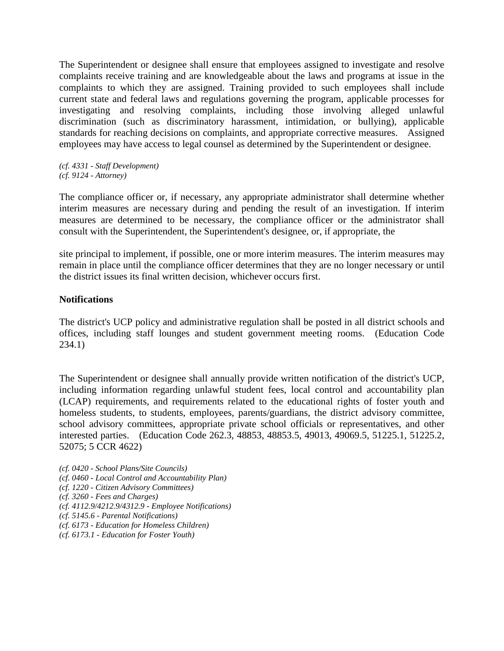The Superintendent or designee shall ensure that employees assigned to investigate and resolve complaints receive training and are knowledgeable about the laws and programs at issue in the complaints to which they are assigned. Training provided to such employees shall include current state and federal laws and regulations governing the program, applicable processes for investigating and resolving complaints, including those involving alleged unlawful discrimination (such as discriminatory harassment, intimidation, or bullying), applicable standards for reaching decisions on complaints, and appropriate corrective measures. Assigned employees may have access to legal counsel as determined by the Superintendent or designee.

*(cf. 4331 - Staff Development) (cf. 9124 - Attorney)*

The compliance officer or, if necessary, any appropriate administrator shall determine whether interim measures are necessary during and pending the result of an investigation. If interim measures are determined to be necessary, the compliance officer or the administrator shall consult with the Superintendent, the Superintendent's designee, or, if appropriate, the

site principal to implement, if possible, one or more interim measures. The interim measures may remain in place until the compliance officer determines that they are no longer necessary or until the district issues its final written decision, whichever occurs first.

#### **Notifications**

The district's UCP policy and administrative regulation shall be posted in all district schools and offices, including staff lounges and student government meeting rooms. (Education Code 234.1)

The Superintendent or designee shall annually provide written notification of the district's UCP, including information regarding unlawful student fees, local control and accountability plan (LCAP) requirements, and requirements related to the educational rights of foster youth and homeless students, to students, employees, parents/guardians, the district advisory committee, school advisory committees, appropriate private school officials or representatives, and other interested parties. (Education Code 262.3, 48853, 48853.5, 49013, 49069.5, 51225.1, 51225.2, 52075; 5 CCR 4622)

- *(cf. 0420 - School Plans/Site Councils) (cf. 0460 - Local Control and Accountability Plan) (cf. 1220 - Citizen Advisory Committees) (cf. 3260 - Fees and Charges) (cf. 4112.9/4212.9/4312.9 - Employee Notifications) (cf. 5145.6 - Parental Notifications) (cf. 6173 - Education for Homeless Children)*
- *(cf. 6173.1 - Education for Foster Youth)*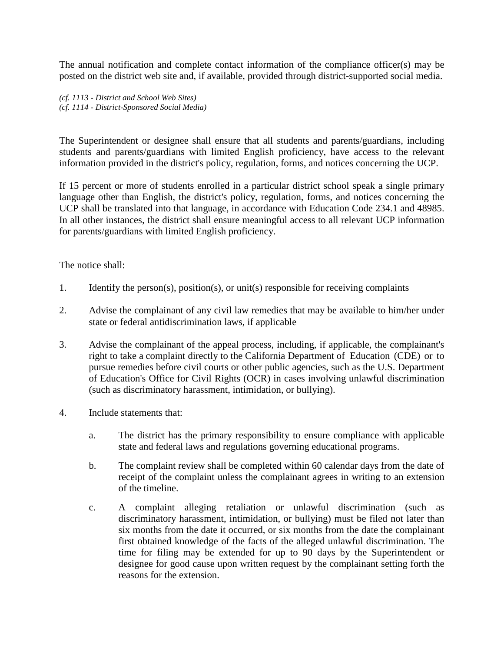The annual notification and complete contact information of the compliance officer(s) may be posted on the district web site and, if available, provided through district-supported social media.

*(cf. 1113 - District and School Web Sites) (cf. 1114 - District-Sponsored Social Media)*

The Superintendent or designee shall ensure that all students and parents/guardians, including students and parents/guardians with limited English proficiency, have access to the relevant information provided in the district's policy, regulation, forms, and notices concerning the UCP.

If 15 percent or more of students enrolled in a particular district school speak a single primary language other than English, the district's policy, regulation, forms, and notices concerning the UCP shall be translated into that language, in accordance with Education Code 234.1 and 48985. In all other instances, the district shall ensure meaningful access to all relevant UCP information for parents/guardians with limited English proficiency.

The notice shall:

- 1. Identify the person(s), position(s), or unit(s) responsible for receiving complaints
- 2. Advise the complainant of any civil law remedies that may be available to him/her under state or federal antidiscrimination laws, if applicable
- 3. Advise the complainant of the appeal process, including, if applicable, the complainant's right to take a complaint directly to the California Department of Education (CDE) or to pursue remedies before civil courts or other public agencies, such as the U.S. Department of Education's Office for Civil Rights (OCR) in cases involving unlawful discrimination (such as discriminatory harassment, intimidation, or bullying).
- 4. Include statements that:
	- a. The district has the primary responsibility to ensure compliance with applicable state and federal laws and regulations governing educational programs.
	- b. The complaint review shall be completed within 60 calendar days from the date of receipt of the complaint unless the complainant agrees in writing to an extension of the timeline.
	- c. A complaint alleging retaliation or unlawful discrimination (such as discriminatory harassment, intimidation, or bullying) must be filed not later than six months from the date it occurred, or six months from the date the complainant first obtained knowledge of the facts of the alleged unlawful discrimination. The time for filing may be extended for up to 90 days by the Superintendent or designee for good cause upon written request by the complainant setting forth the reasons for the extension.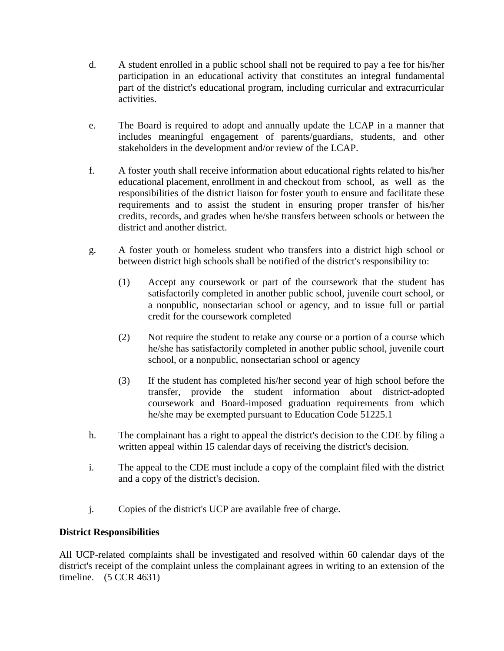- d. A student enrolled in a public school shall not be required to pay a fee for his/her participation in an educational activity that constitutes an integral fundamental part of the district's educational program, including curricular and extracurricular activities.
- e. The Board is required to adopt and annually update the LCAP in a manner that includes meaningful engagement of parents/guardians, students, and other stakeholders in the development and/or review of the LCAP.
- f. A foster youth shall receive information about educational rights related to his/her educational placement, enrollment in and checkout from school, as well as the responsibilities of the district liaison for foster youth to ensure and facilitate these requirements and to assist the student in ensuring proper transfer of his/her credits, records, and grades when he/she transfers between schools or between the district and another district.
- g. A foster youth or homeless student who transfers into a district high school or between district high schools shall be notified of the district's responsibility to:
	- (1) Accept any coursework or part of the coursework that the student has satisfactorily completed in another public school, juvenile court school, or a nonpublic, nonsectarian school or agency, and to issue full or partial credit for the coursework completed
	- (2) Not require the student to retake any course or a portion of a course which he/she has satisfactorily completed in another public school, juvenile court school, or a nonpublic, nonsectarian school or agency
	- (3) If the student has completed his/her second year of high school before the transfer, provide the student information about district-adopted coursework and Board-imposed graduation requirements from which he/she may be exempted pursuant to Education Code 51225.1
- h. The complainant has a right to appeal the district's decision to the CDE by filing a written appeal within 15 calendar days of receiving the district's decision.
- i. The appeal to the CDE must include a copy of the complaint filed with the district and a copy of the district's decision.
- j. Copies of the district's UCP are available free of charge.

#### **District Responsibilities**

All UCP-related complaints shall be investigated and resolved within 60 calendar days of the district's receipt of the complaint unless the complainant agrees in writing to an extension of the timeline. (5 CCR 4631)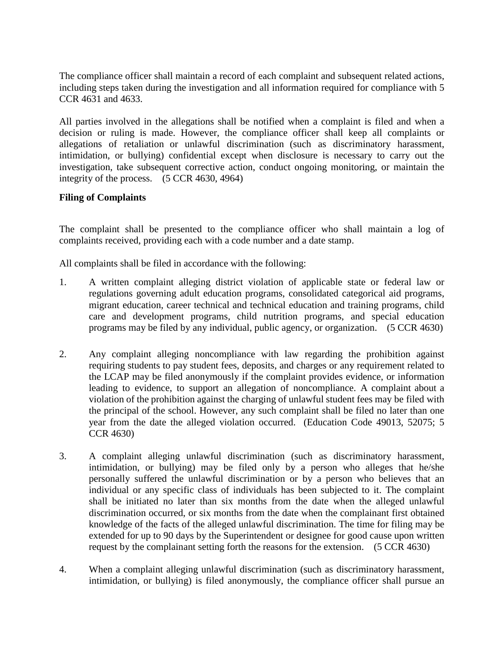The compliance officer shall maintain a record of each complaint and subsequent related actions, including steps taken during the investigation and all information required for compliance with 5 CCR 4631 and 4633.

All parties involved in the allegations shall be notified when a complaint is filed and when a decision or ruling is made. However, the compliance officer shall keep all complaints or allegations of retaliation or unlawful discrimination (such as discriminatory harassment, intimidation, or bullying) confidential except when disclosure is necessary to carry out the investigation, take subsequent corrective action, conduct ongoing monitoring, or maintain the integrity of the process. (5 CCR 4630, 4964)

#### **Filing of Complaints**

The complaint shall be presented to the compliance officer who shall maintain a log of complaints received, providing each with a code number and a date stamp.

All complaints shall be filed in accordance with the following:

- 1. A written complaint alleging district violation of applicable state or federal law or regulations governing adult education programs, consolidated categorical aid programs, migrant education, career technical and technical education and training programs, child care and development programs, child nutrition programs, and special education programs may be filed by any individual, public agency, or organization. (5 CCR 4630)
- 2. Any complaint alleging noncompliance with law regarding the prohibition against requiring students to pay student fees, deposits, and charges or any requirement related to the LCAP may be filed anonymously if the complaint provides evidence, or information leading to evidence, to support an allegation of noncompliance. A complaint about a violation of the prohibition against the charging of unlawful student fees may be filed with the principal of the school. However, any such complaint shall be filed no later than one year from the date the alleged violation occurred. (Education Code 49013, 52075; 5 CCR 4630)
- 3. A complaint alleging unlawful discrimination (such as discriminatory harassment, intimidation, or bullying) may be filed only by a person who alleges that he/she personally suffered the unlawful discrimination or by a person who believes that an individual or any specific class of individuals has been subjected to it. The complaint shall be initiated no later than six months from the date when the alleged unlawful discrimination occurred, or six months from the date when the complainant first obtained knowledge of the facts of the alleged unlawful discrimination. The time for filing may be extended for up to 90 days by the Superintendent or designee for good cause upon written request by the complainant setting forth the reasons for the extension. (5 CCR 4630)
- 4. When a complaint alleging unlawful discrimination (such as discriminatory harassment, intimidation, or bullying) is filed anonymously, the compliance officer shall pursue an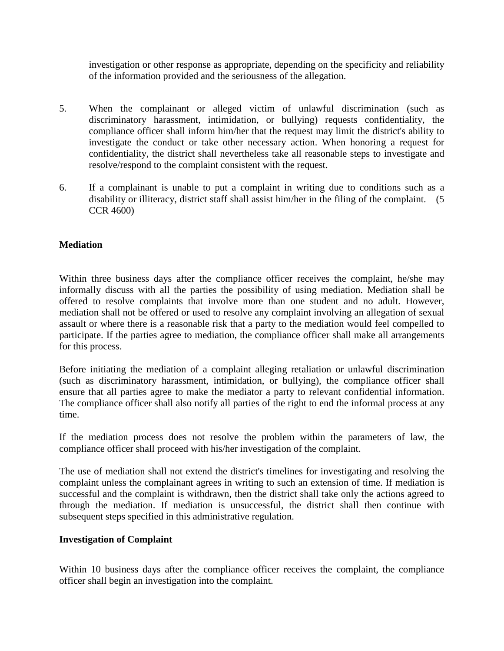investigation or other response as appropriate, depending on the specificity and reliability of the information provided and the seriousness of the allegation.

- 5. When the complainant or alleged victim of unlawful discrimination (such as discriminatory harassment, intimidation, or bullying) requests confidentiality, the compliance officer shall inform him/her that the request may limit the district's ability to investigate the conduct or take other necessary action. When honoring a request for confidentiality, the district shall nevertheless take all reasonable steps to investigate and resolve/respond to the complaint consistent with the request.
- 6. If a complainant is unable to put a complaint in writing due to conditions such as a disability or illiteracy, district staff shall assist him/her in the filing of the complaint. (5) CCR 4600)

#### **Mediation**

Within three business days after the compliance officer receives the complaint, he/she may informally discuss with all the parties the possibility of using mediation. Mediation shall be offered to resolve complaints that involve more than one student and no adult. However, mediation shall not be offered or used to resolve any complaint involving an allegation of sexual assault or where there is a reasonable risk that a party to the mediation would feel compelled to participate. If the parties agree to mediation, the compliance officer shall make all arrangements for this process.

Before initiating the mediation of a complaint alleging retaliation or unlawful discrimination (such as discriminatory harassment, intimidation, or bullying), the compliance officer shall ensure that all parties agree to make the mediator a party to relevant confidential information. The compliance officer shall also notify all parties of the right to end the informal process at any time.

If the mediation process does not resolve the problem within the parameters of law, the compliance officer shall proceed with his/her investigation of the complaint.

The use of mediation shall not extend the district's timelines for investigating and resolving the complaint unless the complainant agrees in writing to such an extension of time. If mediation is successful and the complaint is withdrawn, then the district shall take only the actions agreed to through the mediation. If mediation is unsuccessful, the district shall then continue with subsequent steps specified in this administrative regulation.

#### **Investigation of Complaint**

Within 10 business days after the compliance officer receives the complaint, the compliance officer shall begin an investigation into the complaint.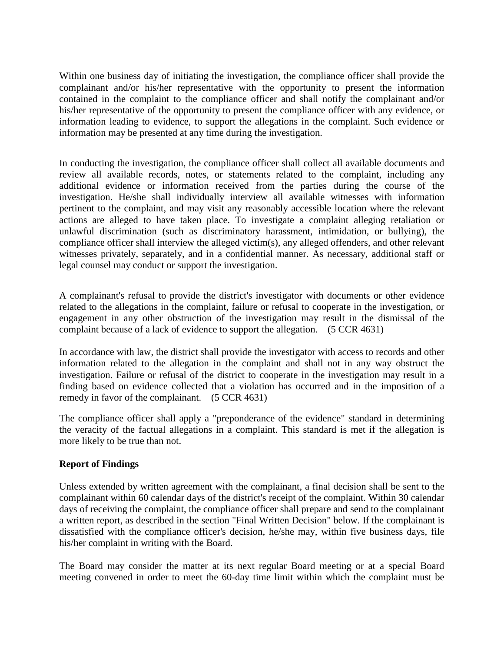Within one business day of initiating the investigation, the compliance officer shall provide the complainant and/or his/her representative with the opportunity to present the information contained in the complaint to the compliance officer and shall notify the complainant and/or his/her representative of the opportunity to present the compliance officer with any evidence, or information leading to evidence, to support the allegations in the complaint. Such evidence or information may be presented at any time during the investigation.

In conducting the investigation, the compliance officer shall collect all available documents and review all available records, notes, or statements related to the complaint, including any additional evidence or information received from the parties during the course of the investigation. He/she shall individually interview all available witnesses with information pertinent to the complaint, and may visit any reasonably accessible location where the relevant actions are alleged to have taken place. To investigate a complaint alleging retaliation or unlawful discrimination (such as discriminatory harassment, intimidation, or bullying), the compliance officer shall interview the alleged victim(s), any alleged offenders, and other relevant witnesses privately, separately, and in a confidential manner. As necessary, additional staff or legal counsel may conduct or support the investigation.

A complainant's refusal to provide the district's investigator with documents or other evidence related to the allegations in the complaint, failure or refusal to cooperate in the investigation, or engagement in any other obstruction of the investigation may result in the dismissal of the complaint because of a lack of evidence to support the allegation. (5 CCR 4631)

In accordance with law, the district shall provide the investigator with access to records and other information related to the allegation in the complaint and shall not in any way obstruct the investigation. Failure or refusal of the district to cooperate in the investigation may result in a finding based on evidence collected that a violation has occurred and in the imposition of a remedy in favor of the complainant. (5 CCR 4631)

The compliance officer shall apply a "preponderance of the evidence" standard in determining the veracity of the factual allegations in a complaint. This standard is met if the allegation is more likely to be true than not.

#### **Report of Findings**

Unless extended by written agreement with the complainant, a final decision shall be sent to the complainant within 60 calendar days of the district's receipt of the complaint. Within 30 calendar days of receiving the complaint, the compliance officer shall prepare and send to the complainant a written report, as described in the section "Final Written Decision" below. If the complainant is dissatisfied with the compliance officer's decision, he/she may, within five business days, file his/her complaint in writing with the Board.

The Board may consider the matter at its next regular Board meeting or at a special Board meeting convened in order to meet the 60-day time limit within which the complaint must be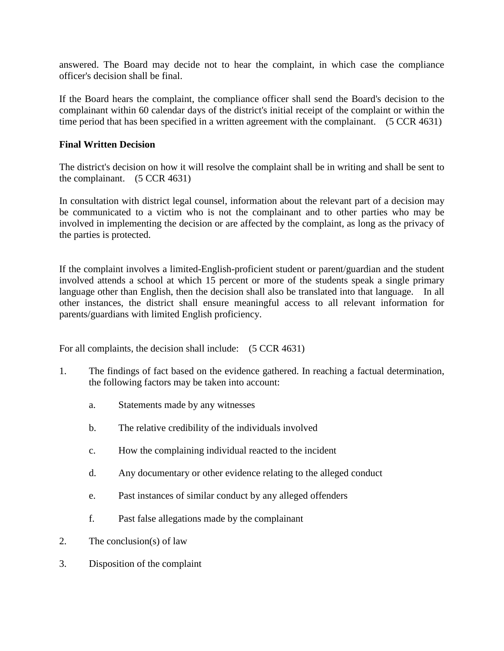answered. The Board may decide not to hear the complaint, in which case the compliance officer's decision shall be final.

If the Board hears the complaint, the compliance officer shall send the Board's decision to the complainant within 60 calendar days of the district's initial receipt of the complaint or within the time period that has been specified in a written agreement with the complainant. (5 CCR 4631)

#### **Final Written Decision**

The district's decision on how it will resolve the complaint shall be in writing and shall be sent to the complainant. (5 CCR 4631)

In consultation with district legal counsel, information about the relevant part of a decision may be communicated to a victim who is not the complainant and to other parties who may be involved in implementing the decision or are affected by the complaint, as long as the privacy of the parties is protected.

If the complaint involves a limited-English-proficient student or parent/guardian and the student involved attends a school at which 15 percent or more of the students speak a single primary language other than English, then the decision shall also be translated into that language. In all other instances, the district shall ensure meaningful access to all relevant information for parents/guardians with limited English proficiency.

For all complaints, the decision shall include: (5 CCR 4631)

- 1. The findings of fact based on the evidence gathered. In reaching a factual determination, the following factors may be taken into account:
	- a. Statements made by any witnesses
	- b. The relative credibility of the individuals involved
	- c. How the complaining individual reacted to the incident
	- d. Any documentary or other evidence relating to the alleged conduct
	- e. Past instances of similar conduct by any alleged offenders
	- f. Past false allegations made by the complainant
- 2. The conclusion(s) of law
- 3. Disposition of the complaint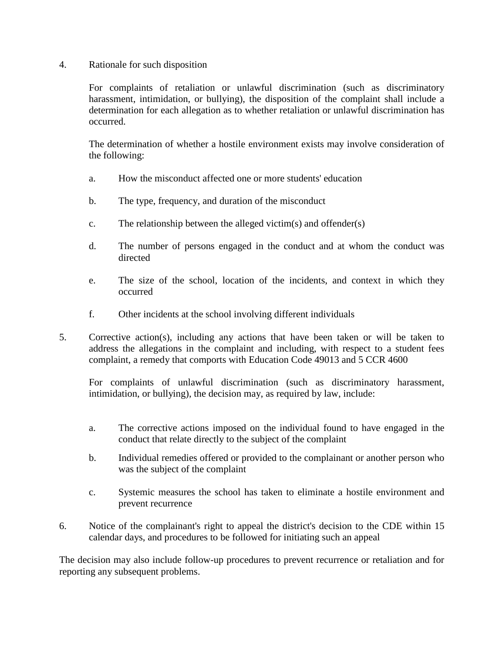#### 4. Rationale for such disposition

For complaints of retaliation or unlawful discrimination (such as discriminatory harassment, intimidation, or bullying), the disposition of the complaint shall include a determination for each allegation as to whether retaliation or unlawful discrimination has occurred.

The determination of whether a hostile environment exists may involve consideration of the following:

- a. How the misconduct affected one or more students' education
- b. The type, frequency, and duration of the misconduct
- c. The relationship between the alleged victim(s) and offender(s)
- d. The number of persons engaged in the conduct and at whom the conduct was directed
- e. The size of the school, location of the incidents, and context in which they occurred
- f. Other incidents at the school involving different individuals
- 5. Corrective action(s), including any actions that have been taken or will be taken to address the allegations in the complaint and including, with respect to a student fees complaint, a remedy that comports with Education Code 49013 and 5 CCR 4600

For complaints of unlawful discrimination (such as discriminatory harassment, intimidation, or bullying), the decision may, as required by law, include:

- a. The corrective actions imposed on the individual found to have engaged in the conduct that relate directly to the subject of the complaint
- b. Individual remedies offered or provided to the complainant or another person who was the subject of the complaint
- c. Systemic measures the school has taken to eliminate a hostile environment and prevent recurrence
- 6. Notice of the complainant's right to appeal the district's decision to the CDE within 15 calendar days, and procedures to be followed for initiating such an appeal

The decision may also include follow-up procedures to prevent recurrence or retaliation and for reporting any subsequent problems.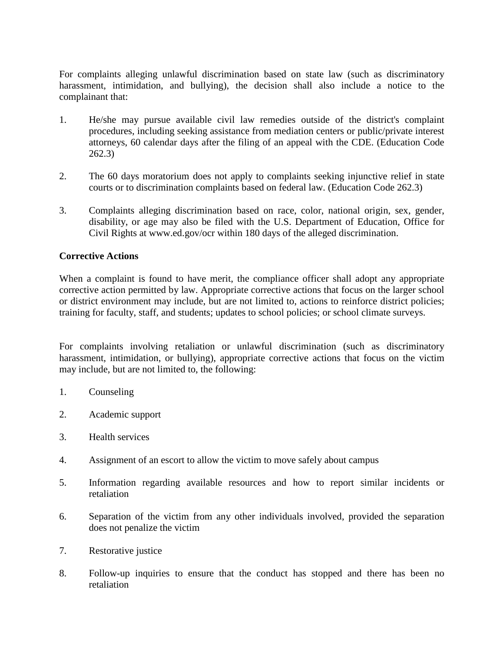For complaints alleging unlawful discrimination based on state law (such as discriminatory harassment, intimidation, and bullying), the decision shall also include a notice to the complainant that:

- 1. He/she may pursue available civil law remedies outside of the district's complaint procedures, including seeking assistance from mediation centers or public/private interest attorneys, 60 calendar days after the filing of an appeal with the CDE. (Education Code 262.3)
- 2. The 60 days moratorium does not apply to complaints seeking injunctive relief in state courts or to discrimination complaints based on federal law. (Education Code 262.3)
- 3. Complaints alleging discrimination based on race, color, national origin, sex, gender, disability, or age may also be filed with the U.S. Department of Education, Office for Civil Rights at www.ed.gov/ocr within 180 days of the alleged discrimination.

#### **Corrective Actions**

When a complaint is found to have merit, the compliance officer shall adopt any appropriate corrective action permitted by law. Appropriate corrective actions that focus on the larger school or district environment may include, but are not limited to, actions to reinforce district policies; training for faculty, staff, and students; updates to school policies; or school climate surveys.

For complaints involving retaliation or unlawful discrimination (such as discriminatory harassment, intimidation, or bullying), appropriate corrective actions that focus on the victim may include, but are not limited to, the following:

- 1. Counseling
- 2. Academic support
- 3. Health services
- 4. Assignment of an escort to allow the victim to move safely about campus
- 5. Information regarding available resources and how to report similar incidents or retaliation
- 6. Separation of the victim from any other individuals involved, provided the separation does not penalize the victim
- 7. Restorative justice
- 8. Follow-up inquiries to ensure that the conduct has stopped and there has been no retaliation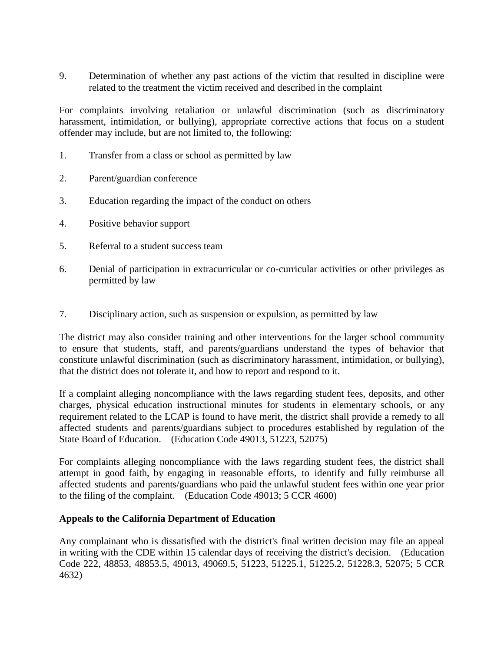9. Determination of whether any past actions of the victim that resulted in discipline were related to the treatment the victim received and described in the complaint

For complaints involving retaliation or unlawful discrimination (such as discriminatory harassment, intimidation, or bullying), appropriate corrective actions that focus on a student offender may include, but are not limited to, the following:

- 1. Transfer from a class or school as permitted by law
- 2. Parent/guardian conference
- 3. Education regarding the impact of the conduct on others
- 4. Positive behavior support
- 5. Referral to a student success team
- 6. Denial of participation in extracurricular or co-curricular activities or other privileges as permitted by law
- 7. Disciplinary action, such as suspension or expulsion, as permitted by law

The district may also consider training and other interventions for the larger school community to ensure that students, staff, and parents/guardians understand the types of behavior that constitute unlawful discrimination (such as discriminatory harassment, intimidation, or bullying), that the district does not tolerate it, and how to report and respond to it.

If a complaint alleging noncompliance with the laws regarding student fees, deposits, and other charges, physical education instructional minutes for students in elementary schools, or any requirement related to the LCAP is found to have merit, the district shall provide a remedy to all affected students and parents/guardians subject to procedures established by regulation of the State Board of Education. (Education Code 49013, 51223, 52075)

For complaints alleging noncompliance with the laws regarding student fees, the district shall attempt in good faith, by engaging in reasonable efforts, to identify and fully reimburse all affected students and parents/guardians who paid the unlawful student fees within one year prior to the filing of the complaint. (Education Code 49013; 5 CCR 4600)

#### **Appeals to the California Department of Education**

Any complainant who is dissatisfied with the district's final written decision may file an appeal in writing with the CDE within 15 calendar days of receiving the district's decision. (Education Code 222, 48853, 48853.5, 49013, 49069.5, 51223, 51225.1, 51225.2, 51228.3, 52075; 5 CCR 4632)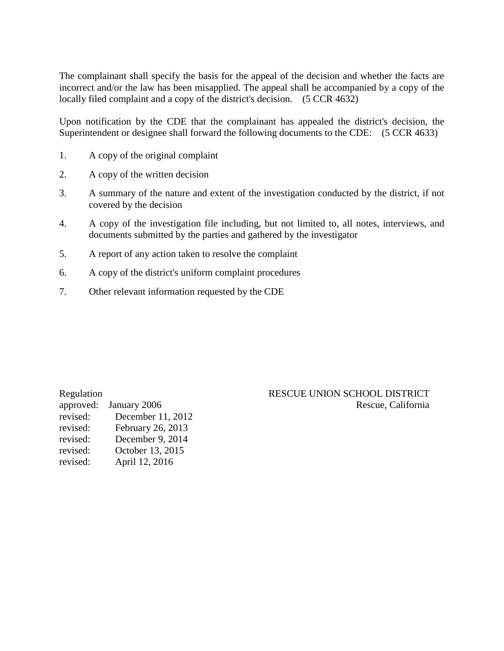The complainant shall specify the basis for the appeal of the decision and whether the facts are incorrect and/or the law has been misapplied. The appeal shall be accompanied by a copy of the locally filed complaint and a copy of the district's decision. (5 CCR 4632)

Upon notification by the CDE that the complainant has appealed the district's decision, the Superintendent or designee shall forward the following documents to the CDE: (5 CCR 4633)

- 1. A copy of the original complaint
- 2. A copy of the written decision
- 3. A summary of the nature and extent of the investigation conducted by the district, if not covered by the decision
- 4. A copy of the investigation file including, but not limited to, all notes, interviews, and documents submitted by the parties and gathered by the investigator
- 5. A report of any action taken to resolve the complaint
- 6. A copy of the district's uniform complaint procedures
- 7. Other relevant information requested by the CDE

approved: January 2006<br>
revised: December 11, 2012<br>
Rescue, California December 11, 2012 revised: February 26, 2013 revised: December 9, 2014 revised: October 13, 2015 revised: April 12, 2016

# Regulation RESCUE UNION SCHOOL DISTRICT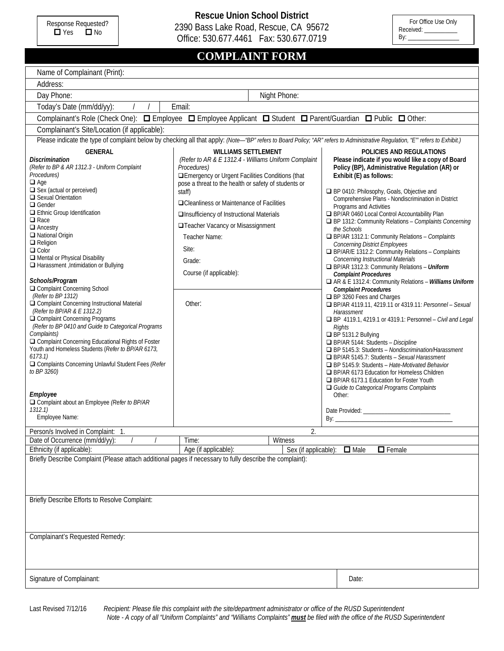Response Requested?  $\overrightarrow{D}$  Yes  $\overleftarrow{D}$  No

**Rescue Union School District**

2390 Bass Lake Road, Rescue, CA 95672 Office: 530.677.4461 Fax: 530.677.0719

| For Office Use Only |
|---------------------|
| Received:           |
| By:                 |

## **COMPLAINT FORM**

| Name of Complainant (Print):                                                                                                                                                                                                                                                                                                                                                                                                                                                                                                                                                                                                                                                                                                                                                                                                                                                                                               |                                                                                                                                                                                                                                                                                                                                                                                                                                     |         |              |                                                                                                                                                                                                                                                                                                                                                                                                                                                                                                                                                                                                                                                                                                                                                                                                                                                                                                                                                                                                                                                                                                                                                                                                                                                                                                                                                          |  |  |
|----------------------------------------------------------------------------------------------------------------------------------------------------------------------------------------------------------------------------------------------------------------------------------------------------------------------------------------------------------------------------------------------------------------------------------------------------------------------------------------------------------------------------------------------------------------------------------------------------------------------------------------------------------------------------------------------------------------------------------------------------------------------------------------------------------------------------------------------------------------------------------------------------------------------------|-------------------------------------------------------------------------------------------------------------------------------------------------------------------------------------------------------------------------------------------------------------------------------------------------------------------------------------------------------------------------------------------------------------------------------------|---------|--------------|----------------------------------------------------------------------------------------------------------------------------------------------------------------------------------------------------------------------------------------------------------------------------------------------------------------------------------------------------------------------------------------------------------------------------------------------------------------------------------------------------------------------------------------------------------------------------------------------------------------------------------------------------------------------------------------------------------------------------------------------------------------------------------------------------------------------------------------------------------------------------------------------------------------------------------------------------------------------------------------------------------------------------------------------------------------------------------------------------------------------------------------------------------------------------------------------------------------------------------------------------------------------------------------------------------------------------------------------------------|--|--|
| Address:                                                                                                                                                                                                                                                                                                                                                                                                                                                                                                                                                                                                                                                                                                                                                                                                                                                                                                                   |                                                                                                                                                                                                                                                                                                                                                                                                                                     |         |              |                                                                                                                                                                                                                                                                                                                                                                                                                                                                                                                                                                                                                                                                                                                                                                                                                                                                                                                                                                                                                                                                                                                                                                                                                                                                                                                                                          |  |  |
| Day Phone:                                                                                                                                                                                                                                                                                                                                                                                                                                                                                                                                                                                                                                                                                                                                                                                                                                                                                                                 |                                                                                                                                                                                                                                                                                                                                                                                                                                     |         | Night Phone: |                                                                                                                                                                                                                                                                                                                                                                                                                                                                                                                                                                                                                                                                                                                                                                                                                                                                                                                                                                                                                                                                                                                                                                                                                                                                                                                                                          |  |  |
| Today's Date (mm/dd/yy):<br>Email:                                                                                                                                                                                                                                                                                                                                                                                                                                                                                                                                                                                                                                                                                                                                                                                                                                                                                         |                                                                                                                                                                                                                                                                                                                                                                                                                                     |         |              |                                                                                                                                                                                                                                                                                                                                                                                                                                                                                                                                                                                                                                                                                                                                                                                                                                                                                                                                                                                                                                                                                                                                                                                                                                                                                                                                                          |  |  |
| Complainant's Role (Check One): □ Employee □ Employee Applicant □ Student □ Parent/Guardian □ Public □ Other:                                                                                                                                                                                                                                                                                                                                                                                                                                                                                                                                                                                                                                                                                                                                                                                                              |                                                                                                                                                                                                                                                                                                                                                                                                                                     |         |              |                                                                                                                                                                                                                                                                                                                                                                                                                                                                                                                                                                                                                                                                                                                                                                                                                                                                                                                                                                                                                                                                                                                                                                                                                                                                                                                                                          |  |  |
| Complainant's Site/Location (if applicable):                                                                                                                                                                                                                                                                                                                                                                                                                                                                                                                                                                                                                                                                                                                                                                                                                                                                               |                                                                                                                                                                                                                                                                                                                                                                                                                                     |         |              |                                                                                                                                                                                                                                                                                                                                                                                                                                                                                                                                                                                                                                                                                                                                                                                                                                                                                                                                                                                                                                                                                                                                                                                                                                                                                                                                                          |  |  |
| Please indicate the type of complaint below by checking all that apply: (Note-"BP" refers to Board Policy; "AR" refers to Administrative Regulation, "E" refers to Exhibit.)                                                                                                                                                                                                                                                                                                                                                                                                                                                                                                                                                                                                                                                                                                                                               |                                                                                                                                                                                                                                                                                                                                                                                                                                     |         |              |                                                                                                                                                                                                                                                                                                                                                                                                                                                                                                                                                                                                                                                                                                                                                                                                                                                                                                                                                                                                                                                                                                                                                                                                                                                                                                                                                          |  |  |
|                                                                                                                                                                                                                                                                                                                                                                                                                                                                                                                                                                                                                                                                                                                                                                                                                                                                                                                            |                                                                                                                                                                                                                                                                                                                                                                                                                                     |         |              |                                                                                                                                                                                                                                                                                                                                                                                                                                                                                                                                                                                                                                                                                                                                                                                                                                                                                                                                                                                                                                                                                                                                                                                                                                                                                                                                                          |  |  |
| <b>GENERAL</b><br><b>Discrimination</b><br>(Refer to BP & AR 1312.3 - Uniform Complaint<br>Procedures)<br>$\Box$ Age<br>Sex (actual or perceived)<br>Sexual Orientation<br>$\Box$ Gender<br>Ethnic Group Identification<br>$\Box$ Race<br>Ancestry<br>National Origin<br>$\Box$ Religion<br>$\Box$ Color<br>Mental or Physical Disability<br>Harassment , Intimidation or Bullying<br>Schools/Program<br>Complaint Concerning School<br>(Refer to BP 1312)<br>O Complaint Concerning Instructional Material<br>(Refer to BP/AR & E 1312.2)<br>Complaint Concerning Programs<br>(Refer to BP 0410 and Guide to Categorical Programs<br>Complaints)<br>Complaint Concerning Educational Rights of Foster<br>Youth and Homeless Students (Refer to BP/AR 6173,<br>6173.1)<br>□ Complaints Concerning Unlawful Student Fees (Refer<br>to BP 3260)<br>Employee<br>$\Box$ Complaint about an Employee (Refer to BP/AR<br>1312.1) | <b>WILLIAMS SETTLEMENT</b><br>(Refer to AR & E 1312.4 - Williams Uniform Complaint<br>Procedures)<br>□ Emergency or Urgent Facilities Conditions (that<br>pose a threat to the health or safety of students or<br>staff)<br>□ Cleanliness or Maintenance of Facilities<br>□ Insufficiency of Instructional Materials<br>□ Teacher Vacancy or Misassignment<br>Teacher Name:<br>Site:<br>Grade:<br>Course (if applicable):<br>Other: |         |              | POLICIES AND REGULATIONS<br>Please indicate if you would like a copy of Board<br>Policy (BP), Administrative Regulation (AR) or<br>Exhibit (E) as follows:<br>BP 0410: Philosophy, Goals, Objective and<br>Comprehensive Plans - Nondiscrimination in District<br>Programs and Activities<br>BP/AR 0460 Local Control Accountability Plan<br>$\Box$ BP 1312: Community Relations - Complaints Concerning<br>the Schools<br>BP/AR 1312.1: Community Relations - Complaints<br><b>Concerning District Employees</b><br>$\Box$ BP/AR/E 1312.2: Community Relations - Complaints<br><b>Concerning Instructional Materials</b><br>BP/AR 1312.3: Community Relations - Uniform<br><b>Complaint Procedures</b><br>AR & E 1312.4: Community Relations - Williams Uniform<br><b>Complaint Procedures</b><br>BP 3260 Fees and Charges<br>□ BP/AR 4119.11, 4219.11 or 4319.11: Personnel - Sexual<br>Harassment<br>□ BP 4119.1, 4219.1 or 4319.1: Personnel - Civil and Legal<br>Rights<br>$\Box$ BP 5131.2 Bullying<br>BP/AR 5144: Students - Discipline<br>□ BP 5145.3: Students - Nondiscrimination/Harassment<br>BP/AR 5145.7: Students - Sexual Harassment<br>□ BP 5145.9: Students – Hate-Motivated Behavior<br>BP/AR 6173 Education for Homeless Children<br>BP/AR 6173.1 Education for Foster Youth<br>□ Guide to Categorical Programs Complaints<br>Other: |  |  |
| Employee Name:                                                                                                                                                                                                                                                                                                                                                                                                                                                                                                                                                                                                                                                                                                                                                                                                                                                                                                             |                                                                                                                                                                                                                                                                                                                                                                                                                                     |         |              |                                                                                                                                                                                                                                                                                                                                                                                                                                                                                                                                                                                                                                                                                                                                                                                                                                                                                                                                                                                                                                                                                                                                                                                                                                                                                                                                                          |  |  |
| Person/s Involved in Complaint: 1.                                                                                                                                                                                                                                                                                                                                                                                                                                                                                                                                                                                                                                                                                                                                                                                                                                                                                         |                                                                                                                                                                                                                                                                                                                                                                                                                                     |         | 2.           |                                                                                                                                                                                                                                                                                                                                                                                                                                                                                                                                                                                                                                                                                                                                                                                                                                                                                                                                                                                                                                                                                                                                                                                                                                                                                                                                                          |  |  |
| Date of Occurrence (mm/dd/yy):                                                                                                                                                                                                                                                                                                                                                                                                                                                                                                                                                                                                                                                                                                                                                                                                                                                                                             | Time:                                                                                                                                                                                                                                                                                                                                                                                                                               | Witness |              |                                                                                                                                                                                                                                                                                                                                                                                                                                                                                                                                                                                                                                                                                                                                                                                                                                                                                                                                                                                                                                                                                                                                                                                                                                                                                                                                                          |  |  |
| Ethnicity (if applicable):<br>Age (if applicable):<br>$\Box$ Male<br>$\Box$ Female<br>Sex (if applicable):                                                                                                                                                                                                                                                                                                                                                                                                                                                                                                                                                                                                                                                                                                                                                                                                                 |                                                                                                                                                                                                                                                                                                                                                                                                                                     |         |              |                                                                                                                                                                                                                                                                                                                                                                                                                                                                                                                                                                                                                                                                                                                                                                                                                                                                                                                                                                                                                                                                                                                                                                                                                                                                                                                                                          |  |  |
| Briefly Describe Complaint (Please attach additional pages if necessary to fully describe the complaint):                                                                                                                                                                                                                                                                                                                                                                                                                                                                                                                                                                                                                                                                                                                                                                                                                  |                                                                                                                                                                                                                                                                                                                                                                                                                                     |         |              |                                                                                                                                                                                                                                                                                                                                                                                                                                                                                                                                                                                                                                                                                                                                                                                                                                                                                                                                                                                                                                                                                                                                                                                                                                                                                                                                                          |  |  |
| Briefly Describe Efforts to Resolve Complaint:                                                                                                                                                                                                                                                                                                                                                                                                                                                                                                                                                                                                                                                                                                                                                                                                                                                                             |                                                                                                                                                                                                                                                                                                                                                                                                                                     |         |              |                                                                                                                                                                                                                                                                                                                                                                                                                                                                                                                                                                                                                                                                                                                                                                                                                                                                                                                                                                                                                                                                                                                                                                                                                                                                                                                                                          |  |  |
| Complainant's Requested Remedy:                                                                                                                                                                                                                                                                                                                                                                                                                                                                                                                                                                                                                                                                                                                                                                                                                                                                                            |                                                                                                                                                                                                                                                                                                                                                                                                                                     |         |              |                                                                                                                                                                                                                                                                                                                                                                                                                                                                                                                                                                                                                                                                                                                                                                                                                                                                                                                                                                                                                                                                                                                                                                                                                                                                                                                                                          |  |  |
|                                                                                                                                                                                                                                                                                                                                                                                                                                                                                                                                                                                                                                                                                                                                                                                                                                                                                                                            |                                                                                                                                                                                                                                                                                                                                                                                                                                     |         |              |                                                                                                                                                                                                                                                                                                                                                                                                                                                                                                                                                                                                                                                                                                                                                                                                                                                                                                                                                                                                                                                                                                                                                                                                                                                                                                                                                          |  |  |
| Signature of Complainant:                                                                                                                                                                                                                                                                                                                                                                                                                                                                                                                                                                                                                                                                                                                                                                                                                                                                                                  |                                                                                                                                                                                                                                                                                                                                                                                                                                     |         |              | Date:                                                                                                                                                                                                                                                                                                                                                                                                                                                                                                                                                                                                                                                                                                                                                                                                                                                                                                                                                                                                                                                                                                                                                                                                                                                                                                                                                    |  |  |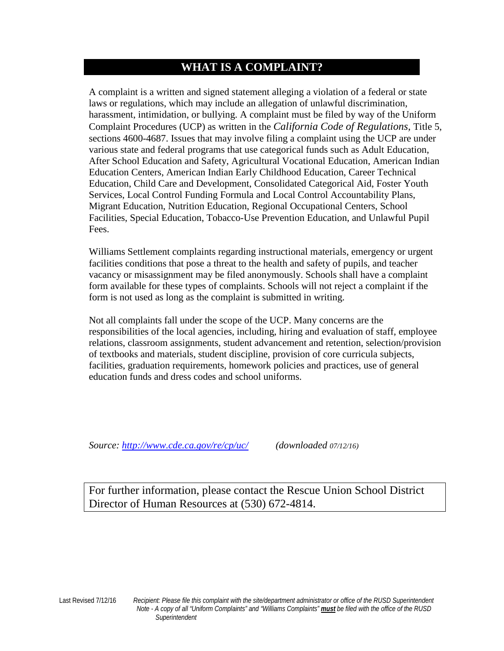### **WHAT IS A COMPLAINT?**

A complaint is a written and signed statement alleging a violation of a federal or state laws or regulations, which may include an allegation of unlawful discrimination, harassment, intimidation, or bullying. A complaint must be filed by way of the Uniform Complaint Procedures (UCP) as written in the *California Code of Regulations,* Title 5, sections 4600-4687. Issues that may involve filing a complaint using the UCP are under various state and federal programs that use categorical funds such as Adult Education, After School Education and Safety, Agricultural Vocational Education, American Indian Education Centers, American Indian Early Childhood Education, Career Technical Education, Child Care and Development, Consolidated Categorical Aid, Foster Youth Services, Local Control Funding Formula and Local Control Accountability Plans, Migrant Education, Nutrition Education, Regional Occupational Centers, School Facilities, Special Education, Tobacco-Use Prevention Education, and Unlawful Pupil Fees.

Williams Settlement complaints regarding instructional materials, emergency or urgent facilities conditions that pose a threat to the health and safety of pupils, and teacher vacancy or misassignment may be filed anonymously. Schools shall have a complaint form available for these types of complaints. Schools will not reject a complaint if the form is not used as long as the complaint is submitted in writing.

Not all complaints fall under the scope of the UCP. Many concerns are the responsibilities of the local agencies, including, hiring and evaluation of staff, employee relations, classroom assignments, student advancement and retention, selection/provision of textbooks and materials, student discipline, provision of core curricula subjects, facilities, graduation requirements, homework policies and practices, use of general education funds and dress codes and school uniforms.

*Source:<http://www.cde.ca.gov/re/cp/uc/> (downloaded 07/12/16)*

For further information, please contact the Rescue Union School District Director of Human Resources at (530) 672-4814.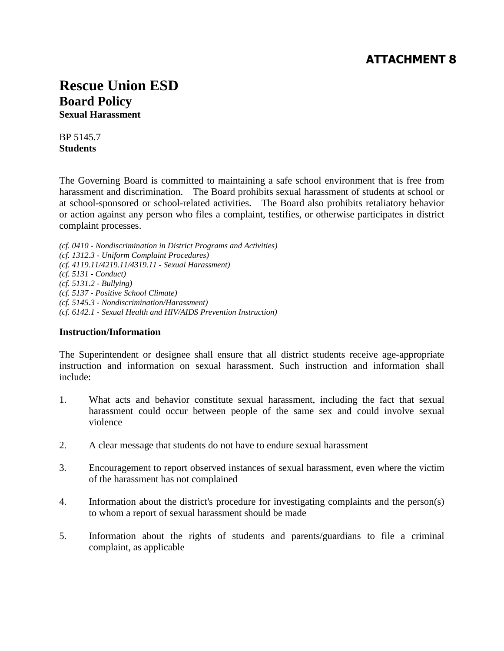# **ATTACHMENT 8**

# **Rescue Union ESD Board Policy Sexual Harassment**

BP 5145.7 **Students**

The Governing Board is committed to maintaining a safe school environment that is free from harassment and discrimination. The Board prohibits sexual harassment of students at school or at school-sponsored or school-related activities. The Board also prohibits retaliatory behavior or action against any person who files a complaint, testifies, or otherwise participates in district complaint processes.

*(cf. 0410 - Nondiscrimination in District Programs and Activities) (cf. 1312.3 - Uniform Complaint Procedures) (cf. 4119.11/4219.11/4319.11 - Sexual Harassment) (cf. 5131 - Conduct) (cf. 5131.2 - Bullying) (cf. 5137 - Positive School Climate) (cf. 5145.3 - Nondiscrimination/Harassment) (cf. 6142.1 - Sexual Health and HIV/AIDS Prevention Instruction)*

#### **Instruction/Information**

The Superintendent or designee shall ensure that all district students receive age-appropriate instruction and information on sexual harassment. Such instruction and information shall include:

- 1. What acts and behavior constitute sexual harassment, including the fact that sexual harassment could occur between people of the same sex and could involve sexual violence
- 2. A clear message that students do not have to endure sexual harassment
- 3. Encouragement to report observed instances of sexual harassment, even where the victim of the harassment has not complained
- 4. Information about the district's procedure for investigating complaints and the person(s) to whom a report of sexual harassment should be made
- 5. Information about the rights of students and parents/guardians to file a criminal complaint, as applicable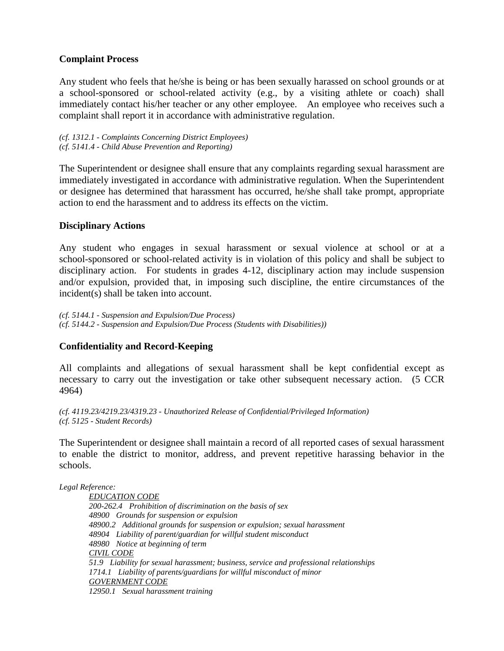#### **Complaint Process**

Any student who feels that he/she is being or has been sexually harassed on school grounds or at a school-sponsored or school-related activity (e.g., by a visiting athlete or coach) shall immediately contact his/her teacher or any other employee. An employee who receives such a complaint shall report it in accordance with administrative regulation.

*(cf. 1312.1 - Complaints Concerning District Employees) (cf. 5141.4 - Child Abuse Prevention and Reporting)*

The Superintendent or designee shall ensure that any complaints regarding sexual harassment are immediately investigated in accordance with administrative regulation. When the Superintendent or designee has determined that harassment has occurred, he/she shall take prompt, appropriate action to end the harassment and to address its effects on the victim.

#### **Disciplinary Actions**

Any student who engages in sexual harassment or sexual violence at school or at a school-sponsored or school-related activity is in violation of this policy and shall be subject to disciplinary action. For students in grades 4-12, disciplinary action may include suspension and/or expulsion, provided that, in imposing such discipline, the entire circumstances of the incident(s) shall be taken into account.

*(cf. 5144.1 - Suspension and Expulsion/Due Process) (cf. 5144.2 - Suspension and Expulsion/Due Process (Students with Disabilities))*

#### **Confidentiality and Record-Keeping**

All complaints and allegations of sexual harassment shall be kept confidential except as necessary to carry out the investigation or take other subsequent necessary action. (5 CCR 4964)

*(cf. 4119.23/4219.23/4319.23 - Unauthorized Release of Confidential/Privileged Information) (cf. 5125 - Student Records)*

The Superintendent or designee shall maintain a record of all reported cases of sexual harassment to enable the district to monitor, address, and prevent repetitive harassing behavior in the schools.

*Legal Reference:*

*EDUCATION CODE 200-262.4 Prohibition of discrimination on the basis of sex 48900 Grounds for suspension or expulsion 48900.2 Additional grounds for suspension or expulsion; sexual harassment 48904 Liability of parent/guardian for willful student misconduct 48980 Notice at beginning of term CIVIL CODE 51.9 Liability for sexual harassment; business, service and professional relationships 1714.1 Liability of parents/guardians for willful misconduct of minor GOVERNMENT CODE 12950.1 Sexual harassment training*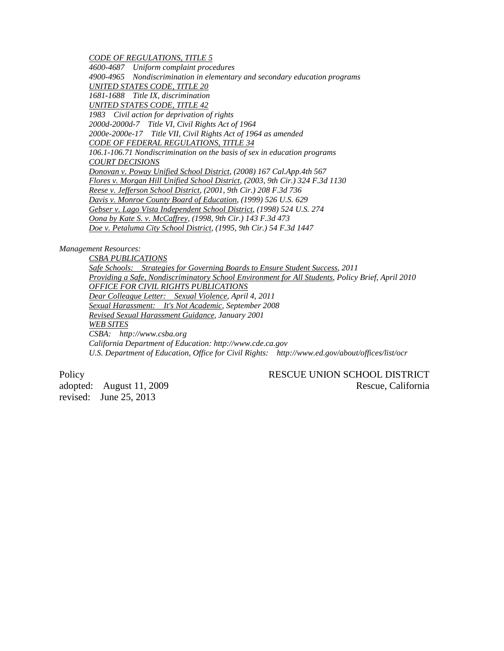*CODE OF REGULATIONS, TITLE 5 4600-4687 Uniform complaint procedures 4900-4965 Nondiscrimination in elementary and secondary education programs UNITED STATES CODE, TITLE 20 1681-1688 Title IX, discrimination UNITED STATES CODE, TITLE 42 1983 Civil action for deprivation of rights 2000d-2000d-7 Title VI, Civil Rights Act of 1964 2000e-2000e-17 Title VII, Civil Rights Act of 1964 as amended CODE OF FEDERAL REGULATIONS, TITLE 34 106.1-106.71 Nondiscrimination on the basis of sex in education programs COURT DECISIONS Donovan v. Poway Unified School District, (2008) 167 Cal.App.4th 567 Flores v. Morgan Hill Unified School District, (2003, 9th Cir.) 324 F.3d 1130 Reese v. Jefferson School District, (2001, 9th Cir.) 208 F.3d 736 Davis v. Monroe County Board of Education, (1999) 526 U.S. 629 Gebser v. Lago Vista Independent School District, (1998) 524 U.S. 274 Oona by Kate S. v. McCaffrey, (1998, 9th Cir.) 143 F.3d 473 Doe v. Petaluma City School District, (1995, 9th Cir.) 54 F.3d 1447*

#### *Management Resources:*

*CSBA PUBLICATIONS*

*Safe Schools: Strategies for Governing Boards to Ensure Student Success, 2011 Providing a Safe, Nondiscriminatory School Environment for All Students, Policy Brief, April 2010 OFFICE FOR CIVIL RIGHTS PUBLICATIONS Dear Colleague Letter: Sexual Violence, April 4, 2011 Sexual Harassment: It's Not Academic, September 2008 Revised Sexual Harassment Guidance, January 2001 WEB SITES CSBA: http://www.csba.org California Department of Education: http://www.cde.ca.gov U.S. Department of Education, Office for Civil Rights: http://www.ed.gov/about/offices/list/ocr*

adopted: August 11, 2009 Rescue, California revised: June 25, 2013

Policy RESCUE UNION SCHOOL DISTRICT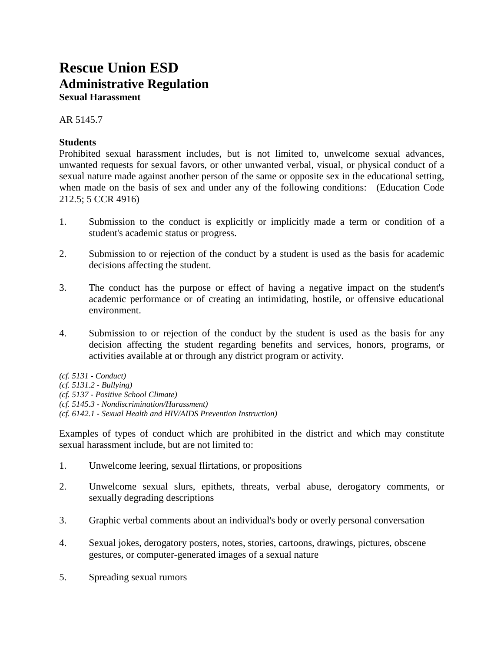## **Rescue Union ESD Administrative Regulation Sexual Harassment**

AR 5145.7

#### **Students**

Prohibited sexual harassment includes, but is not limited to, unwelcome sexual advances, unwanted requests for sexual favors, or other unwanted verbal, visual, or physical conduct of a sexual nature made against another person of the same or opposite sex in the educational setting, when made on the basis of sex and under any of the following conditions: (Education Code 212.5; 5 CCR 4916)

- 1. Submission to the conduct is explicitly or implicitly made a term or condition of a student's academic status or progress.
- 2. Submission to or rejection of the conduct by a student is used as the basis for academic decisions affecting the student.
- 3. The conduct has the purpose or effect of having a negative impact on the student's academic performance or of creating an intimidating, hostile, or offensive educational environment.
- 4. Submission to or rejection of the conduct by the student is used as the basis for any decision affecting the student regarding benefits and services, honors, programs, or activities available at or through any district program or activity.

*(cf. 5131 - Conduct) (cf. 5131.2 - Bullying) (cf. 5137 - Positive School Climate) (cf. 5145.3 - Nondiscrimination/Harassment) (cf. 6142.1 - Sexual Health and HIV/AIDS Prevention Instruction)*

Examples of types of conduct which are prohibited in the district and which may constitute sexual harassment include, but are not limited to:

- 1. Unwelcome leering, sexual flirtations, or propositions
- 2. Unwelcome sexual slurs, epithets, threats, verbal abuse, derogatory comments, or sexually degrading descriptions
- 3. Graphic verbal comments about an individual's body or overly personal conversation
- 4. Sexual jokes, derogatory posters, notes, stories, cartoons, drawings, pictures, obscene gestures, or computer-generated images of a sexual nature
- 5. Spreading sexual rumors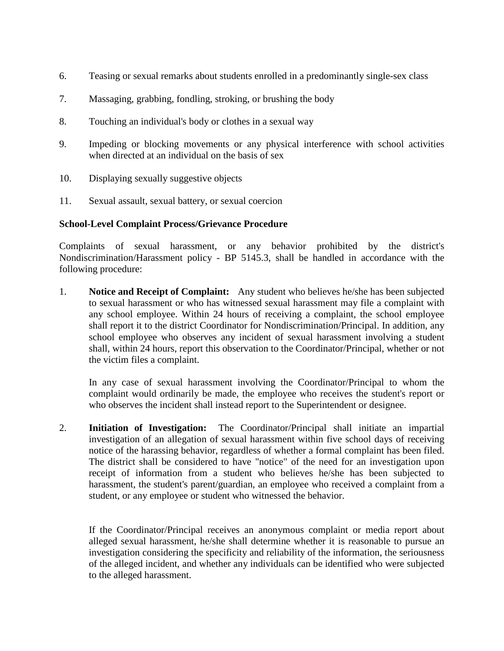- 6. Teasing or sexual remarks about students enrolled in a predominantly single-sex class
- 7. Massaging, grabbing, fondling, stroking, or brushing the body
- 8. Touching an individual's body or clothes in a sexual way
- 9. Impeding or blocking movements or any physical interference with school activities when directed at an individual on the basis of sex
- 10. Displaying sexually suggestive objects
- 11. Sexual assault, sexual battery, or sexual coercion

#### **School-Level Complaint Process/Grievance Procedure**

Complaints of sexual harassment, or any behavior prohibited by the district's Nondiscrimination/Harassment policy - BP 5145.3, shall be handled in accordance with the following procedure:

1. **Notice and Receipt of Complaint:** Any student who believes he/she has been subjected to sexual harassment or who has witnessed sexual harassment may file a complaint with any school employee. Within 24 hours of receiving a complaint, the school employee shall report it to the district Coordinator for Nondiscrimination/Principal. In addition, any school employee who observes any incident of sexual harassment involving a student shall, within 24 hours, report this observation to the Coordinator/Principal, whether or not the victim files a complaint.

In any case of sexual harassment involving the Coordinator/Principal to whom the complaint would ordinarily be made, the employee who receives the student's report or who observes the incident shall instead report to the Superintendent or designee.

2. **Initiation of Investigation:** The Coordinator/Principal shall initiate an impartial investigation of an allegation of sexual harassment within five school days of receiving notice of the harassing behavior, regardless of whether a formal complaint has been filed. The district shall be considered to have "notice" of the need for an investigation upon receipt of information from a student who believes he/she has been subjected to harassment, the student's parent/guardian, an employee who received a complaint from a student, or any employee or student who witnessed the behavior.

If the Coordinator/Principal receives an anonymous complaint or media report about alleged sexual harassment, he/she shall determine whether it is reasonable to pursue an investigation considering the specificity and reliability of the information, the seriousness of the alleged incident, and whether any individuals can be identified who were subjected to the alleged harassment.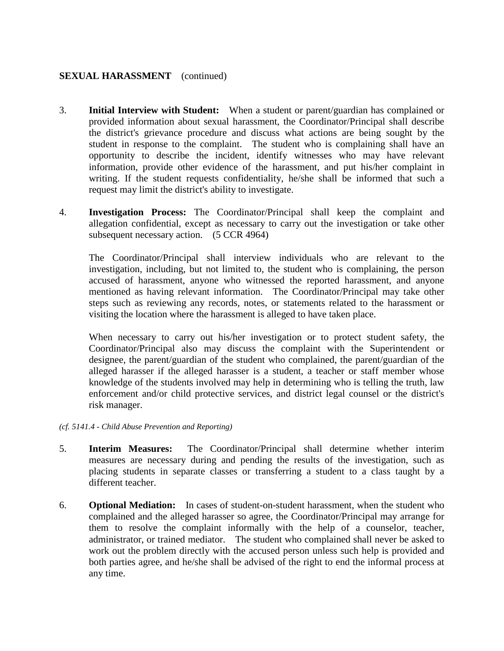#### **SEXUAL HARASSMENT** (continued)

- 3. **Initial Interview with Student:** When a student or parent/guardian has complained or provided information about sexual harassment, the Coordinator/Principal shall describe the district's grievance procedure and discuss what actions are being sought by the student in response to the complaint. The student who is complaining shall have an opportunity to describe the incident, identify witnesses who may have relevant information, provide other evidence of the harassment, and put his/her complaint in writing. If the student requests confidentiality, he/she shall be informed that such a request may limit the district's ability to investigate.
- 4. **Investigation Process:** The Coordinator/Principal shall keep the complaint and allegation confidential, except as necessary to carry out the investigation or take other subsequent necessary action. (5 CCR 4964)

The Coordinator/Principal shall interview individuals who are relevant to the investigation, including, but not limited to, the student who is complaining, the person accused of harassment, anyone who witnessed the reported harassment, and anyone mentioned as having relevant information. The Coordinator/Principal may take other steps such as reviewing any records, notes, or statements related to the harassment or visiting the location where the harassment is alleged to have taken place.

When necessary to carry out his/her investigation or to protect student safety, the Coordinator/Principal also may discuss the complaint with the Superintendent or designee, the parent/guardian of the student who complained, the parent/guardian of the alleged harasser if the alleged harasser is a student, a teacher or staff member whose knowledge of the students involved may help in determining who is telling the truth, law enforcement and/or child protective services, and district legal counsel or the district's risk manager.

#### *(cf. 5141.4 - Child Abuse Prevention and Reporting)*

- 5. **Interim Measures:** The Coordinator/Principal shall determine whether interim measures are necessary during and pending the results of the investigation, such as placing students in separate classes or transferring a student to a class taught by a different teacher.
- 6. **Optional Mediation:** In cases of student-on-student harassment, when the student who complained and the alleged harasser so agree, the Coordinator/Principal may arrange for them to resolve the complaint informally with the help of a counselor, teacher, administrator, or trained mediator. The student who complained shall never be asked to work out the problem directly with the accused person unless such help is provided and both parties agree, and he/she shall be advised of the right to end the informal process at any time.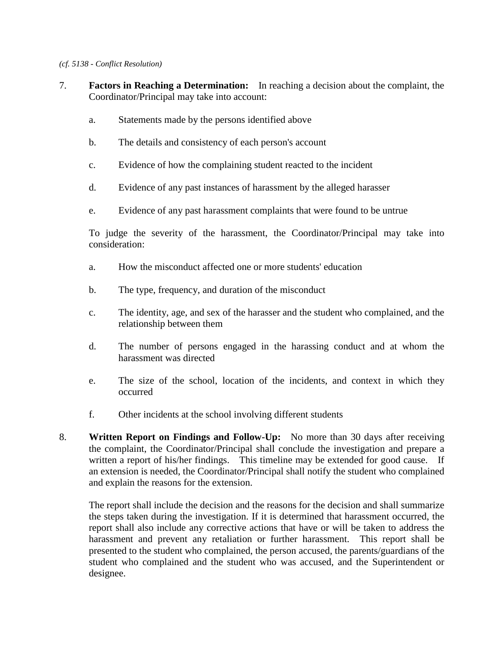#### *(cf. 5138 - Conflict Resolution)*

- 7. **Factors in Reaching a Determination:** In reaching a decision about the complaint, the Coordinator/Principal may take into account:
	- a. Statements made by the persons identified above
	- b. The details and consistency of each person's account
	- c. Evidence of how the complaining student reacted to the incident
	- d. Evidence of any past instances of harassment by the alleged harasser
	- e. Evidence of any past harassment complaints that were found to be untrue

To judge the severity of the harassment, the Coordinator/Principal may take into consideration:

- a. How the misconduct affected one or more students' education
- b. The type, frequency, and duration of the misconduct
- c. The identity, age, and sex of the harasser and the student who complained, and the relationship between them
- d. The number of persons engaged in the harassing conduct and at whom the harassment was directed
- e. The size of the school, location of the incidents, and context in which they occurred
- f. Other incidents at the school involving different students
- 8. **Written Report on Findings and Follow-Up:** No more than 30 days after receiving the complaint, the Coordinator/Principal shall conclude the investigation and prepare a written a report of his/her findings. This timeline may be extended for good cause. If an extension is needed, the Coordinator/Principal shall notify the student who complained and explain the reasons for the extension.

The report shall include the decision and the reasons for the decision and shall summarize the steps taken during the investigation. If it is determined that harassment occurred, the report shall also include any corrective actions that have or will be taken to address the harassment and prevent any retaliation or further harassment. This report shall be presented to the student who complained, the person accused, the parents/guardians of the student who complained and the student who was accused, and the Superintendent or designee.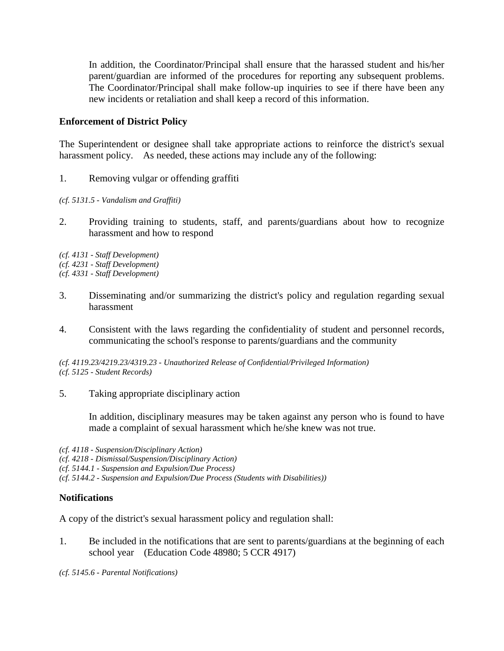In addition, the Coordinator/Principal shall ensure that the harassed student and his/her parent/guardian are informed of the procedures for reporting any subsequent problems. The Coordinator/Principal shall make follow-up inquiries to see if there have been any new incidents or retaliation and shall keep a record of this information.

#### **Enforcement of District Policy**

The Superintendent or designee shall take appropriate actions to reinforce the district's sexual harassment policy. As needed, these actions may include any of the following:

1. Removing vulgar or offending graffiti

*(cf. 5131.5 - Vandalism and Graffiti)*

2. Providing training to students, staff, and parents/guardians about how to recognize harassment and how to respond

*(cf. 4131 - Staff Development) (cf. 4231 - Staff Development) (cf. 4331 - Staff Development)*

- 3. Disseminating and/or summarizing the district's policy and regulation regarding sexual harassment
- 4. Consistent with the laws regarding the confidentiality of student and personnel records, communicating the school's response to parents/guardians and the community

*(cf. 4119.23/4219.23/4319.23 - Unauthorized Release of Confidential/Privileged Information) (cf. 5125 - Student Records)*

5. Taking appropriate disciplinary action

In addition, disciplinary measures may be taken against any person who is found to have made a complaint of sexual harassment which he/she knew was not true.

*(cf. 4118 - Suspension/Disciplinary Action)*

*(cf. 4218 - Dismissal/Suspension/Disciplinary Action)*

*(cf. 5144.1 - Suspension and Expulsion/Due Process)*

*(cf. 5144.2 - Suspension and Expulsion/Due Process (Students with Disabilities))*

#### **Notifications**

A copy of the district's sexual harassment policy and regulation shall:

1. Be included in the notifications that are sent to parents/guardians at the beginning of each school year (Education Code 48980; 5 CCR 4917)

*(cf. 5145.6 - Parental Notifications)*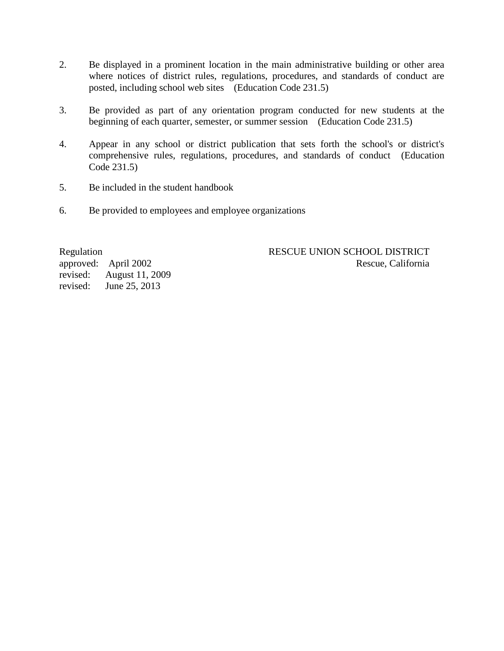- 2. Be displayed in a prominent location in the main administrative building or other area where notices of district rules, regulations, procedures, and standards of conduct are posted, including school web sites (Education Code 231.5)
- 3. Be provided as part of any orientation program conducted for new students at the beginning of each quarter, semester, or summer session (Education Code 231.5)
- 4. Appear in any school or district publication that sets forth the school's or district's comprehensive rules, regulations, procedures, and standards of conduct (Education Code 231.5)
- 5. Be included in the student handbook
- 6. Be provided to employees and employee organizations

revised: August 11, 2009 revised: June 25, 2013

Regulation RESCUE UNION SCHOOL DISTRICT approved: April 2002 Rescue, California